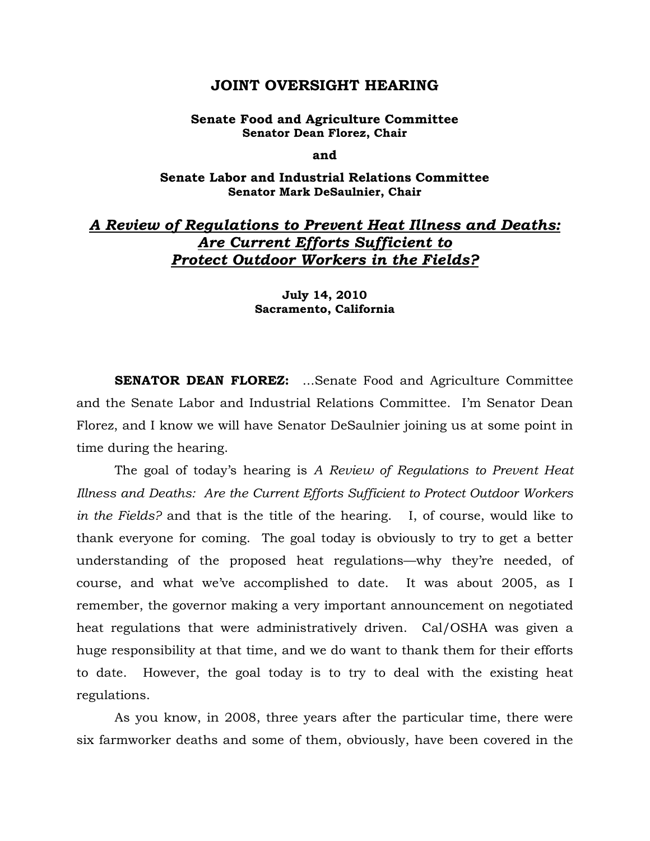# **JOINT OVERSIGHT HEARING**

### **Senate Food and Agriculture Committee Senator Dean Florez, Chair**

**and** 

## **Senate Labor and Industrial Relations Committee Senator Mark DeSaulnier, Chair**

# *A Review of Regulations to Prevent Heat Illness and Deaths: Are Current Efforts Sufficient to Protect Outdoor Workers in the Fields?*

### **July 14, 2010 Sacramento, California**

**SENATOR DEAN FLOREZ:** ...Senate Food and Agriculture Committee and the Senate Labor and Industrial Relations Committee. I'm Senator Dean Florez, and I know we will have Senator DeSaulnier joining us at some point in time during the hearing.

 The goal of today's hearing is *A Review of Regulations to Prevent Heat Illness and Deaths: Are the Current Efforts Sufficient to Protect Outdoor Workers in the Fields?* and that is the title of the hearing. I, of course, would like to thank everyone for coming. The goal today is obviously to try to get a better understanding of the proposed heat regulations—why they're needed, of course, and what we've accomplished to date. It was about 2005, as I remember, the governor making a very important announcement on negotiated heat regulations that were administratively driven. Cal/OSHA was given a huge responsibility at that time, and we do want to thank them for their efforts to date. However, the goal today is to try to deal with the existing heat regulations.

 As you know, in 2008, three years after the particular time, there were six farmworker deaths and some of them, obviously, have been covered in the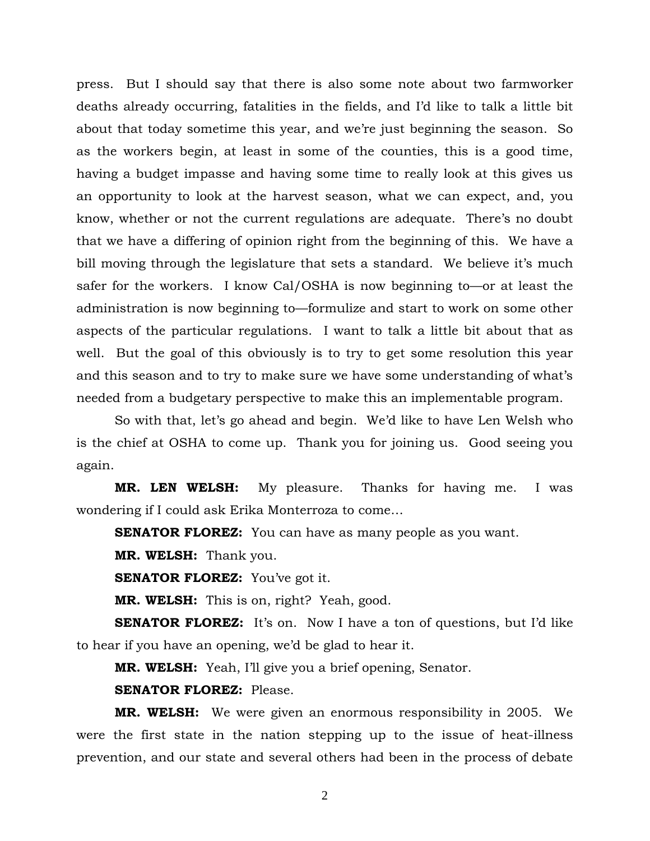press. But I should say that there is also some note about two farmworker deaths already occurring, fatalities in the fields, and I'd like to talk a little bit about that today sometime this year, and we're just beginning the season. So as the workers begin, at least in some of the counties, this is a good time, having a budget impasse and having some time to really look at this gives us an opportunity to look at the harvest season, what we can expect, and, you know, whether or not the current regulations are adequate. There's no doubt that we have a differing of opinion right from the beginning of this. We have a bill moving through the legislature that sets a standard. We believe it's much safer for the workers. I know Cal/OSHA is now beginning to—or at least the administration is now beginning to—formulize and start to work on some other aspects of the particular regulations. I want to talk a little bit about that as well. But the goal of this obviously is to try to get some resolution this year and this season and to try to make sure we have some understanding of what's needed from a budgetary perspective to make this an implementable program.

 So with that, let's go ahead and begin. We'd like to have Len Welsh who is the chief at OSHA to come up. Thank you for joining us. Good seeing you again.

**MR. LEN WELSH:** My pleasure. Thanks for having me. I was wondering if I could ask Erika Monterroza to come…

**SENATOR FLOREZ:** You can have as many people as you want.

**MR. WELSH:** Thank you.

**SENATOR FLOREZ:** You've got it.

**MR. WELSH:** This is on, right? Yeah, good.

**SENATOR FLOREZ:** It's on. Now I have a ton of questions, but I'd like to hear if you have an opening, we'd be glad to hear it.

**MR. WELSH:** Yeah, I'll give you a brief opening, Senator.

**SENATOR FLOREZ:** Please.

**MR. WELSH:** We were given an enormous responsibility in 2005. We were the first state in the nation stepping up to the issue of heat-illness prevention, and our state and several others had been in the process of debate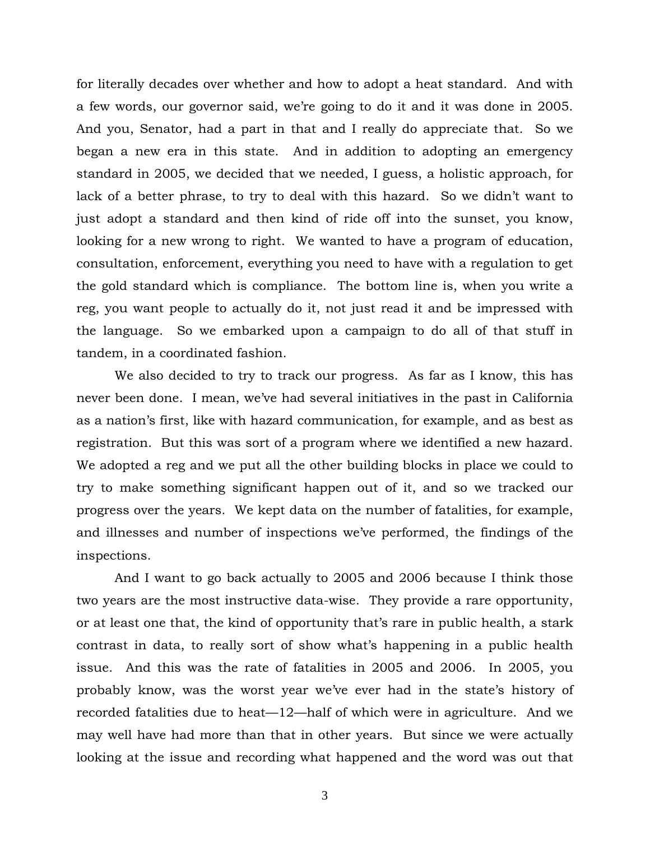for literally decades over whether and how to adopt a heat standard. And with a few words, our governor said, we're going to do it and it was done in 2005. And you, Senator, had a part in that and I really do appreciate that. So we began a new era in this state. And in addition to adopting an emergency standard in 2005, we decided that we needed, I guess, a holistic approach, for lack of a better phrase, to try to deal with this hazard. So we didn't want to just adopt a standard and then kind of ride off into the sunset, you know, looking for a new wrong to right. We wanted to have a program of education, consultation, enforcement, everything you need to have with a regulation to get the gold standard which is compliance. The bottom line is, when you write a reg, you want people to actually do it, not just read it and be impressed with the language. So we embarked upon a campaign to do all of that stuff in tandem, in a coordinated fashion.

 We also decided to try to track our progress. As far as I know, this has never been done. I mean, we've had several initiatives in the past in California as a nation's first, like with hazard communication, for example, and as best as registration. But this was sort of a program where we identified a new hazard. We adopted a reg and we put all the other building blocks in place we could to try to make something significant happen out of it, and so we tracked our progress over the years. We kept data on the number of fatalities, for example, and illnesses and number of inspections we've performed, the findings of the inspections.

 And I want to go back actually to 2005 and 2006 because I think those two years are the most instructive data-wise. They provide a rare opportunity, or at least one that, the kind of opportunity that's rare in public health, a stark contrast in data, to really sort of show what's happening in a public health issue. And this was the rate of fatalities in 2005 and 2006. In 2005, you probably know, was the worst year we've ever had in the state's history of recorded fatalities due to heat—12—half of which were in agriculture. And we may well have had more than that in other years. But since we were actually looking at the issue and recording what happened and the word was out that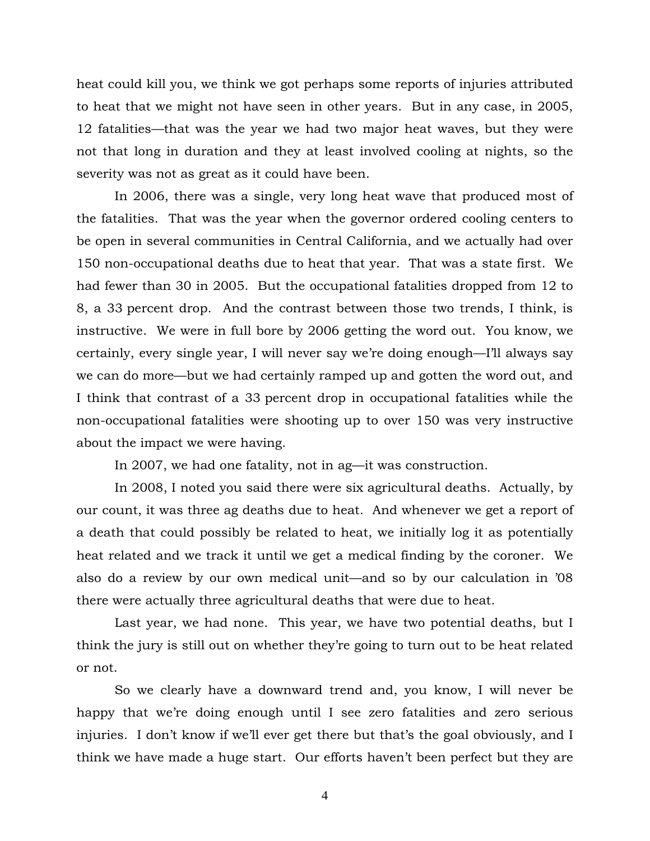heat could kill you, we think we got perhaps some reports of injuries attributed to heat that we might not have seen in other years. But in any case, in 2005, 12 fatalities—that was the year we had two major heat waves, but they were not that long in duration and they at least involved cooling at nights, so the severity was not as great as it could have been.

In 2006, there was a single, very long heat wave that produced most of the fatalities. That was the year when the governor ordered cooling centers to be open in several communities in Central California, and we actually had over 150 non-occupational deaths due to heat that year. That was a state first. We had fewer than 30 in 2005. But the occupational fatalities dropped from 12 to 8, a 33 percent drop. And the contrast between those two trends, I think, is instructive. We were in full bore by 2006 getting the word out. You know, we certainly, every single year, I will never say we're doing enough—I'll always say we can do more—but we had certainly ramped up and gotten the word out, and I think that contrast of a 33 percent drop in occupational fatalities while the non-occupational fatalities were shooting up to over 150 was very instructive about the impact we were having.

In 2007, we had one fatality, not in ag—it was construction.

In 2008, I noted you said there were six agricultural deaths. Actually, by our count, it was three ag deaths due to heat. And whenever we get a report of a death that could possibly be related to heat, we initially log it as potentially heat related and we track it until we get a medical finding by the coroner. We also do a review by our own medical unit—and so by our calculation in '08 there were actually three agricultural deaths that were due to heat.

Last year, we had none. This year, we have two potential deaths, but I think the jury is still out on whether they're going to turn out to be heat related or not.

So we clearly have a downward trend and, you know, I will never be happy that we're doing enough until I see zero fatalities and zero serious injuries. I don't know if we'll ever get there but that's the goal obviously, and I think we have made a huge start. Our efforts haven't been perfect but they are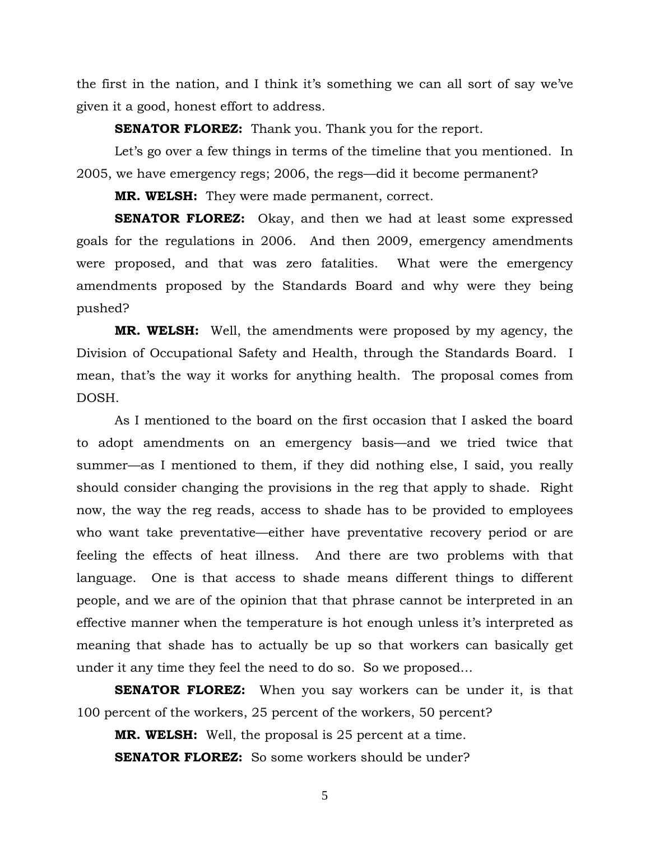the first in the nation, and I think it's something we can all sort of say we've given it a good, honest effort to address.

**SENATOR FLOREZ:** Thank you. Thank you for the report.

Let's go over a few things in terms of the timeline that you mentioned. In 2005, we have emergency regs; 2006, the regs—did it become permanent?

**MR. WELSH:** They were made permanent, correct.

**SENATOR FLOREZ:** Okay, and then we had at least some expressed goals for the regulations in 2006. And then 2009, emergency amendments were proposed, and that was zero fatalities. What were the emergency amendments proposed by the Standards Board and why were they being pushed?

**MR. WELSH:** Well, the amendments were proposed by my agency, the Division of Occupational Safety and Health, through the Standards Board. I mean, that's the way it works for anything health. The proposal comes from DOSH.

As I mentioned to the board on the first occasion that I asked the board to adopt amendments on an emergency basis—and we tried twice that summer—as I mentioned to them, if they did nothing else, I said, you really should consider changing the provisions in the reg that apply to shade. Right now, the way the reg reads, access to shade has to be provided to employees who want take preventative—either have preventative recovery period or are feeling the effects of heat illness. And there are two problems with that language. One is that access to shade means different things to different people, and we are of the opinion that that phrase cannot be interpreted in an effective manner when the temperature is hot enough unless it's interpreted as meaning that shade has to actually be up so that workers can basically get under it any time they feel the need to do so. So we proposed…

**SENATOR FLOREZ:** When you say workers can be under it, is that 100 percent of the workers, 25 percent of the workers, 50 percent?

**MR. WELSH:** Well, the proposal is 25 percent at a time.

**SENATOR FLOREZ:** So some workers should be under?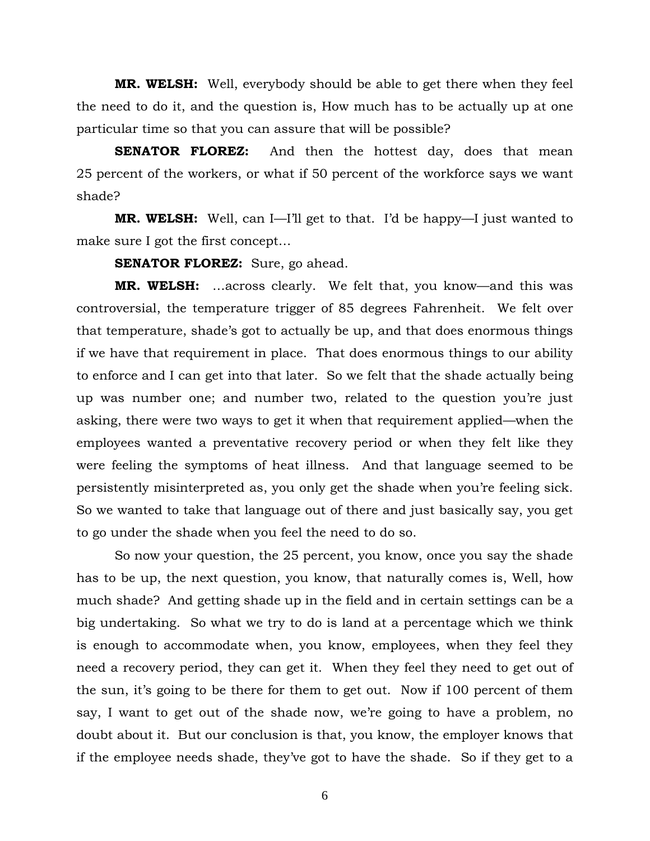**MR. WELSH:** Well, everybody should be able to get there when they feel the need to do it, and the question is, How much has to be actually up at one particular time so that you can assure that will be possible?

**SENATOR FLOREZ:** And then the hottest day, does that mean 25 percent of the workers, or what if 50 percent of the workforce says we want shade?

**MR. WELSH:** Well, can I—I'll get to that. I'd be happy—I just wanted to make sure I got the first concept…

**SENATOR FLOREZ:** Sure, go ahead.

**MR. WELSH:** …across clearly. We felt that, you know—and this was controversial, the temperature trigger of 85 degrees Fahrenheit. We felt over that temperature, shade's got to actually be up, and that does enormous things if we have that requirement in place. That does enormous things to our ability to enforce and I can get into that later. So we felt that the shade actually being up was number one; and number two, related to the question you're just asking, there were two ways to get it when that requirement applied—when the employees wanted a preventative recovery period or when they felt like they were feeling the symptoms of heat illness. And that language seemed to be persistently misinterpreted as, you only get the shade when you're feeling sick. So we wanted to take that language out of there and just basically say, you get to go under the shade when you feel the need to do so.

So now your question, the 25 percent, you know, once you say the shade has to be up, the next question, you know, that naturally comes is, Well, how much shade? And getting shade up in the field and in certain settings can be a big undertaking. So what we try to do is land at a percentage which we think is enough to accommodate when, you know, employees, when they feel they need a recovery period, they can get it. When they feel they need to get out of the sun, it's going to be there for them to get out. Now if 100 percent of them say, I want to get out of the shade now, we're going to have a problem, no doubt about it. But our conclusion is that, you know, the employer knows that if the employee needs shade, they've got to have the shade. So if they get to a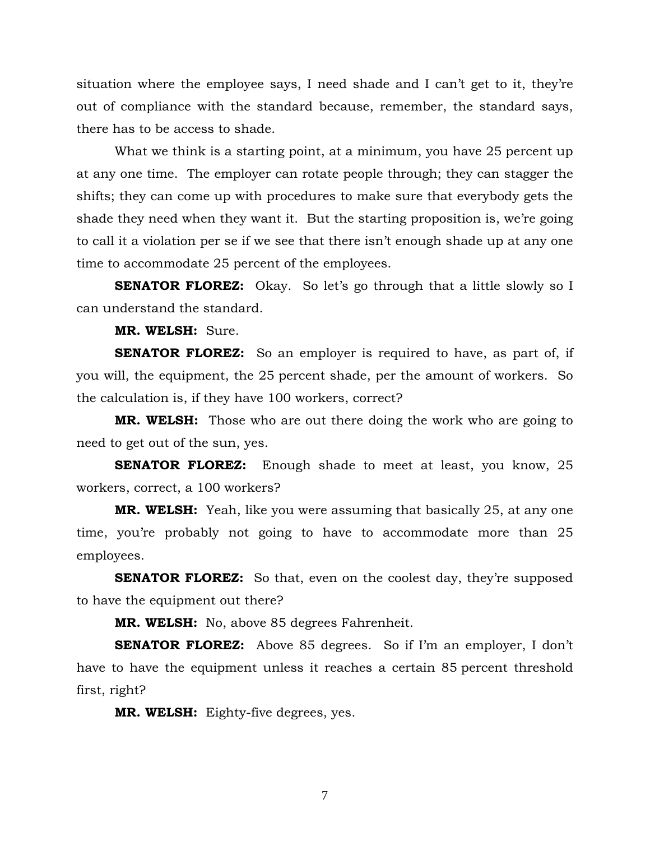situation where the employee says, I need shade and I can't get to it, they're out of compliance with the standard because, remember, the standard says, there has to be access to shade.

What we think is a starting point, at a minimum, you have 25 percent up at any one time. The employer can rotate people through; they can stagger the shifts; they can come up with procedures to make sure that everybody gets the shade they need when they want it. But the starting proposition is, we're going to call it a violation per se if we see that there isn't enough shade up at any one time to accommodate 25 percent of the employees.

**SENATOR FLOREZ:** Okay. So let's go through that a little slowly so I can understand the standard.

**MR. WELSH:** Sure.

**SENATOR FLOREZ:** So an employer is required to have, as part of, if you will, the equipment, the 25 percent shade, per the amount of workers. So the calculation is, if they have 100 workers, correct?

**MR. WELSH:** Those who are out there doing the work who are going to need to get out of the sun, yes.

**SENATOR FLOREZ:** Enough shade to meet at least, you know, 25 workers, correct, a 100 workers?

**MR. WELSH:** Yeah, like you were assuming that basically 25, at any one time, you're probably not going to have to accommodate more than 25 employees.

**SENATOR FLOREZ:** So that, even on the coolest day, they're supposed to have the equipment out there?

**MR. WELSH:** No, above 85 degrees Fahrenheit.

**SENATOR FLOREZ:** Above 85 degrees. So if I'm an employer, I don't have to have the equipment unless it reaches a certain 85 percent threshold first, right?

**MR. WELSH:** Eighty-five degrees, yes.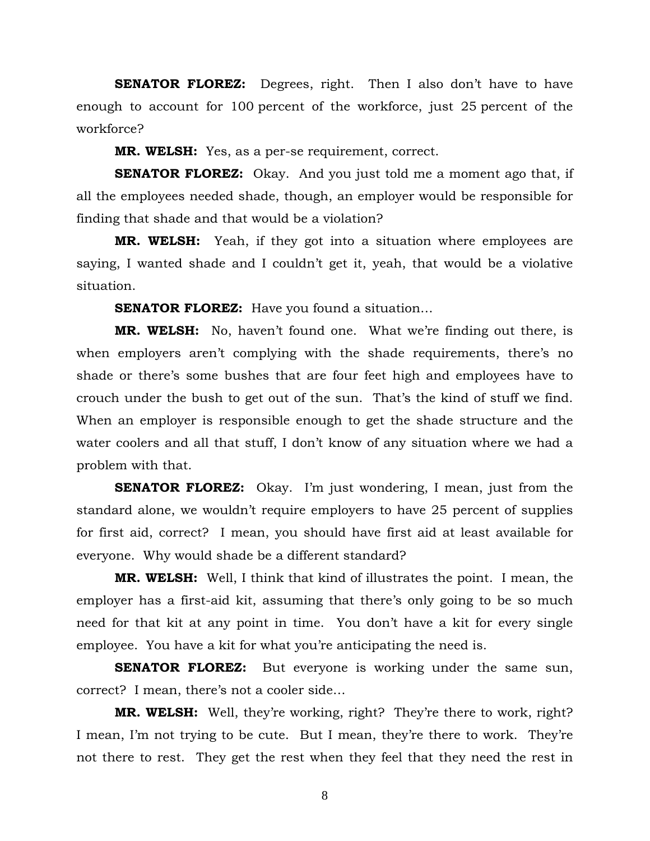**SENATOR FLOREZ:** Degrees, right. Then I also don't have to have enough to account for 100 percent of the workforce, just 25 percent of the workforce?

**MR. WELSH:** Yes, as a per-se requirement, correct.

**SENATOR FLOREZ:** Okay. And you just told me a moment ago that, if all the employees needed shade, though, an employer would be responsible for finding that shade and that would be a violation?

**MR. WELSH:** Yeah, if they got into a situation where employees are saying, I wanted shade and I couldn't get it, yeah, that would be a violative situation.

**SENATOR FLOREZ:** Have you found a situation...

**MR. WELSH:** No, haven't found one. What we're finding out there, is when employers aren't complying with the shade requirements, there's no shade or there's some bushes that are four feet high and employees have to crouch under the bush to get out of the sun. That's the kind of stuff we find. When an employer is responsible enough to get the shade structure and the water coolers and all that stuff, I don't know of any situation where we had a problem with that.

**SENATOR FLOREZ:** Okay. I'm just wondering, I mean, just from the standard alone, we wouldn't require employers to have 25 percent of supplies for first aid, correct? I mean, you should have first aid at least available for everyone. Why would shade be a different standard?

**MR. WELSH:** Well, I think that kind of illustrates the point. I mean, the employer has a first-aid kit, assuming that there's only going to be so much need for that kit at any point in time. You don't have a kit for every single employee. You have a kit for what you're anticipating the need is.

**SENATOR FLOREZ:** But everyone is working under the same sun, correct? I mean, there's not a cooler side…

**MR. WELSH:** Well, they're working, right? They're there to work, right? I mean, I'm not trying to be cute. But I mean, they're there to work. They're not there to rest. They get the rest when they feel that they need the rest in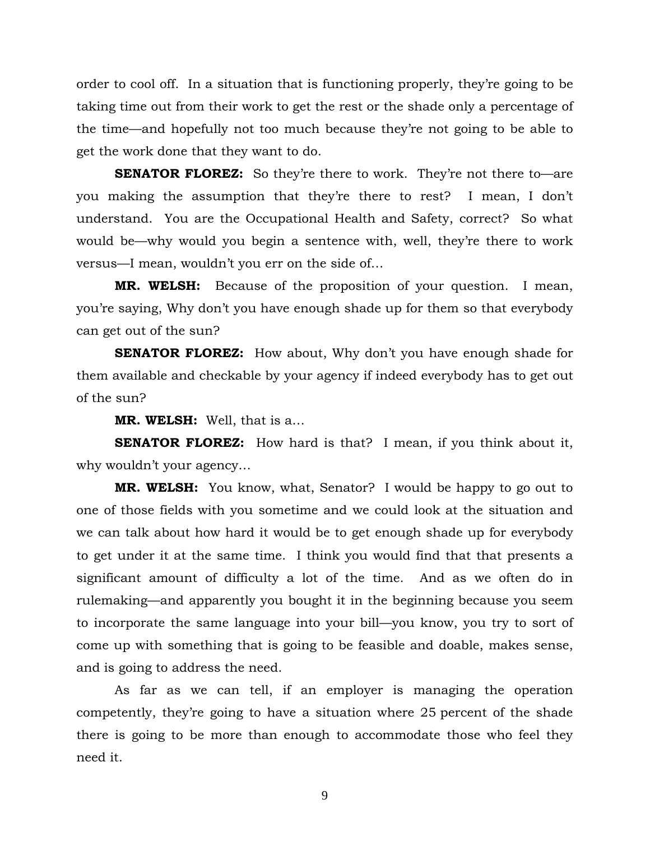order to cool off. In a situation that is functioning properly, they're going to be taking time out from their work to get the rest or the shade only a percentage of the time—and hopefully not too much because they're not going to be able to get the work done that they want to do.

**SENATOR FLOREZ:** So they're there to work. They're not there to—are you making the assumption that they're there to rest? I mean, I don't understand. You are the Occupational Health and Safety, correct? So what would be—why would you begin a sentence with, well, they're there to work versus—I mean, wouldn't you err on the side of…

**MR. WELSH:** Because of the proposition of your question. I mean, you're saying, Why don't you have enough shade up for them so that everybody can get out of the sun?

**SENATOR FLOREZ:** How about, Why don't you have enough shade for them available and checkable by your agency if indeed everybody has to get out of the sun?

**MR. WELSH:** Well, that is a…

**SENATOR FLOREZ:** How hard is that? I mean, if you think about it, why wouldn't your agency…

**MR. WELSH:** You know, what, Senator? I would be happy to go out to one of those fields with you sometime and we could look at the situation and we can talk about how hard it would be to get enough shade up for everybody to get under it at the same time. I think you would find that that presents a significant amount of difficulty a lot of the time. And as we often do in rulemaking—and apparently you bought it in the beginning because you seem to incorporate the same language into your bill—you know, you try to sort of come up with something that is going to be feasible and doable, makes sense, and is going to address the need.

 As far as we can tell, if an employer is managing the operation competently, they're going to have a situation where 25 percent of the shade there is going to be more than enough to accommodate those who feel they need it.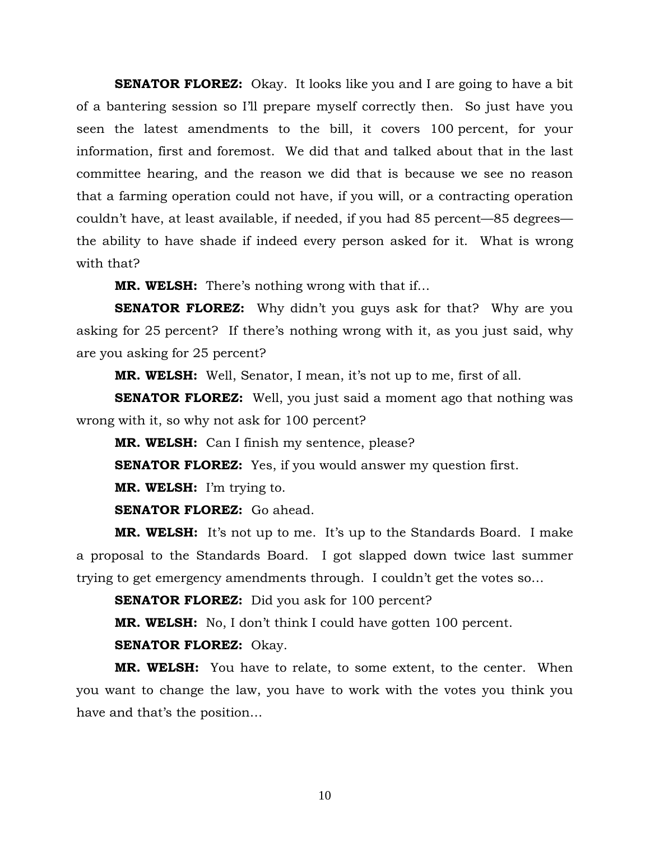**SENATOR FLOREZ:** Okay. It looks like you and I are going to have a bit of a bantering session so I'll prepare myself correctly then. So just have you seen the latest amendments to the bill, it covers 100 percent, for your information, first and foremost. We did that and talked about that in the last committee hearing, and the reason we did that is because we see no reason that a farming operation could not have, if you will, or a contracting operation couldn't have, at least available, if needed, if you had 85 percent—85 degrees the ability to have shade if indeed every person asked for it. What is wrong with that?

**MR. WELSH:** There's nothing wrong with that if…

**SENATOR FLOREZ:** Why didn't you guys ask for that? Why are you asking for 25 percent? If there's nothing wrong with it, as you just said, why are you asking for 25 percent?

**MR. WELSH:** Well, Senator, I mean, it's not up to me, first of all.

**SENATOR FLOREZ:** Well, you just said a moment ago that nothing was wrong with it, so why not ask for 100 percent?

**MR. WELSH:** Can I finish my sentence, please?

**SENATOR FLOREZ:** Yes, if you would answer my question first.

**MR. WELSH:** I'm trying to.

**SENATOR FLOREZ:** Go ahead.

**MR. WELSH:** It's not up to me. It's up to the Standards Board. I make a proposal to the Standards Board. I got slapped down twice last summer trying to get emergency amendments through. I couldn't get the votes so…

**SENATOR FLOREZ:** Did you ask for 100 percent?

**MR. WELSH:** No, I don't think I could have gotten 100 percent.

**SENATOR FLOREZ:** Okay.

**MR. WELSH:** You have to relate, to some extent, to the center. When you want to change the law, you have to work with the votes you think you have and that's the position…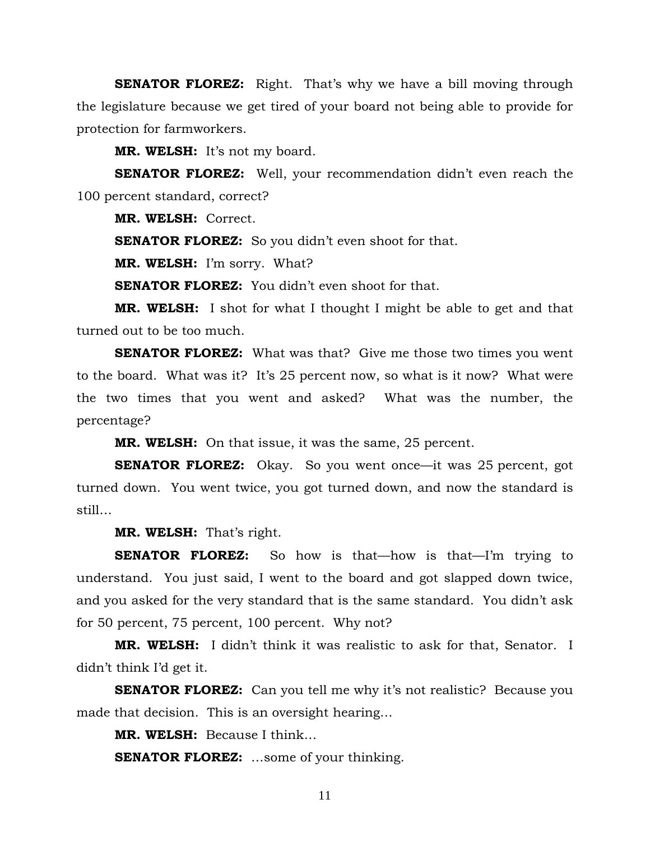**SENATOR FLOREZ:** Right. That's why we have a bill moving through the legislature because we get tired of your board not being able to provide for protection for farmworkers.

**MR. WELSH:** It's not my board.

**SENATOR FLOREZ:** Well, your recommendation didn't even reach the 100 percent standard, correct?

**MR. WELSH:** Correct.

**SENATOR FLOREZ:** So you didn't even shoot for that.

**MR. WELSH:** I'm sorry. What?

**SENATOR FLOREZ:** You didn't even shoot for that.

**MR. WELSH:** I shot for what I thought I might be able to get and that turned out to be too much.

**SENATOR FLOREZ:** What was that? Give me those two times you went to the board. What was it? It's 25 percent now, so what is it now? What were the two times that you went and asked? What was the number, the percentage?

**MR. WELSH:** On that issue, it was the same, 25 percent.

**SENATOR FLOREZ:** Okay. So you went once—it was 25 percent, got turned down. You went twice, you got turned down, and now the standard is still…

**MR. WELSH:** That's right.

**SENATOR FLOREZ:** So how is that—how is that—I'm trying to understand. You just said, I went to the board and got slapped down twice, and you asked for the very standard that is the same standard. You didn't ask for 50 percent, 75 percent, 100 percent. Why not?

**MR. WELSH:** I didn't think it was realistic to ask for that, Senator. I didn't think I'd get it.

**SENATOR FLOREZ:** Can you tell me why it's not realistic? Because you made that decision. This is an oversight hearing…

**MR. WELSH:** Because I think…

**SENATOR FLOREZ:** …some of your thinking.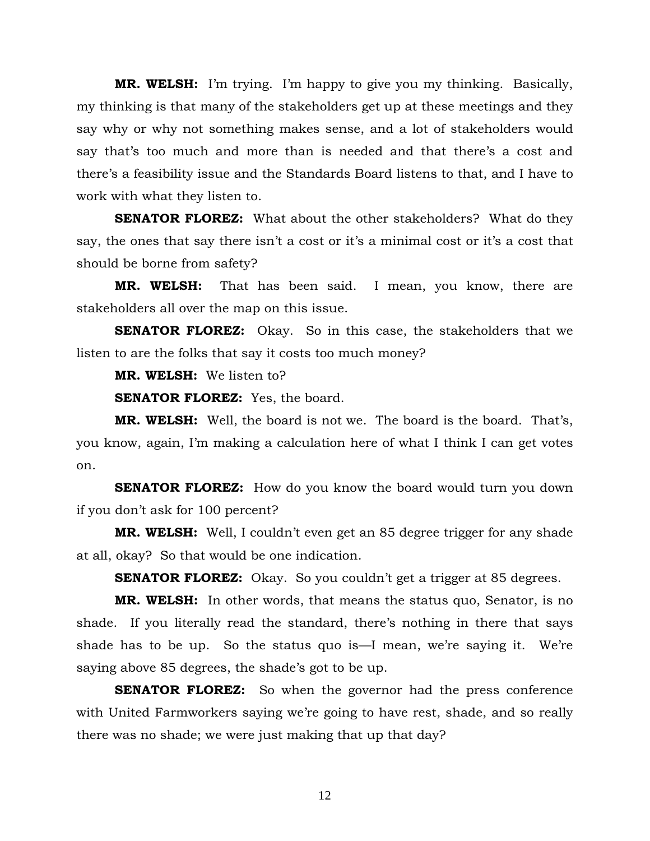**MR. WELSH:** I'm trying. I'm happy to give you my thinking. Basically, my thinking is that many of the stakeholders get up at these meetings and they say why or why not something makes sense, and a lot of stakeholders would say that's too much and more than is needed and that there's a cost and there's a feasibility issue and the Standards Board listens to that, and I have to work with what they listen to.

**SENATOR FLOREZ:** What about the other stakeholders? What do they say, the ones that say there isn't a cost or it's a minimal cost or it's a cost that should be borne from safety?

**MR. WELSH:** That has been said. I mean, you know, there are stakeholders all over the map on this issue.

**SENATOR FLOREZ:** Okay. So in this case, the stakeholders that we listen to are the folks that say it costs too much money?

**MR. WELSH:** We listen to?

**SENATOR FLOREZ:** Yes, the board.

**MR. WELSH:** Well, the board is not we. The board is the board. That's, you know, again, I'm making a calculation here of what I think I can get votes on.

**SENATOR FLOREZ:** How do you know the board would turn you down if you don't ask for 100 percent?

**MR. WELSH:** Well, I couldn't even get an 85 degree trigger for any shade at all, okay? So that would be one indication.

**SENATOR FLOREZ:** Okay. So you couldn't get a trigger at 85 degrees.

**MR. WELSH:** In other words, that means the status quo, Senator, is no shade. If you literally read the standard, there's nothing in there that says shade has to be up. So the status quo is—I mean, we're saying it. We're saying above 85 degrees, the shade's got to be up.

**SENATOR FLOREZ:** So when the governor had the press conference with United Farmworkers saying we're going to have rest, shade, and so really there was no shade; we were just making that up that day?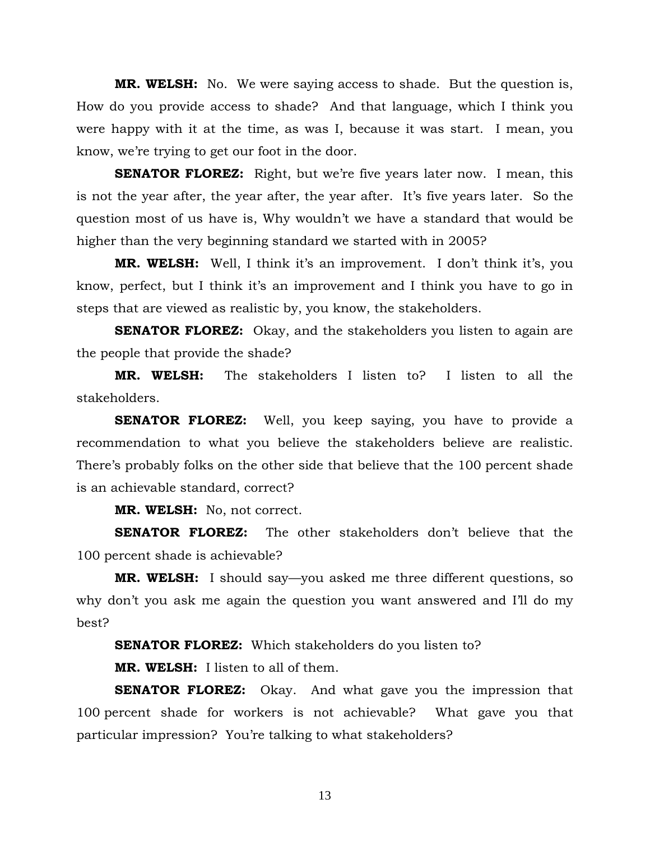**MR. WELSH:** No. We were saying access to shade. But the question is, How do you provide access to shade? And that language, which I think you were happy with it at the time, as was I, because it was start. I mean, you know, we're trying to get our foot in the door.

**SENATOR FLOREZ:** Right, but we're five years later now. I mean, this is not the year after, the year after, the year after. It's five years later. So the question most of us have is, Why wouldn't we have a standard that would be higher than the very beginning standard we started with in 2005?

**MR. WELSH:** Well, I think it's an improvement. I don't think it's, you know, perfect, but I think it's an improvement and I think you have to go in steps that are viewed as realistic by, you know, the stakeholders.

**SENATOR FLOREZ:** Okay, and the stakeholders you listen to again are the people that provide the shade?

**MR. WELSH:** The stakeholders I listen to? I listen to all the stakeholders.

**SENATOR FLOREZ:** Well, you keep saying, you have to provide a recommendation to what you believe the stakeholders believe are realistic. There's probably folks on the other side that believe that the 100 percent shade is an achievable standard, correct?

**MR. WELSH:** No, not correct.

**SENATOR FLOREZ:** The other stakeholders don't believe that the 100 percent shade is achievable?

**MR. WELSH:** I should say—you asked me three different questions, so why don't you ask me again the question you want answered and I'll do my best?

**SENATOR FLOREZ:** Which stakeholders do you listen to?

**MR. WELSH:** I listen to all of them.

**SENATOR FLOREZ:** Okay. And what gave you the impression that 100 percent shade for workers is not achievable? What gave you that particular impression? You're talking to what stakeholders?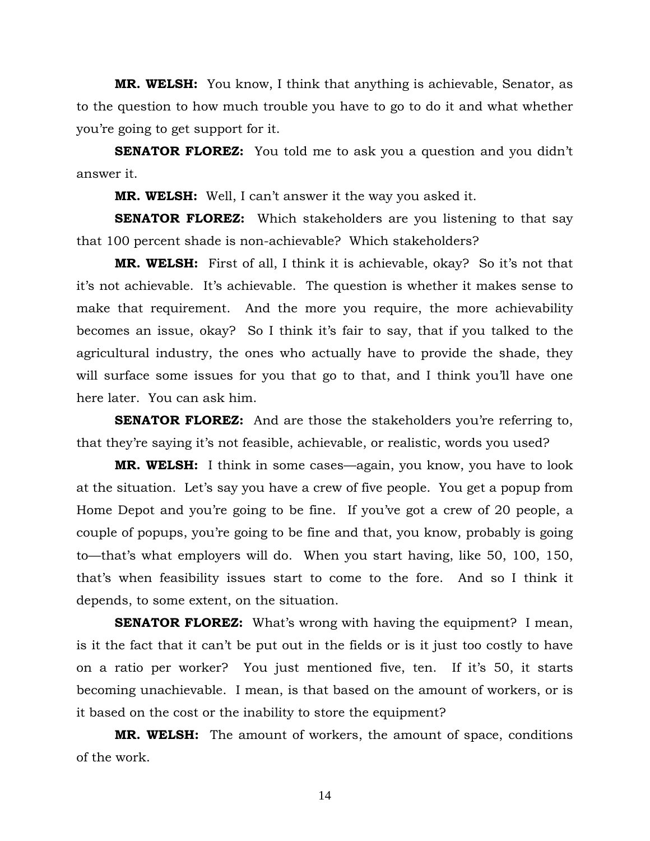**MR. WELSH:** You know, I think that anything is achievable, Senator, as to the question to how much trouble you have to go to do it and what whether you're going to get support for it.

**SENATOR FLOREZ:** You told me to ask you a question and you didn't answer it.

**MR. WELSH:** Well, I can't answer it the way you asked it.

**SENATOR FLOREZ:** Which stakeholders are you listening to that say that 100 percent shade is non-achievable? Which stakeholders?

**MR. WELSH:** First of all, I think it is achievable, okay? So it's not that it's not achievable. It's achievable. The question is whether it makes sense to make that requirement. And the more you require, the more achievability becomes an issue, okay? So I think it's fair to say, that if you talked to the agricultural industry, the ones who actually have to provide the shade, they will surface some issues for you that go to that, and I think you'll have one here later. You can ask him.

**SENATOR FLOREZ:** And are those the stakeholders you're referring to, that they're saying it's not feasible, achievable, or realistic, words you used?

**MR. WELSH:** I think in some cases—again, you know, you have to look at the situation. Let's say you have a crew of five people. You get a popup from Home Depot and you're going to be fine. If you've got a crew of 20 people, a couple of popups, you're going to be fine and that, you know, probably is going to—that's what employers will do. When you start having, like 50, 100, 150, that's when feasibility issues start to come to the fore. And so I think it depends, to some extent, on the situation.

**SENATOR FLOREZ:** What's wrong with having the equipment? I mean, is it the fact that it can't be put out in the fields or is it just too costly to have on a ratio per worker? You just mentioned five, ten. If it's 50, it starts becoming unachievable. I mean, is that based on the amount of workers, or is it based on the cost or the inability to store the equipment?

**MR. WELSH:** The amount of workers, the amount of space, conditions of the work.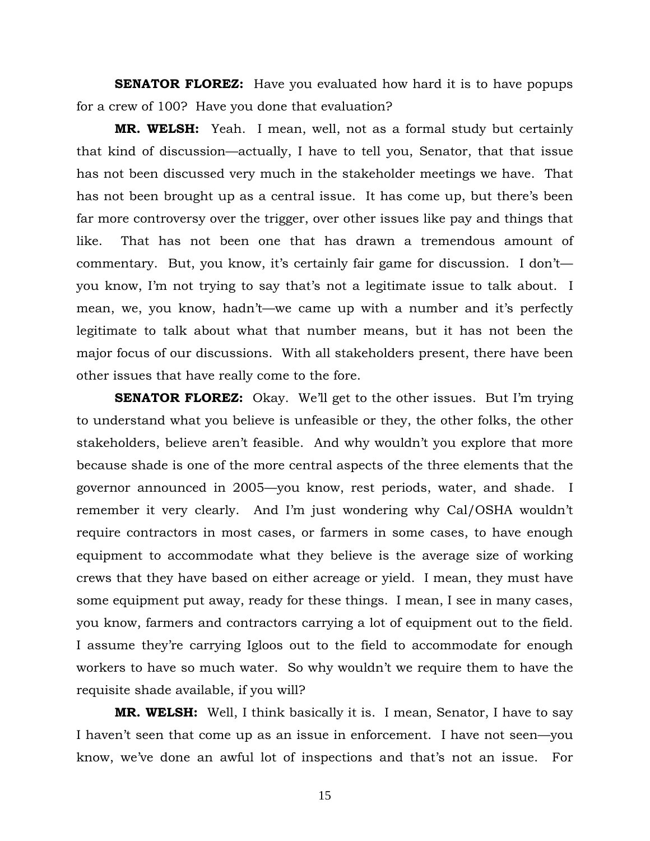**SENATOR FLOREZ:** Have you evaluated how hard it is to have popups for a crew of 100? Have you done that evaluation?

**MR. WELSH:** Yeah. I mean, well, not as a formal study but certainly that kind of discussion—actually, I have to tell you, Senator, that that issue has not been discussed very much in the stakeholder meetings we have. That has not been brought up as a central issue. It has come up, but there's been far more controversy over the trigger, over other issues like pay and things that like. That has not been one that has drawn a tremendous amount of commentary. But, you know, it's certainly fair game for discussion. I don't you know, I'm not trying to say that's not a legitimate issue to talk about. I mean, we, you know, hadn't—we came up with a number and it's perfectly legitimate to talk about what that number means, but it has not been the major focus of our discussions. With all stakeholders present, there have been other issues that have really come to the fore.

**SENATOR FLOREZ:** Okay. We'll get to the other issues. But I'm trying to understand what you believe is unfeasible or they, the other folks, the other stakeholders, believe aren't feasible. And why wouldn't you explore that more because shade is one of the more central aspects of the three elements that the governor announced in 2005—you know, rest periods, water, and shade. I remember it very clearly. And I'm just wondering why Cal/OSHA wouldn't require contractors in most cases, or farmers in some cases, to have enough equipment to accommodate what they believe is the average size of working crews that they have based on either acreage or yield. I mean, they must have some equipment put away, ready for these things. I mean, I see in many cases, you know, farmers and contractors carrying a lot of equipment out to the field. I assume they're carrying Igloos out to the field to accommodate for enough workers to have so much water. So why wouldn't we require them to have the requisite shade available, if you will?

**MR. WELSH:** Well, I think basically it is. I mean, Senator, I have to say I haven't seen that come up as an issue in enforcement. I have not seen—you know, we've done an awful lot of inspections and that's not an issue. For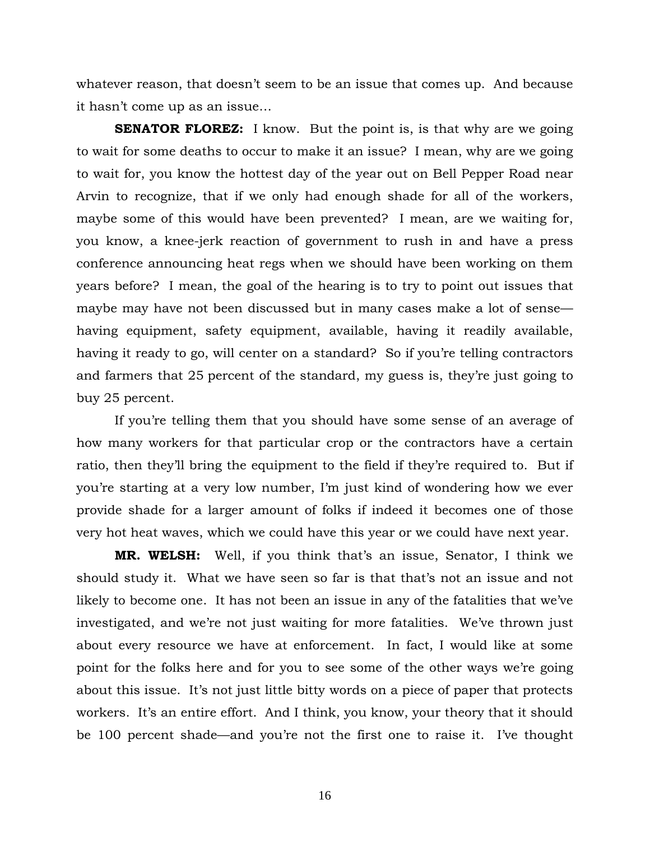whatever reason, that doesn't seem to be an issue that comes up. And because it hasn't come up as an issue…

**SENATOR FLOREZ:** I know. But the point is, is that why are we going to wait for some deaths to occur to make it an issue? I mean, why are we going to wait for, you know the hottest day of the year out on Bell Pepper Road near Arvin to recognize, that if we only had enough shade for all of the workers, maybe some of this would have been prevented? I mean, are we waiting for, you know, a knee-jerk reaction of government to rush in and have a press conference announcing heat regs when we should have been working on them years before? I mean, the goal of the hearing is to try to point out issues that maybe may have not been discussed but in many cases make a lot of sense having equipment, safety equipment, available, having it readily available, having it ready to go, will center on a standard? So if you're telling contractors and farmers that 25 percent of the standard, my guess is, they're just going to buy 25 percent.

 If you're telling them that you should have some sense of an average of how many workers for that particular crop or the contractors have a certain ratio, then they'll bring the equipment to the field if they're required to. But if you're starting at a very low number, I'm just kind of wondering how we ever provide shade for a larger amount of folks if indeed it becomes one of those very hot heat waves, which we could have this year or we could have next year.

**MR. WELSH:** Well, if you think that's an issue, Senator, I think we should study it. What we have seen so far is that that's not an issue and not likely to become one. It has not been an issue in any of the fatalities that we've investigated, and we're not just waiting for more fatalities. We've thrown just about every resource we have at enforcement. In fact, I would like at some point for the folks here and for you to see some of the other ways we're going about this issue. It's not just little bitty words on a piece of paper that protects workers. It's an entire effort. And I think, you know, your theory that it should be 100 percent shade—and you're not the first one to raise it. I've thought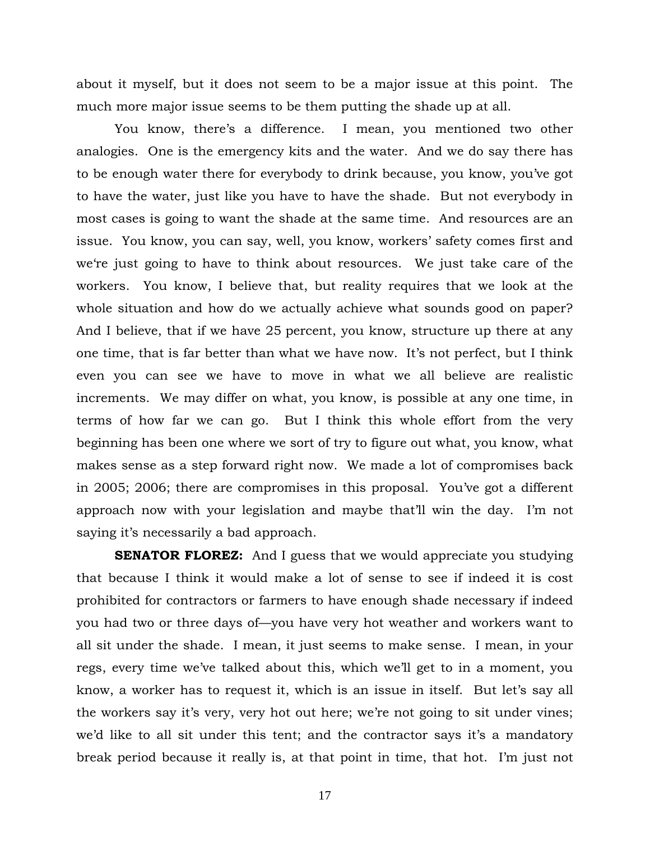about it myself, but it does not seem to be a major issue at this point. The much more major issue seems to be them putting the shade up at all.

 You know, there's a difference. I mean, you mentioned two other analogies. One is the emergency kits and the water. And we do say there has to be enough water there for everybody to drink because, you know, you've got to have the water, just like you have to have the shade. But not everybody in most cases is going to want the shade at the same time. And resources are an issue. You know, you can say, well, you know, workers' safety comes first and we're just going to have to think about resources. We just take care of the workers. You know, I believe that, but reality requires that we look at the whole situation and how do we actually achieve what sounds good on paper? And I believe, that if we have 25 percent, you know, structure up there at any one time, that is far better than what we have now. It's not perfect, but I think even you can see we have to move in what we all believe are realistic increments. We may differ on what, you know, is possible at any one time, in terms of how far we can go. But I think this whole effort from the very beginning has been one where we sort of try to figure out what, you know, what makes sense as a step forward right now. We made a lot of compromises back in 2005; 2006; there are compromises in this proposal. You've got a different approach now with your legislation and maybe that'll win the day. I'm not saying it's necessarily a bad approach.

**SENATOR FLOREZ:** And I guess that we would appreciate you studying that because I think it would make a lot of sense to see if indeed it is cost prohibited for contractors or farmers to have enough shade necessary if indeed you had two or three days of—you have very hot weather and workers want to all sit under the shade. I mean, it just seems to make sense. I mean, in your regs, every time we've talked about this, which we'll get to in a moment, you know, a worker has to request it, which is an issue in itself. But let's say all the workers say it's very, very hot out here; we're not going to sit under vines; we'd like to all sit under this tent; and the contractor says it's a mandatory break period because it really is, at that point in time, that hot. I'm just not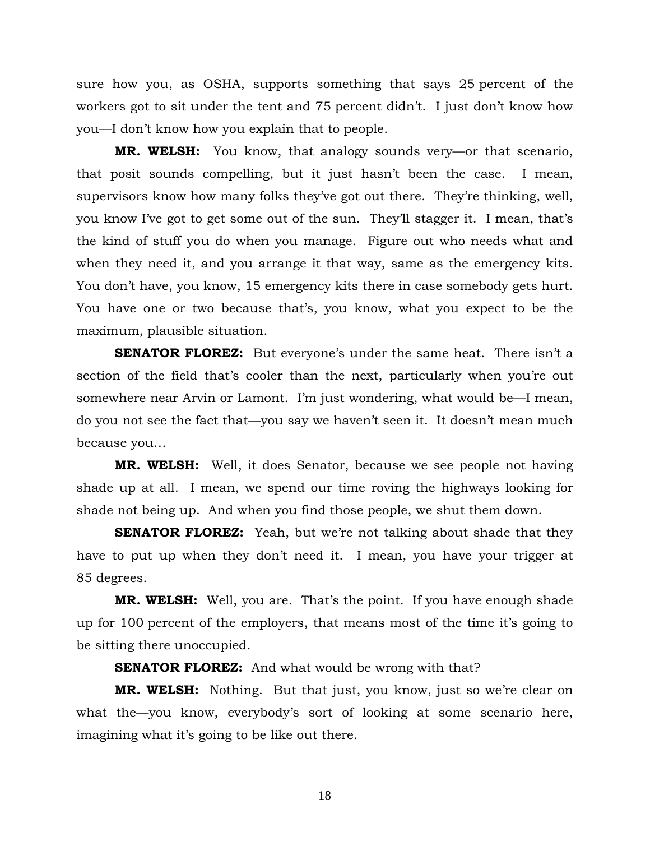sure how you, as OSHA, supports something that says 25 percent of the workers got to sit under the tent and 75 percent didn't. I just don't know how you—I don't know how you explain that to people.

**MR. WELSH:** You know, that analogy sounds very—or that scenario, that posit sounds compelling, but it just hasn't been the case. I mean, supervisors know how many folks they've got out there. They're thinking, well, you know I've got to get some out of the sun. They'll stagger it. I mean, that's the kind of stuff you do when you manage. Figure out who needs what and when they need it, and you arrange it that way, same as the emergency kits. You don't have, you know, 15 emergency kits there in case somebody gets hurt. You have one or two because that's, you know, what you expect to be the maximum, plausible situation.

**SENATOR FLOREZ:** But everyone's under the same heat. There isn't a section of the field that's cooler than the next, particularly when you're out somewhere near Arvin or Lamont. I'm just wondering, what would be—I mean, do you not see the fact that—you say we haven't seen it. It doesn't mean much because you…

**MR. WELSH:** Well, it does Senator, because we see people not having shade up at all. I mean, we spend our time roving the highways looking for shade not being up. And when you find those people, we shut them down.

**SENATOR FLOREZ:** Yeah, but we're not talking about shade that they have to put up when they don't need it. I mean, you have your trigger at 85 degrees.

**MR. WELSH:** Well, you are. That's the point. If you have enough shade up for 100 percent of the employers, that means most of the time it's going to be sitting there unoccupied.

**SENATOR FLOREZ:** And what would be wrong with that?

**MR. WELSH:** Nothing. But that just, you know, just so we're clear on what the—you know, everybody's sort of looking at some scenario here, imagining what it's going to be like out there.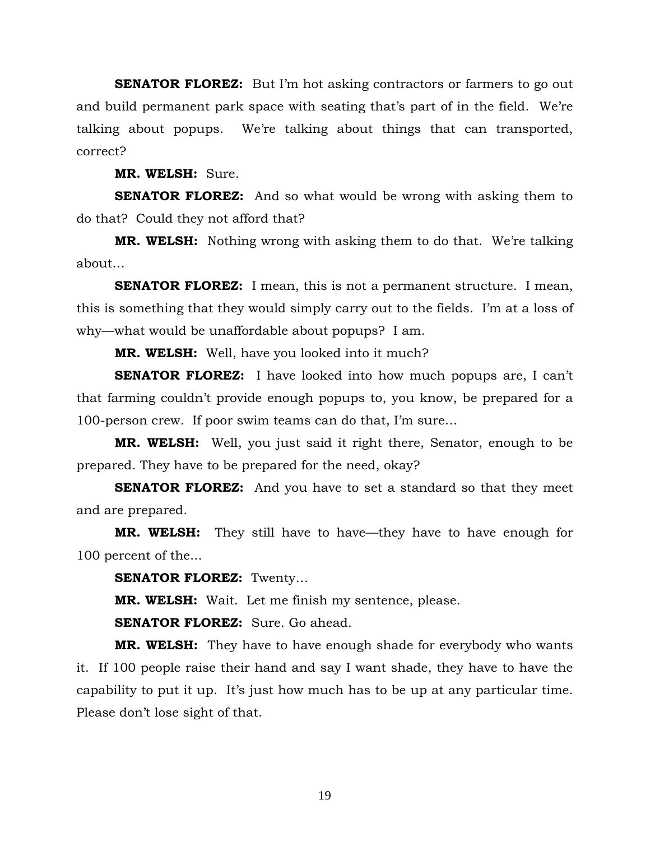**SENATOR FLOREZ:** But I'm hot asking contractors or farmers to go out and build permanent park space with seating that's part of in the field. We're talking about popups. We're talking about things that can transported, correct?

**MR. WELSH:** Sure.

**SENATOR FLOREZ:** And so what would be wrong with asking them to do that? Could they not afford that?

**MR. WELSH:** Nothing wrong with asking them to do that. We're talking about…

**SENATOR FLOREZ:** I mean, this is not a permanent structure. I mean, this is something that they would simply carry out to the fields. I'm at a loss of why—what would be unaffordable about popups? I am.

**MR. WELSH:** Well, have you looked into it much?

**SENATOR FLOREZ:** I have looked into how much popups are, I can't that farming couldn't provide enough popups to, you know, be prepared for a 100-person crew. If poor swim teams can do that, I'm sure…

**MR. WELSH:** Well, you just said it right there, Senator, enough to be prepared. They have to be prepared for the need, okay?

**SENATOR FLOREZ:** And you have to set a standard so that they meet and are prepared.

**MR. WELSH:** They still have to have—they have to have enough for 100 percent of the...

**SENATOR FLOREZ:** Twenty…

**MR. WELSH:** Wait. Let me finish my sentence, please.

**SENATOR FLOREZ:** Sure. Go ahead.

**MR. WELSH:** They have to have enough shade for everybody who wants it. If 100 people raise their hand and say I want shade, they have to have the capability to put it up. It's just how much has to be up at any particular time. Please don't lose sight of that.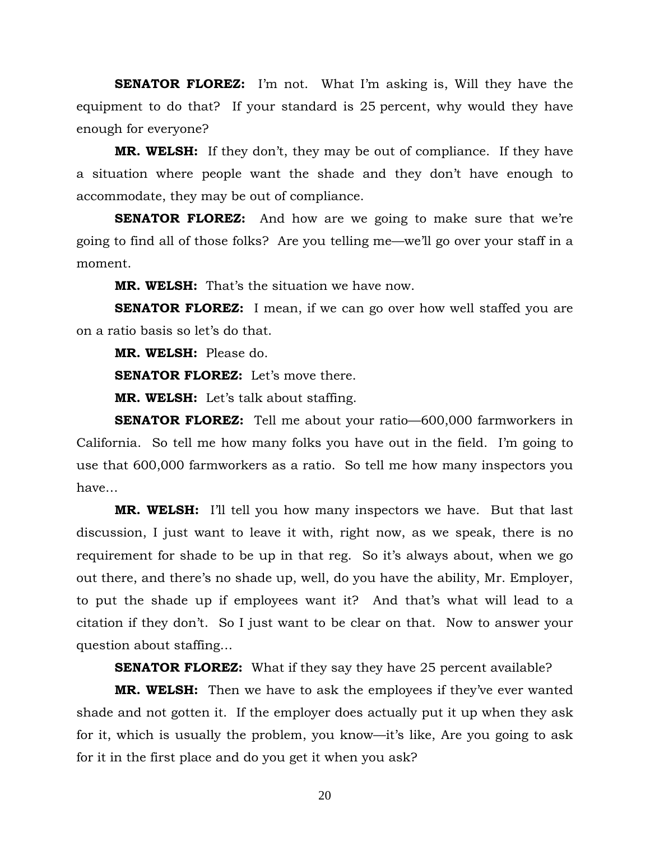**SENATOR FLOREZ:** I'm not. What I'm asking is, Will they have the equipment to do that? If your standard is 25 percent, why would they have enough for everyone?

**MR. WELSH:** If they don't, they may be out of compliance. If they have a situation where people want the shade and they don't have enough to accommodate, they may be out of compliance.

**SENATOR FLOREZ:** And how are we going to make sure that we're going to find all of those folks? Are you telling me—we'll go over your staff in a moment.

**MR. WELSH:** That's the situation we have now.

**SENATOR FLOREZ:** I mean, if we can go over how well staffed you are on a ratio basis so let's do that.

**MR. WELSH:** Please do.

**SENATOR FLOREZ:** Let's move there.

**MR. WELSH:** Let's talk about staffing.

**SENATOR FLOREZ:** Tell me about your ratio—600,000 farmworkers in California. So tell me how many folks you have out in the field. I'm going to use that 600,000 farmworkers as a ratio. So tell me how many inspectors you have…

**MR. WELSH:** I'll tell you how many inspectors we have. But that last discussion, I just want to leave it with, right now, as we speak, there is no requirement for shade to be up in that reg. So it's always about, when we go out there, and there's no shade up, well, do you have the ability, Mr. Employer, to put the shade up if employees want it? And that's what will lead to a citation if they don't. So I just want to be clear on that. Now to answer your question about staffing…

**SENATOR FLOREZ:** What if they say they have 25 percent available?

**MR. WELSH:** Then we have to ask the employees if they've ever wanted shade and not gotten it. If the employer does actually put it up when they ask for it, which is usually the problem, you know—it's like, Are you going to ask for it in the first place and do you get it when you ask?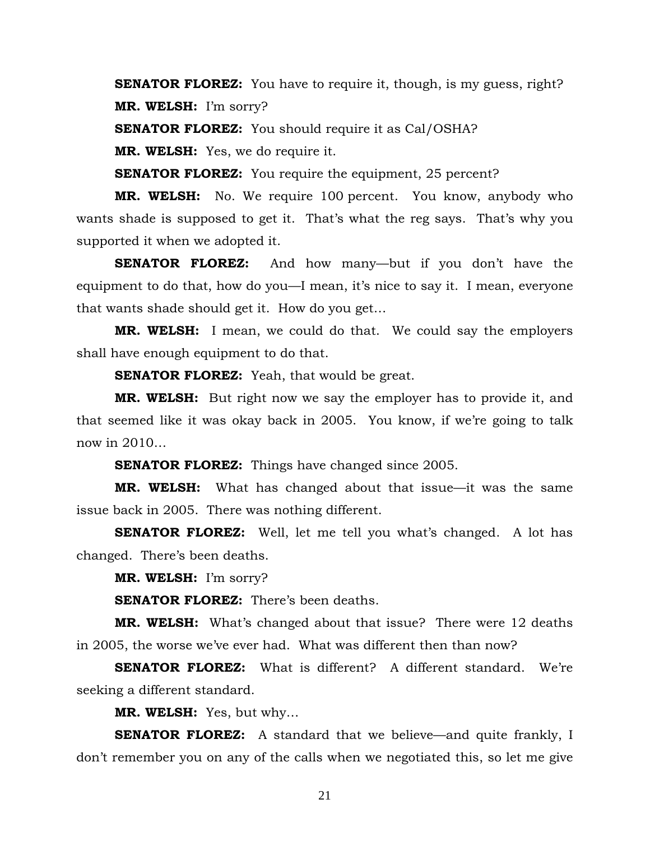**SENATOR FLOREZ:** You have to require it, though, is my guess, right? **MR. WELSH:** I'm sorry?

**SENATOR FLOREZ:** You should require it as Cal/OSHA?

**MR. WELSH:** Yes, we do require it.

**SENATOR FLOREZ:** You require the equipment, 25 percent?

**MR. WELSH:** No. We require 100 percent. You know, anybody who wants shade is supposed to get it. That's what the reg says. That's why you supported it when we adopted it.

**SENATOR FLOREZ:** And how many—but if you don't have the equipment to do that, how do you—I mean, it's nice to say it. I mean, everyone that wants shade should get it. How do you get…

**MR. WELSH:** I mean, we could do that. We could say the employers shall have enough equipment to do that.

**SENATOR FLOREZ:** Yeah, that would be great.

**MR. WELSH:** But right now we say the employer has to provide it, and that seemed like it was okay back in 2005. You know, if we're going to talk now in 2010…

**SENATOR FLOREZ:** Things have changed since 2005.

**MR. WELSH:** What has changed about that issue—it was the same issue back in 2005. There was nothing different.

**SENATOR FLOREZ:** Well, let me tell you what's changed. A lot has changed. There's been deaths.

**MR. WELSH:** I'm sorry?

**SENATOR FLOREZ:** There's been deaths.

**MR. WELSH:** What's changed about that issue? There were 12 deaths in 2005, the worse we've ever had. What was different then than now?

**SENATOR FLOREZ:** What is different? A different standard. We're seeking a different standard.

**MR. WELSH:** Yes, but why…

**SENATOR FLOREZ:** A standard that we believe—and quite frankly, I don't remember you on any of the calls when we negotiated this, so let me give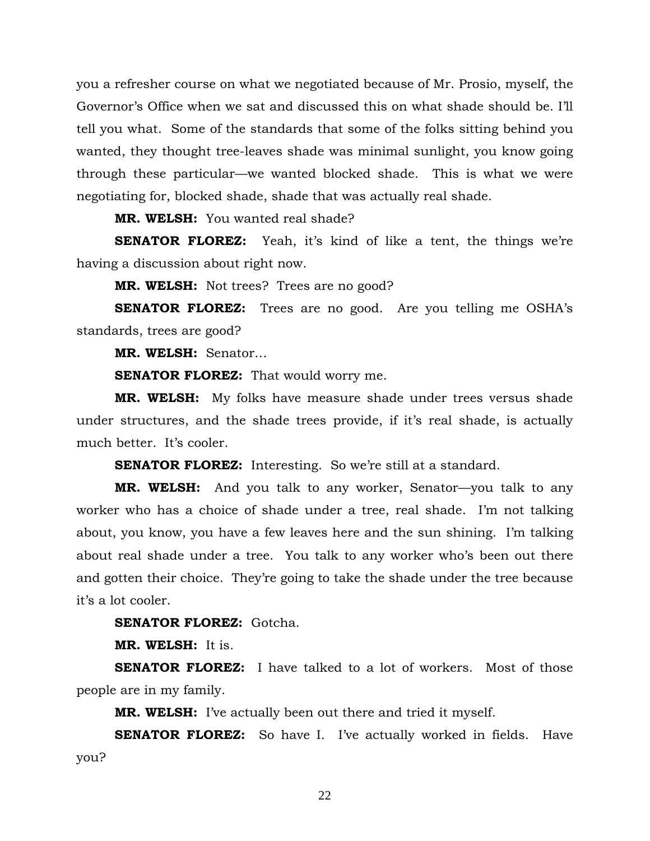you a refresher course on what we negotiated because of Mr. Prosio, myself, the Governor's Office when we sat and discussed this on what shade should be. I'll tell you what. Some of the standards that some of the folks sitting behind you wanted, they thought tree-leaves shade was minimal sunlight, you know going through these particular—we wanted blocked shade. This is what we were negotiating for, blocked shade, shade that was actually real shade.

**MR. WELSH:** You wanted real shade?

**SENATOR FLOREZ:** Yeah, it's kind of like a tent, the things we're having a discussion about right now.

**MR. WELSH:** Not trees? Trees are no good?

**SENATOR FLOREZ:** Trees are no good. Are you telling me OSHA's standards, trees are good?

**MR. WELSH:** Senator…

**SENATOR FLOREZ:** That would worry me.

**MR. WELSH:** My folks have measure shade under trees versus shade under structures, and the shade trees provide, if it's real shade, is actually much better. It's cooler.

**SENATOR FLOREZ:** Interesting. So we're still at a standard.

**MR. WELSH:** And you talk to any worker, Senator—you talk to any worker who has a choice of shade under a tree, real shade. I'm not talking about, you know, you have a few leaves here and the sun shining. I'm talking about real shade under a tree. You talk to any worker who's been out there and gotten their choice. They're going to take the shade under the tree because it's a lot cooler.

**SENATOR FLOREZ:** Gotcha.

**MR. WELSH:** It is.

**SENATOR FLOREZ:** I have talked to a lot of workers. Most of those people are in my family.

**MR. WELSH:** I've actually been out there and tried it myself.

**SENATOR FLOREZ:** So have I. I've actually worked in fields. Have you?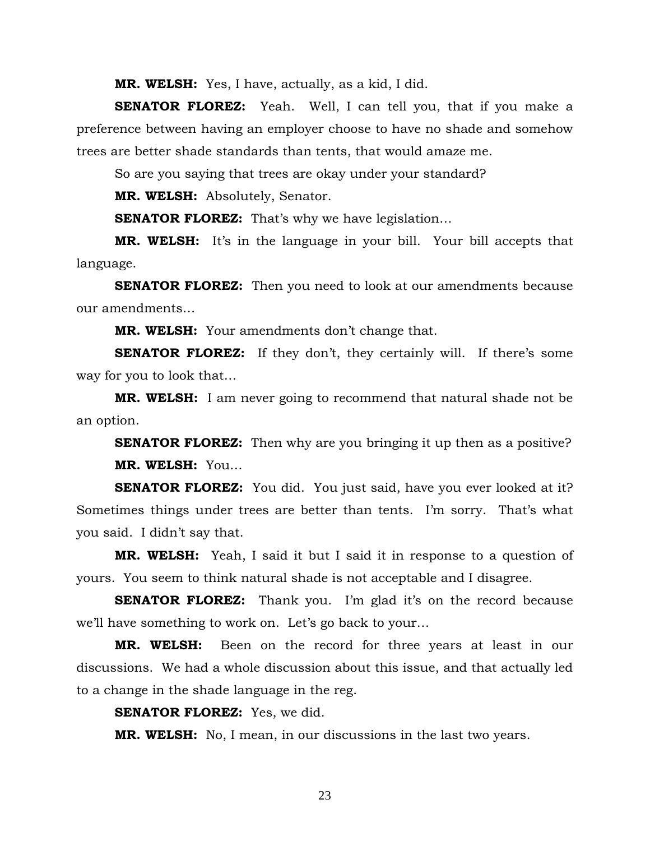**MR. WELSH:** Yes, I have, actually, as a kid, I did.

**SENATOR FLOREZ:** Yeah. Well, I can tell you, that if you make a preference between having an employer choose to have no shade and somehow trees are better shade standards than tents, that would amaze me.

So are you saying that trees are okay under your standard?

**MR. WELSH:** Absolutely, Senator.

**SENATOR FLOREZ:** That's why we have legislation...

**MR. WELSH:** It's in the language in your bill. Your bill accepts that language.

**SENATOR FLOREZ:** Then you need to look at our amendments because our amendments…

**MR. WELSH:** Your amendments don't change that.

**SENATOR FLOREZ:** If they don't, they certainly will. If there's some way for you to look that…

**MR. WELSH:** I am never going to recommend that natural shade not be an option.

**SENATOR FLOREZ:** Then why are you bringing it up then as a positive? **MR. WELSH:** You…

**SENATOR FLOREZ:** You did. You just said, have you ever looked at it? Sometimes things under trees are better than tents. I'm sorry. That's what you said. I didn't say that.

**MR. WELSH:** Yeah, I said it but I said it in response to a question of yours. You seem to think natural shade is not acceptable and I disagree.

**SENATOR FLOREZ:** Thank you. I'm glad it's on the record because we'll have something to work on. Let's go back to your…

**MR. WELSH:** Been on the record for three years at least in our discussions. We had a whole discussion about this issue, and that actually led to a change in the shade language in the reg.

**SENATOR FLOREZ:** Yes, we did.

**MR. WELSH:** No, I mean, in our discussions in the last two years.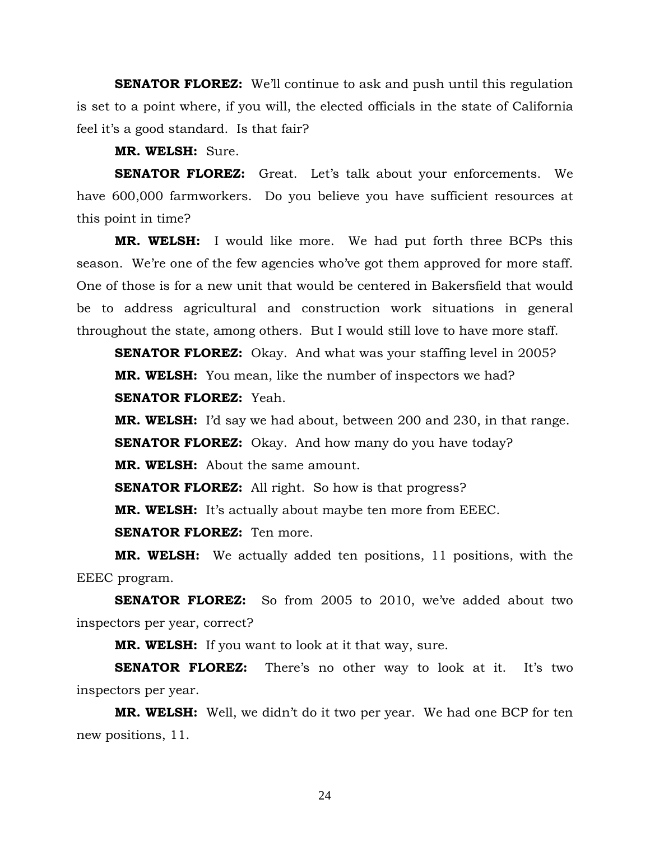**SENATOR FLOREZ:** We'll continue to ask and push until this regulation is set to a point where, if you will, the elected officials in the state of California feel it's a good standard. Is that fair?

**MR. WELSH:** Sure.

**SENATOR FLOREZ:** Great. Let's talk about your enforcements. We have 600,000 farmworkers. Do you believe you have sufficient resources at this point in time?

**MR. WELSH:** I would like more. We had put forth three BCPs this season. We're one of the few agencies who've got them approved for more staff. One of those is for a new unit that would be centered in Bakersfield that would be to address agricultural and construction work situations in general throughout the state, among others. But I would still love to have more staff.

**SENATOR FLOREZ:** Okay. And what was your staffing level in 2005? **MR. WELSH:** You mean, like the number of inspectors we had? **SENATOR FLOREZ:** Yeah.

**MR. WELSH:** I'd say we had about, between 200 and 230, in that range. **SENATOR FLOREZ:** Okay. And how many do you have today? **MR. WELSH:** About the same amount.

**SENATOR FLOREZ:** All right. So how is that progress?

**MR. WELSH:** It's actually about maybe ten more from EEEC.

**SENATOR FLOREZ:** Ten more.

**MR. WELSH:** We actually added ten positions, 11 positions, with the EEEC program.

**SENATOR FLOREZ:** So from 2005 to 2010, we've added about two inspectors per year, correct?

**MR. WELSH:** If you want to look at it that way, sure.

**SENATOR FLOREZ:** There's no other way to look at it. It's two inspectors per year.

**MR. WELSH:** Well, we didn't do it two per year. We had one BCP for ten new positions, 11.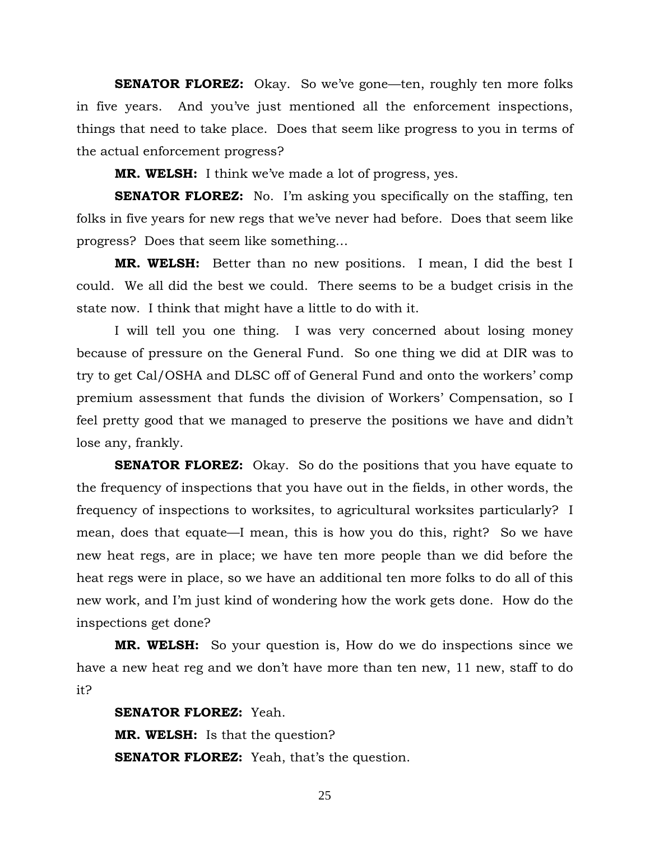**SENATOR FLOREZ:** Okay. So we've gone—ten, roughly ten more folks in five years. And you've just mentioned all the enforcement inspections, things that need to take place. Does that seem like progress to you in terms of the actual enforcement progress?

**MR. WELSH:** I think we've made a lot of progress, yes.

**SENATOR FLOREZ:** No. I'm asking you specifically on the staffing, ten folks in five years for new regs that we've never had before. Does that seem like progress? Does that seem like something…

**MR. WELSH:** Better than no new positions. I mean, I did the best I could. We all did the best we could. There seems to be a budget crisis in the state now. I think that might have a little to do with it.

 I will tell you one thing. I was very concerned about losing money because of pressure on the General Fund. So one thing we did at DIR was to try to get Cal/OSHA and DLSC off of General Fund and onto the workers' comp premium assessment that funds the division of Workers' Compensation, so I feel pretty good that we managed to preserve the positions we have and didn't lose any, frankly.

**SENATOR FLOREZ:** Okay. So do the positions that you have equate to the frequency of inspections that you have out in the fields, in other words, the frequency of inspections to worksites, to agricultural worksites particularly? I mean, does that equate—I mean, this is how you do this, right? So we have new heat regs, are in place; we have ten more people than we did before the heat regs were in place, so we have an additional ten more folks to do all of this new work, and I'm just kind of wondering how the work gets done. How do the inspections get done?

**MR. WELSH:** So your question is, How do we do inspections since we have a new heat reg and we don't have more than ten new, 11 new, staff to do it?

**SENATOR FLOREZ:** Yeah. **MR. WELSH:** Is that the question? **SENATOR FLOREZ:** Yeah, that's the question.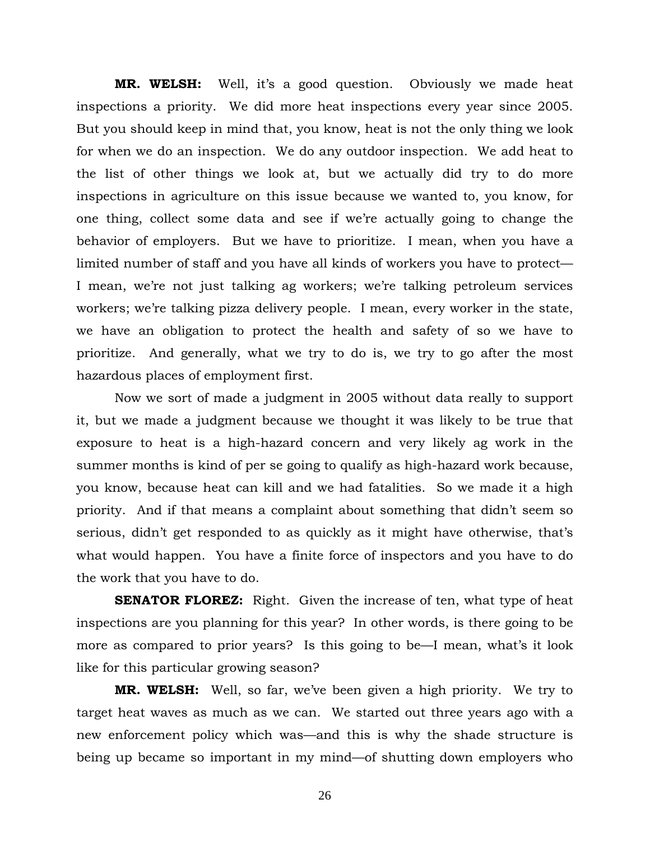**MR. WELSH:** Well, it's a good question. Obviously we made heat inspections a priority. We did more heat inspections every year since 2005. But you should keep in mind that, you know, heat is not the only thing we look for when we do an inspection. We do any outdoor inspection. We add heat to the list of other things we look at, but we actually did try to do more inspections in agriculture on this issue because we wanted to, you know, for one thing, collect some data and see if we're actually going to change the behavior of employers. But we have to prioritize. I mean, when you have a limited number of staff and you have all kinds of workers you have to protect— I mean, we're not just talking ag workers; we're talking petroleum services workers; we're talking pizza delivery people. I mean, every worker in the state, we have an obligation to protect the health and safety of so we have to prioritize. And generally, what we try to do is, we try to go after the most hazardous places of employment first.

 Now we sort of made a judgment in 2005 without data really to support it, but we made a judgment because we thought it was likely to be true that exposure to heat is a high-hazard concern and very likely ag work in the summer months is kind of per se going to qualify as high-hazard work because, you know, because heat can kill and we had fatalities. So we made it a high priority. And if that means a complaint about something that didn't seem so serious, didn't get responded to as quickly as it might have otherwise, that's what would happen. You have a finite force of inspectors and you have to do the work that you have to do.

**SENATOR FLOREZ:** Right. Given the increase of ten, what type of heat inspections are you planning for this year? In other words, is there going to be more as compared to prior years? Is this going to be—I mean, what's it look like for this particular growing season?

**MR. WELSH:** Well, so far, we've been given a high priority. We try to target heat waves as much as we can. We started out three years ago with a new enforcement policy which was—and this is why the shade structure is being up became so important in my mind—of shutting down employers who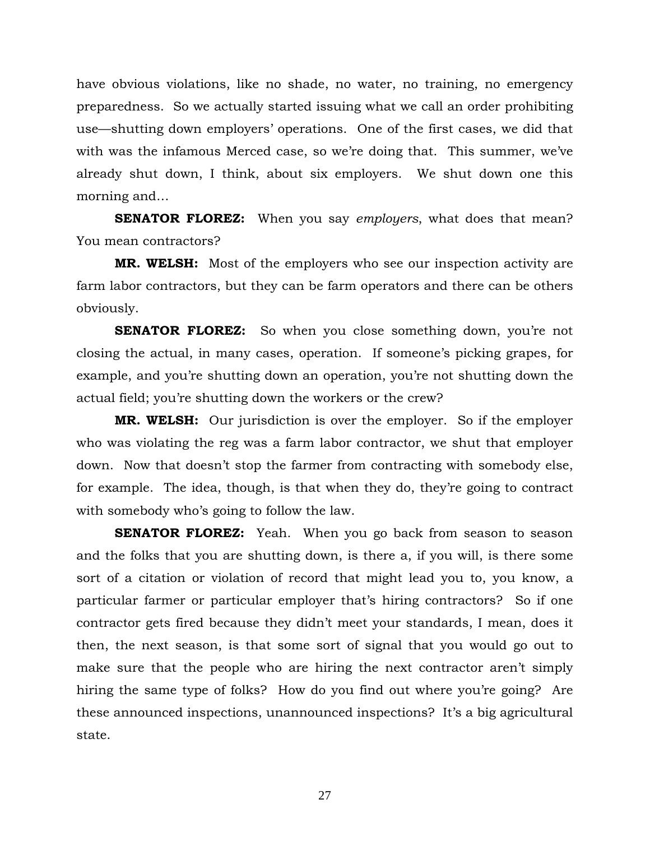have obvious violations, like no shade, no water, no training, no emergency preparedness. So we actually started issuing what we call an order prohibiting use—shutting down employers' operations. One of the first cases, we did that with was the infamous Merced case, so we're doing that. This summer, we've already shut down, I think, about six employers. We shut down one this morning and…

**SENATOR FLOREZ:** When you say *employers*, what does that mean? You mean contractors?

**MR. WELSH:** Most of the employers who see our inspection activity are farm labor contractors, but they can be farm operators and there can be others obviously.

**SENATOR FLOREZ:** So when you close something down, you're not closing the actual, in many cases, operation. If someone's picking grapes, for example, and you're shutting down an operation, you're not shutting down the actual field; you're shutting down the workers or the crew?

**MR. WELSH:** Our jurisdiction is over the employer. So if the employer who was violating the reg was a farm labor contractor, we shut that employer down. Now that doesn't stop the farmer from contracting with somebody else, for example. The idea, though, is that when they do, they're going to contract with somebody who's going to follow the law.

**SENATOR FLOREZ:** Yeah. When you go back from season to season and the folks that you are shutting down, is there a, if you will, is there some sort of a citation or violation of record that might lead you to, you know, a particular farmer or particular employer that's hiring contractors? So if one contractor gets fired because they didn't meet your standards, I mean, does it then, the next season, is that some sort of signal that you would go out to make sure that the people who are hiring the next contractor aren't simply hiring the same type of folks? How do you find out where you're going? Are these announced inspections, unannounced inspections? It's a big agricultural state.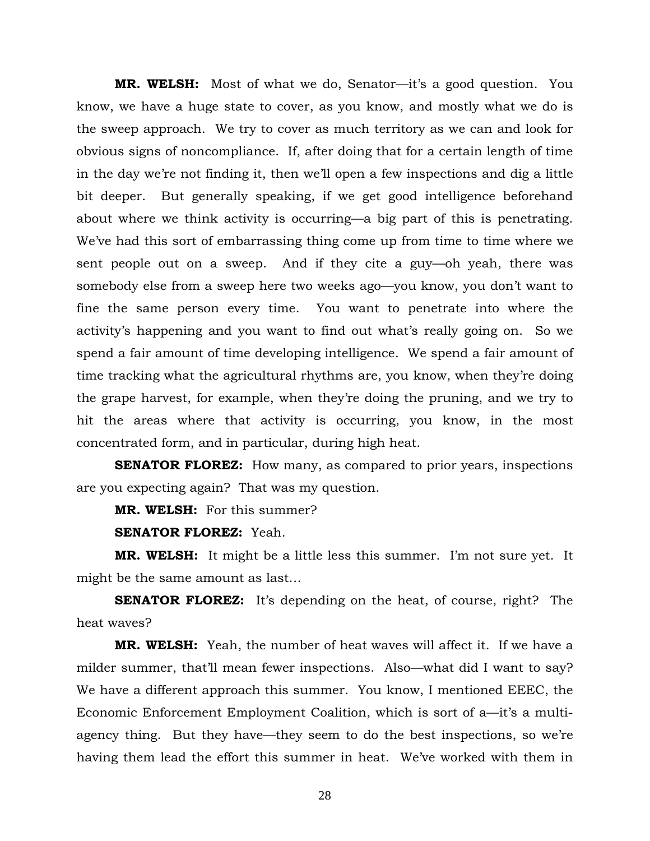**MR. WELSH:** Most of what we do, Senator—it's a good question. You know, we have a huge state to cover, as you know, and mostly what we do is the sweep approach. We try to cover as much territory as we can and look for obvious signs of noncompliance. If, after doing that for a certain length of time in the day we're not finding it, then we'll open a few inspections and dig a little bit deeper. But generally speaking, if we get good intelligence beforehand about where we think activity is occurring—a big part of this is penetrating. We've had this sort of embarrassing thing come up from time to time where we sent people out on a sweep. And if they cite a guy—oh yeah, there was somebody else from a sweep here two weeks ago—you know, you don't want to fine the same person every time. You want to penetrate into where the activity's happening and you want to find out what's really going on. So we spend a fair amount of time developing intelligence. We spend a fair amount of time tracking what the agricultural rhythms are, you know, when they're doing the grape harvest, for example, when they're doing the pruning, and we try to hit the areas where that activity is occurring, you know, in the most concentrated form, and in particular, during high heat.

**SENATOR FLOREZ:** How many, as compared to prior years, inspections are you expecting again? That was my question.

**MR. WELSH:** For this summer?

**SENATOR FLOREZ:** Yeah.

**MR. WELSH:** It might be a little less this summer. I'm not sure yet. It might be the same amount as last…

**SENATOR FLOREZ:** It's depending on the heat, of course, right? The heat waves?

**MR. WELSH:** Yeah, the number of heat waves will affect it. If we have a milder summer, that'll mean fewer inspections. Also—what did I want to say? We have a different approach this summer. You know, I mentioned EEEC, the Economic Enforcement Employment Coalition, which is sort of a—it's a multiagency thing. But they have—they seem to do the best inspections, so we're having them lead the effort this summer in heat. We've worked with them in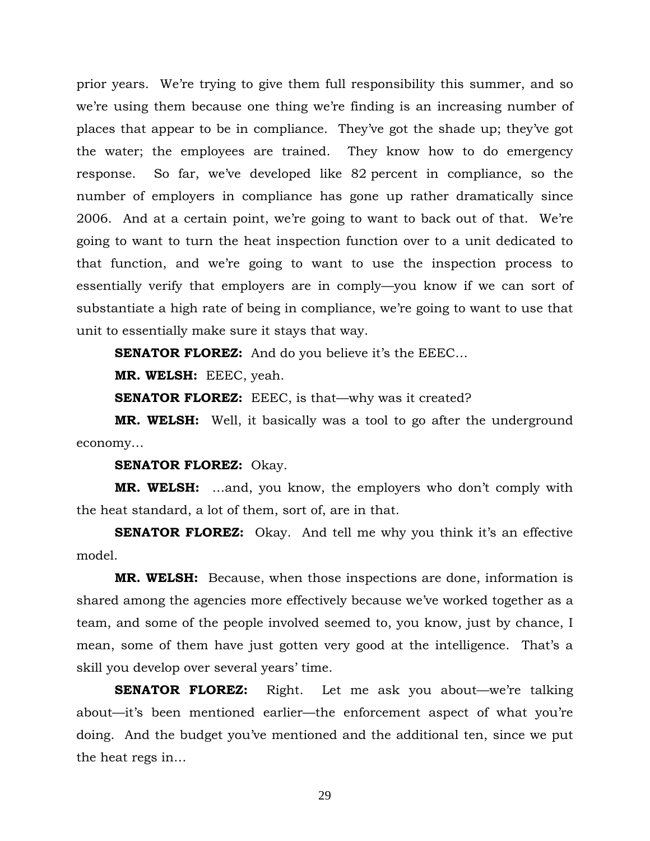prior years. We're trying to give them full responsibility this summer, and so we're using them because one thing we're finding is an increasing number of places that appear to be in compliance. They've got the shade up; they've got the water; the employees are trained. They know how to do emergency response. So far, we've developed like 82 percent in compliance, so the number of employers in compliance has gone up rather dramatically since 2006. And at a certain point, we're going to want to back out of that. We're going to want to turn the heat inspection function over to a unit dedicated to that function, and we're going to want to use the inspection process to essentially verify that employers are in comply—you know if we can sort of substantiate a high rate of being in compliance, we're going to want to use that unit to essentially make sure it stays that way.

**SENATOR FLOREZ:** And do you believe it's the EEEC...

**MR. WELSH:** EEEC, yeah.

**SENATOR FLOREZ:** EEEC, is that—why was it created?

**MR. WELSH:** Well, it basically was a tool to go after the underground economy…

**SENATOR FLOREZ:** Okay.

**MR. WELSH:** …and, you know, the employers who don't comply with the heat standard, a lot of them, sort of, are in that.

**SENATOR FLOREZ:** Okay. And tell me why you think it's an effective model.

**MR. WELSH:** Because, when those inspections are done, information is shared among the agencies more effectively because we've worked together as a team, and some of the people involved seemed to, you know, just by chance, I mean, some of them have just gotten very good at the intelligence. That's a skill you develop over several years' time.

**SENATOR FLOREZ:** Right. Let me ask you about—we're talking about—it's been mentioned earlier—the enforcement aspect of what you're doing. And the budget you've mentioned and the additional ten, since we put the heat regs in…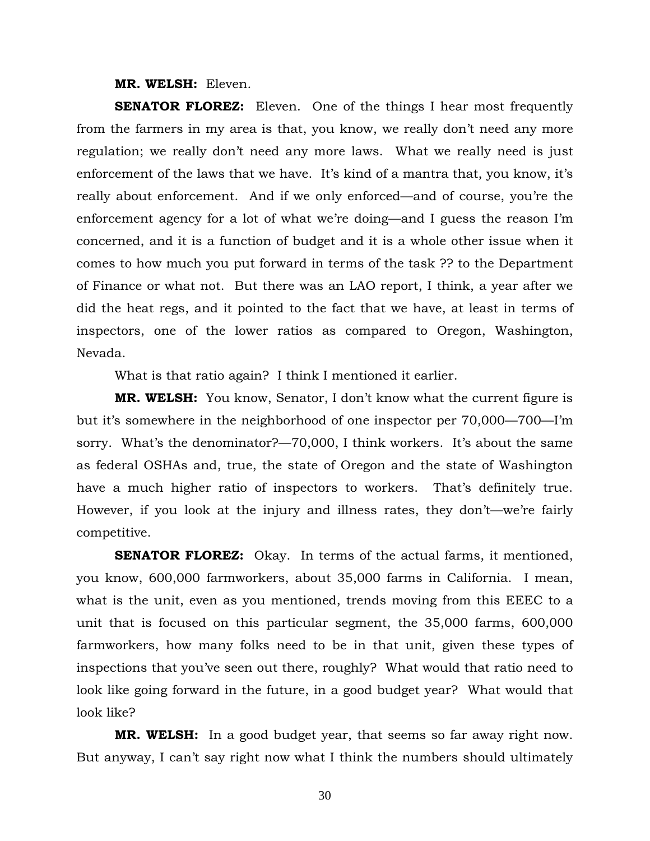#### **MR. WELSH:** Eleven.

**SENATOR FLOREZ:** Eleven. One of the things I hear most frequently from the farmers in my area is that, you know, we really don't need any more regulation; we really don't need any more laws. What we really need is just enforcement of the laws that we have. It's kind of a mantra that, you know, it's really about enforcement. And if we only enforced—and of course, you're the enforcement agency for a lot of what we're doing—and I guess the reason I'm concerned, and it is a function of budget and it is a whole other issue when it comes to how much you put forward in terms of the task ?? to the Department of Finance or what not. But there was an LAO report, I think, a year after we did the heat regs, and it pointed to the fact that we have, at least in terms of inspectors, one of the lower ratios as compared to Oregon, Washington, Nevada.

What is that ratio again? I think I mentioned it earlier.

**MR. WELSH:** You know, Senator, I don't know what the current figure is but it's somewhere in the neighborhood of one inspector per 70,000—700—I'm sorry. What's the denominator?—70,000, I think workers. It's about the same as federal OSHAs and, true, the state of Oregon and the state of Washington have a much higher ratio of inspectors to workers. That's definitely true. However, if you look at the injury and illness rates, they don't—we're fairly competitive.

**SENATOR FLOREZ:** Okay. In terms of the actual farms, it mentioned, you know, 600,000 farmworkers, about 35,000 farms in California. I mean, what is the unit, even as you mentioned, trends moving from this EEEC to a unit that is focused on this particular segment, the 35,000 farms, 600,000 farmworkers, how many folks need to be in that unit, given these types of inspections that you've seen out there, roughly? What would that ratio need to look like going forward in the future, in a good budget year? What would that look like?

**MR. WELSH:** In a good budget year, that seems so far away right now. But anyway, I can't say right now what I think the numbers should ultimately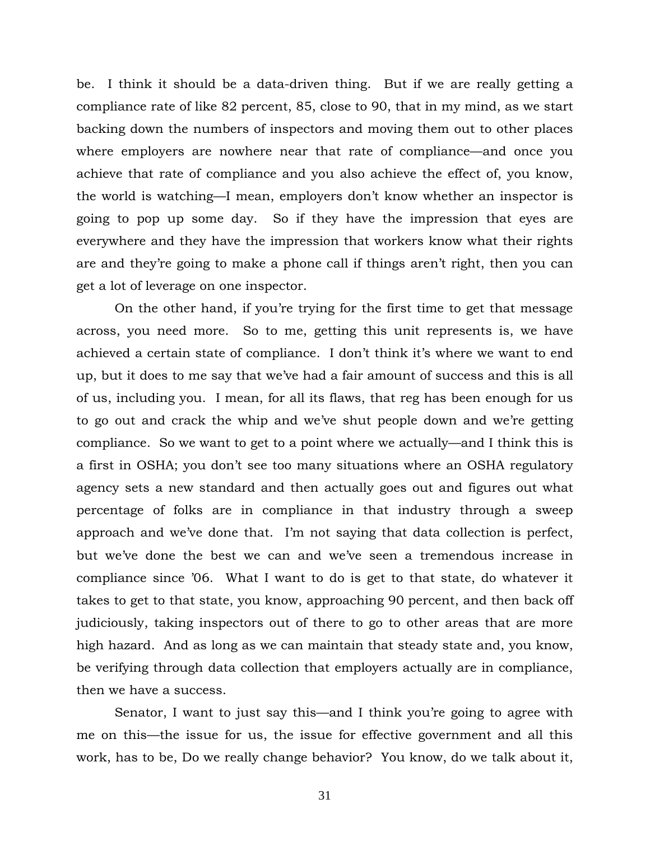be. I think it should be a data-driven thing. But if we are really getting a compliance rate of like 82 percent, 85, close to 90, that in my mind, as we start backing down the numbers of inspectors and moving them out to other places where employers are nowhere near that rate of compliance—and once you achieve that rate of compliance and you also achieve the effect of, you know, the world is watching—I mean, employers don't know whether an inspector is going to pop up some day. So if they have the impression that eyes are everywhere and they have the impression that workers know what their rights are and they're going to make a phone call if things aren't right, then you can get a lot of leverage on one inspector.

 On the other hand, if you're trying for the first time to get that message across, you need more. So to me, getting this unit represents is, we have achieved a certain state of compliance. I don't think it's where we want to end up, but it does to me say that we've had a fair amount of success and this is all of us, including you. I mean, for all its flaws, that reg has been enough for us to go out and crack the whip and we've shut people down and we're getting compliance. So we want to get to a point where we actually—and I think this is a first in OSHA; you don't see too many situations where an OSHA regulatory agency sets a new standard and then actually goes out and figures out what percentage of folks are in compliance in that industry through a sweep approach and we've done that. I'm not saying that data collection is perfect, but we've done the best we can and we've seen a tremendous increase in compliance since '06. What I want to do is get to that state, do whatever it takes to get to that state, you know, approaching 90 percent, and then back off judiciously, taking inspectors out of there to go to other areas that are more high hazard. And as long as we can maintain that steady state and, you know, be verifying through data collection that employers actually are in compliance, then we have a success.

 Senator, I want to just say this—and I think you're going to agree with me on this—the issue for us, the issue for effective government and all this work, has to be, Do we really change behavior? You know, do we talk about it,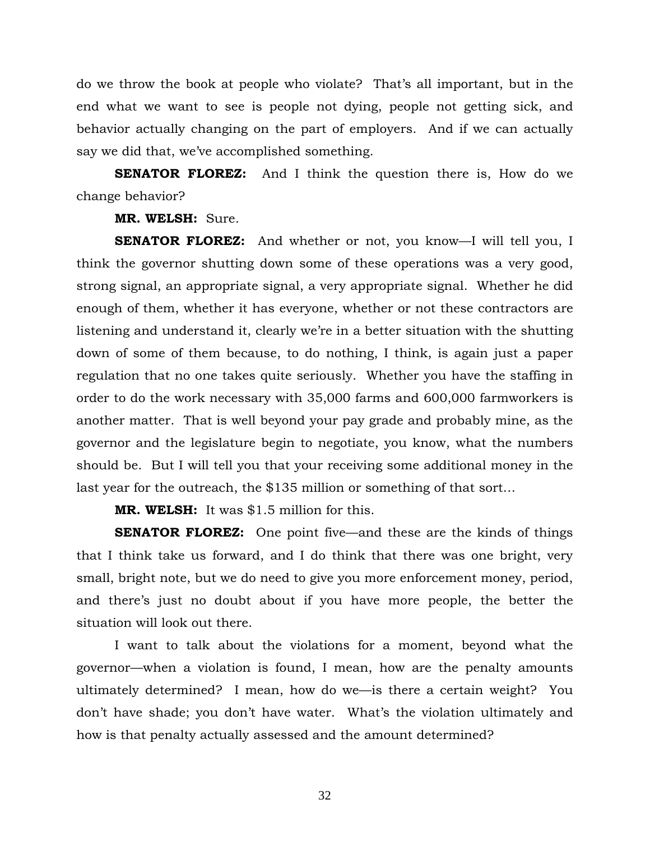do we throw the book at people who violate? That's all important, but in the end what we want to see is people not dying, people not getting sick, and behavior actually changing on the part of employers. And if we can actually say we did that, we've accomplished something.

**SENATOR FLOREZ:** And I think the question there is, How do we change behavior?

#### **MR. WELSH:** Sure.

**SENATOR FLOREZ:** And whether or not, you know—I will tell you, I think the governor shutting down some of these operations was a very good, strong signal, an appropriate signal, a very appropriate signal. Whether he did enough of them, whether it has everyone, whether or not these contractors are listening and understand it, clearly we're in a better situation with the shutting down of some of them because, to do nothing, I think, is again just a paper regulation that no one takes quite seriously. Whether you have the staffing in order to do the work necessary with 35,000 farms and 600,000 farmworkers is another matter. That is well beyond your pay grade and probably mine, as the governor and the legislature begin to negotiate, you know, what the numbers should be. But I will tell you that your receiving some additional money in the last year for the outreach, the \$135 million or something of that sort…

**MR. WELSH:** It was \$1.5 million for this.

**SENATOR FLOREZ:** One point five—and these are the kinds of things that I think take us forward, and I do think that there was one bright, very small, bright note, but we do need to give you more enforcement money, period, and there's just no doubt about if you have more people, the better the situation will look out there.

 I want to talk about the violations for a moment, beyond what the governor—when a violation is found, I mean, how are the penalty amounts ultimately determined? I mean, how do we—is there a certain weight? You don't have shade; you don't have water. What's the violation ultimately and how is that penalty actually assessed and the amount determined?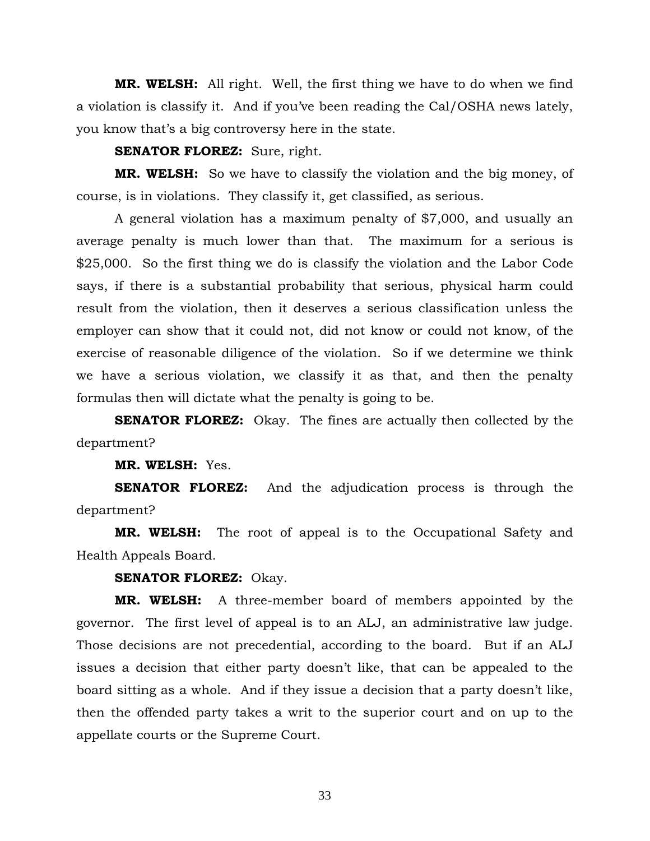**MR. WELSH:** All right. Well, the first thing we have to do when we find a violation is classify it. And if you've been reading the Cal/OSHA news lately, you know that's a big controversy here in the state.

**SENATOR FLOREZ:** Sure, right.

**MR. WELSH:** So we have to classify the violation and the big money, of course, is in violations. They classify it, get classified, as serious.

 A general violation has a maximum penalty of \$7,000, and usually an average penalty is much lower than that. The maximum for a serious is \$25,000. So the first thing we do is classify the violation and the Labor Code says, if there is a substantial probability that serious, physical harm could result from the violation, then it deserves a serious classification unless the employer can show that it could not, did not know or could not know, of the exercise of reasonable diligence of the violation. So if we determine we think we have a serious violation, we classify it as that, and then the penalty formulas then will dictate what the penalty is going to be.

**SENATOR FLOREZ:** Okay. The fines are actually then collected by the department?

**MR. WELSH:** Yes.

**SENATOR FLOREZ:** And the adjudication process is through the department?

**MR. WELSH:** The root of appeal is to the Occupational Safety and Health Appeals Board.

**SENATOR FLOREZ:** Okay.

**MR. WELSH:** A three-member board of members appointed by the governor. The first level of appeal is to an ALJ, an administrative law judge. Those decisions are not precedential, according to the board. But if an ALJ issues a decision that either party doesn't like, that can be appealed to the board sitting as a whole. And if they issue a decision that a party doesn't like, then the offended party takes a writ to the superior court and on up to the appellate courts or the Supreme Court.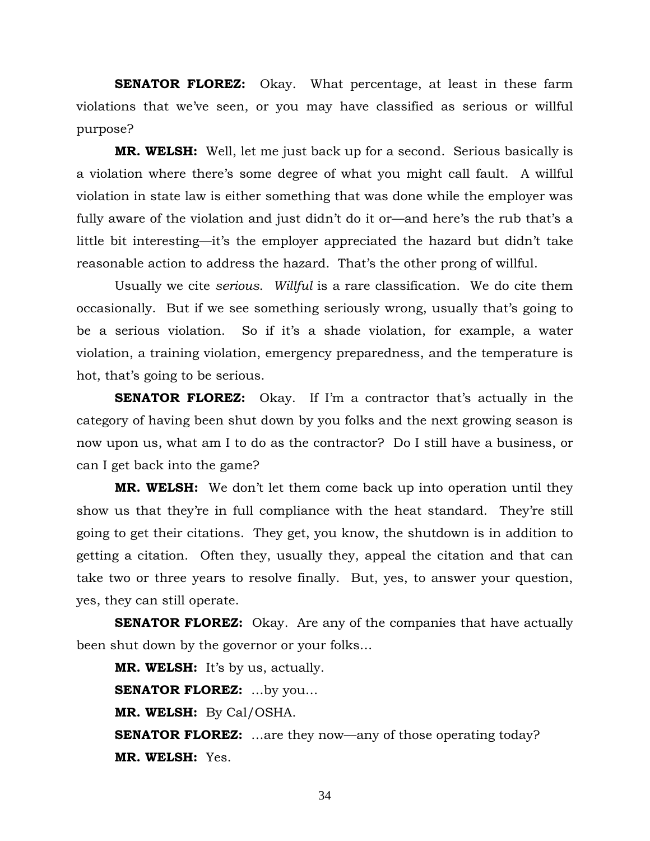**SENATOR FLOREZ:** Okay. What percentage, at least in these farm violations that we've seen, or you may have classified as serious or willful purpose?

**MR. WELSH:** Well, let me just back up for a second. Serious basically is a violation where there's some degree of what you might call fault. A willful violation in state law is either something that was done while the employer was fully aware of the violation and just didn't do it or—and here's the rub that's a little bit interesting—it's the employer appreciated the hazard but didn't take reasonable action to address the hazard. That's the other prong of willful.

 Usually we cite *serious*. *Willful* is a rare classification. We do cite them occasionally. But if we see something seriously wrong, usually that's going to be a serious violation. So if it's a shade violation, for example, a water violation, a training violation, emergency preparedness, and the temperature is hot, that's going to be serious.

**SENATOR FLOREZ:** Okay. If I'm a contractor that's actually in the category of having been shut down by you folks and the next growing season is now upon us, what am I to do as the contractor? Do I still have a business, or can I get back into the game?

**MR. WELSH:** We don't let them come back up into operation until they show us that they're in full compliance with the heat standard. They're still going to get their citations. They get, you know, the shutdown is in addition to getting a citation. Often they, usually they, appeal the citation and that can take two or three years to resolve finally. But, yes, to answer your question, yes, they can still operate.

**SENATOR FLOREZ:** Okay. Are any of the companies that have actually been shut down by the governor or your folks…

**MR. WELSH:** It's by us, actually. **SENATOR FLOREZ:** …by you… **MR. WELSH:** By Cal/OSHA. **SENATOR FLOREZ:** ...are they now—any of those operating today? **MR. WELSH:** Yes.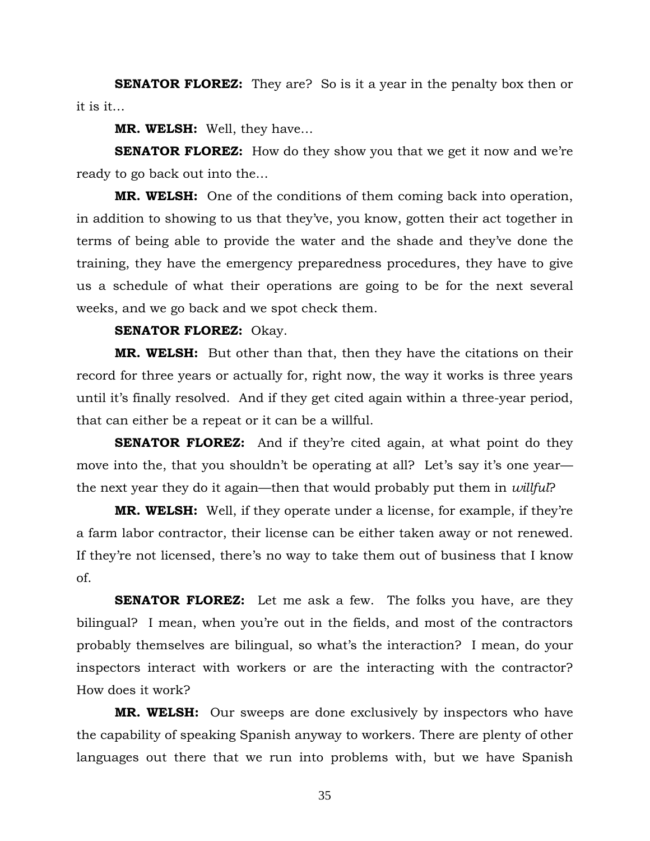**SENATOR FLOREZ:** They are? So is it a year in the penalty box then or it is it…

**MR. WELSH:** Well, they have…

**SENATOR FLOREZ:** How do they show you that we get it now and we're ready to go back out into the…

**MR. WELSH:** One of the conditions of them coming back into operation, in addition to showing to us that they've, you know, gotten their act together in terms of being able to provide the water and the shade and they've done the training, they have the emergency preparedness procedures, they have to give us a schedule of what their operations are going to be for the next several weeks, and we go back and we spot check them.

#### **SENATOR FLOREZ:** Okay.

**MR. WELSH:** But other than that, then they have the citations on their record for three years or actually for, right now, the way it works is three years until it's finally resolved. And if they get cited again within a three-year period, that can either be a repeat or it can be a willful.

**SENATOR FLOREZ:** And if they're cited again, at what point do they move into the, that you shouldn't be operating at all? Let's say it's one year the next year they do it again—then that would probably put them in *willful*?

**MR. WELSH:** Well, if they operate under a license, for example, if they're a farm labor contractor, their license can be either taken away or not renewed. If they're not licensed, there's no way to take them out of business that I know of.

**SENATOR FLOREZ:** Let me ask a few. The folks you have, are they bilingual? I mean, when you're out in the fields, and most of the contractors probably themselves are bilingual, so what's the interaction? I mean, do your inspectors interact with workers or are the interacting with the contractor? How does it work?

**MR. WELSH:** Our sweeps are done exclusively by inspectors who have the capability of speaking Spanish anyway to workers. There are plenty of other languages out there that we run into problems with, but we have Spanish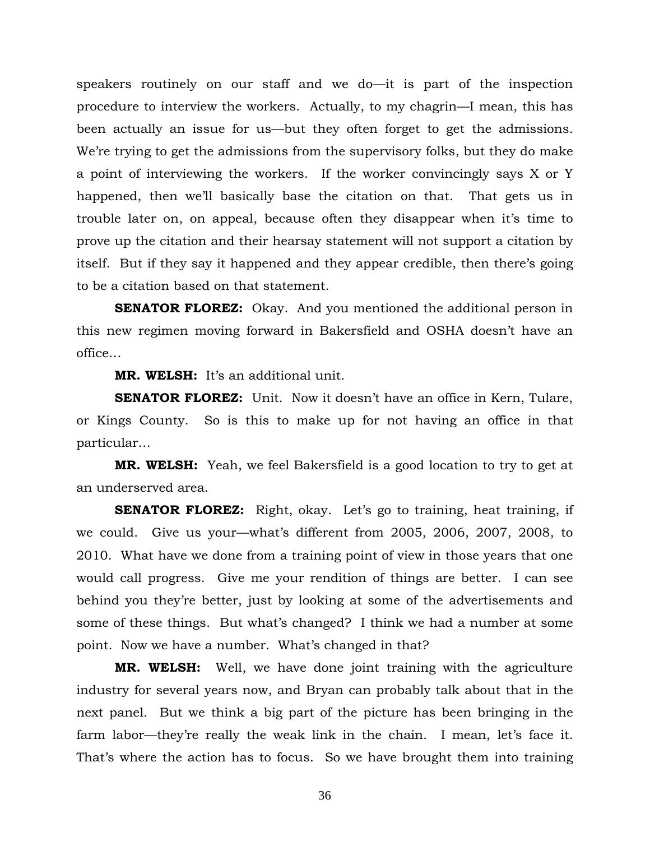speakers routinely on our staff and we do—it is part of the inspection procedure to interview the workers. Actually, to my chagrin—I mean, this has been actually an issue for us—but they often forget to get the admissions. We're trying to get the admissions from the supervisory folks, but they do make a point of interviewing the workers. If the worker convincingly says X or Y happened, then we'll basically base the citation on that. That gets us in trouble later on, on appeal, because often they disappear when it's time to prove up the citation and their hearsay statement will not support a citation by itself. But if they say it happened and they appear credible, then there's going to be a citation based on that statement.

**SENATOR FLOREZ:** Okay. And you mentioned the additional person in this new regimen moving forward in Bakersfield and OSHA doesn't have an office…

**MR. WELSH:** It's an additional unit.

**SENATOR FLOREZ:** Unit. Now it doesn't have an office in Kern, Tulare, or Kings County. So is this to make up for not having an office in that particular…

**MR. WELSH:** Yeah, we feel Bakersfield is a good location to try to get at an underserved area.

**SENATOR FLOREZ:** Right, okay. Let's go to training, heat training, if we could. Give us your—what's different from 2005, 2006, 2007, 2008, to 2010. What have we done from a training point of view in those years that one would call progress. Give me your rendition of things are better. I can see behind you they're better, just by looking at some of the advertisements and some of these things. But what's changed? I think we had a number at some point. Now we have a number. What's changed in that?

**MR. WELSH:** Well, we have done joint training with the agriculture industry for several years now, and Bryan can probably talk about that in the next panel. But we think a big part of the picture has been bringing in the farm labor—they're really the weak link in the chain. I mean, let's face it. That's where the action has to focus. So we have brought them into training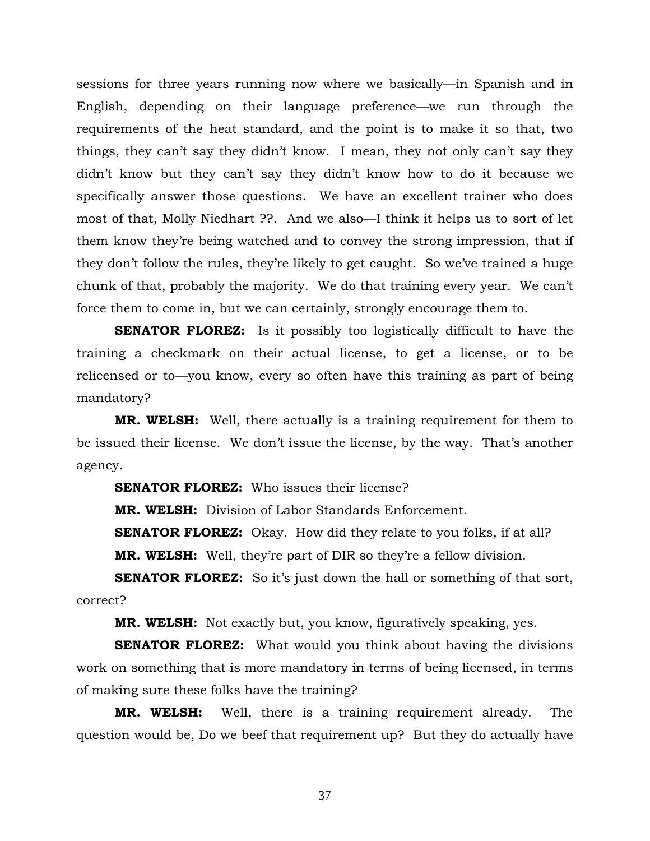sessions for three years running now where we basically—in Spanish and in English, depending on their language preference—we run through the requirements of the heat standard, and the point is to make it so that, two things, they can't say they didn't know. I mean, they not only can't say they didn't know but they can't say they didn't know how to do it because we specifically answer those questions. We have an excellent trainer who does most of that, Molly Niedhart ??. And we also—I think it helps us to sort of let them know they're being watched and to convey the strong impression, that if they don't follow the rules, they're likely to get caught. So we've trained a huge chunk of that, probably the majority. We do that training every year. We can't force them to come in, but we can certainly, strongly encourage them to.

**SENATOR FLOREZ:** Is it possibly too logistically difficult to have the training a checkmark on their actual license, to get a license, or to be relicensed or to—you know, every so often have this training as part of being mandatory?

**MR. WELSH:** Well, there actually is a training requirement for them to be issued their license. We don't issue the license, by the way. That's another agency.

**SENATOR FLOREZ:** Who issues their license?

**MR. WELSH:** Division of Labor Standards Enforcement.

**SENATOR FLOREZ:** Okay. How did they relate to you folks, if at all?

**MR. WELSH:** Well, they're part of DIR so they're a fellow division.

**SENATOR FLOREZ:** So it's just down the hall or something of that sort, correct?

**MR. WELSH:** Not exactly but, you know, figuratively speaking, yes.

**SENATOR FLOREZ:** What would you think about having the divisions work on something that is more mandatory in terms of being licensed, in terms of making sure these folks have the training?

**MR. WELSH:** Well, there is a training requirement already. The question would be, Do we beef that requirement up? But they do actually have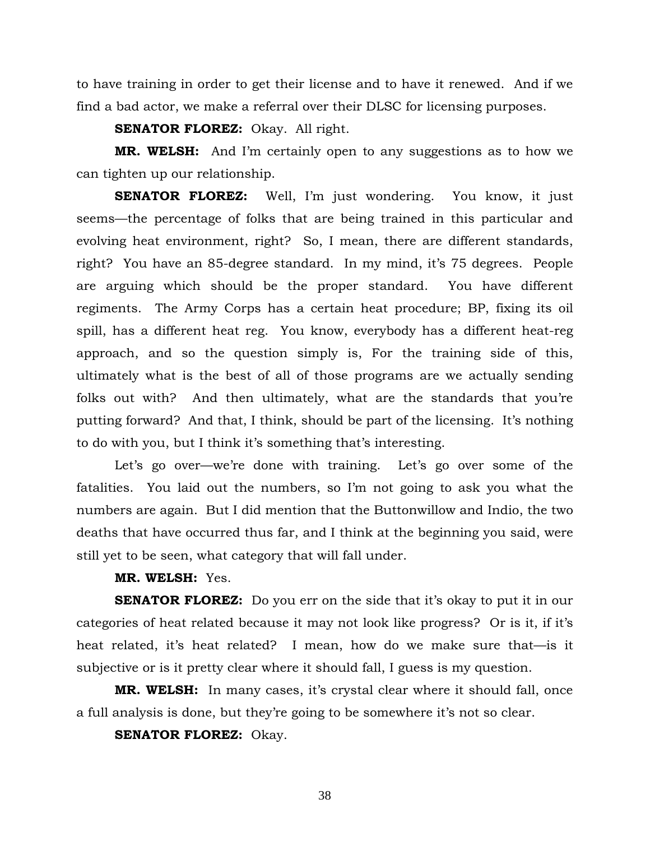to have training in order to get their license and to have it renewed. And if we find a bad actor, we make a referral over their DLSC for licensing purposes.

**SENATOR FLOREZ:** Okay. All right.

**MR. WELSH:** And I'm certainly open to any suggestions as to how we can tighten up our relationship.

**SENATOR FLOREZ:** Well, I'm just wondering. You know, it just seems—the percentage of folks that are being trained in this particular and evolving heat environment, right? So, I mean, there are different standards, right? You have an 85-degree standard. In my mind, it's 75 degrees. People are arguing which should be the proper standard. You have different regiments. The Army Corps has a certain heat procedure; BP, fixing its oil spill, has a different heat reg. You know, everybody has a different heat-reg approach, and so the question simply is, For the training side of this, ultimately what is the best of all of those programs are we actually sending folks out with? And then ultimately, what are the standards that you're putting forward? And that, I think, should be part of the licensing. It's nothing to do with you, but I think it's something that's interesting.

Let's go over—we're done with training. Let's go over some of the fatalities. You laid out the numbers, so I'm not going to ask you what the numbers are again. But I did mention that the Buttonwillow and Indio, the two deaths that have occurred thus far, and I think at the beginning you said, were still yet to be seen, what category that will fall under.

# **MR. WELSH:** Yes.

**SENATOR FLOREZ:** Do you err on the side that it's okay to put it in our categories of heat related because it may not look like progress? Or is it, if it's heat related, it's heat related? I mean, how do we make sure that—is it subjective or is it pretty clear where it should fall, I guess is my question.

**MR. WELSH:** In many cases, it's crystal clear where it should fall, once a full analysis is done, but they're going to be somewhere it's not so clear.

**SENATOR FLOREZ:** Okay.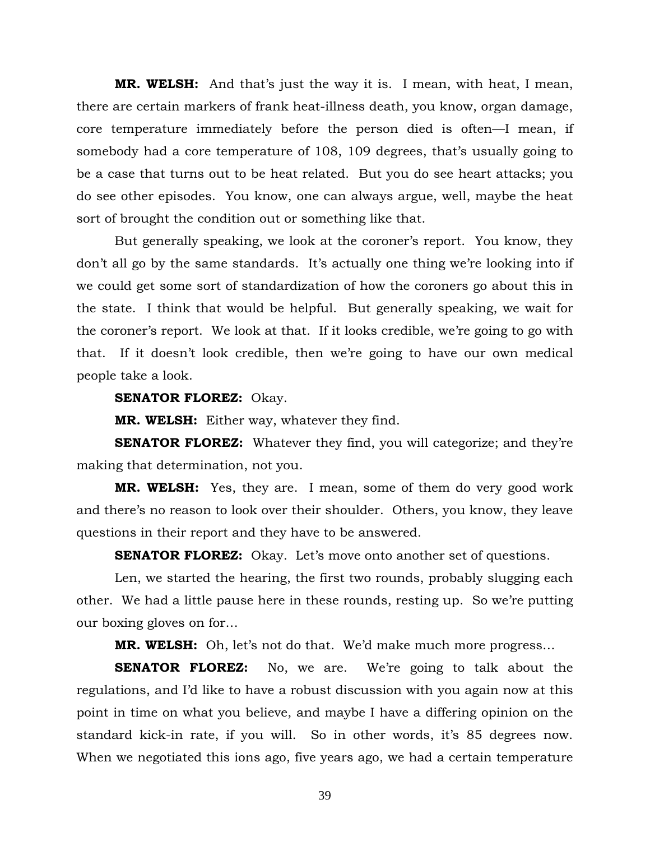**MR. WELSH:** And that's just the way it is. I mean, with heat, I mean, there are certain markers of frank heat-illness death, you know, organ damage, core temperature immediately before the person died is often—I mean, if somebody had a core temperature of 108, 109 degrees, that's usually going to be a case that turns out to be heat related. But you do see heart attacks; you do see other episodes. You know, one can always argue, well, maybe the heat sort of brought the condition out or something like that.

 But generally speaking, we look at the coroner's report. You know, they don't all go by the same standards. It's actually one thing we're looking into if we could get some sort of standardization of how the coroners go about this in the state. I think that would be helpful. But generally speaking, we wait for the coroner's report. We look at that. If it looks credible, we're going to go with that. If it doesn't look credible, then we're going to have our own medical people take a look.

### **SENATOR FLOREZ:** Okay.

**MR. WELSH:** Either way, whatever they find.

**SENATOR FLOREZ:** Whatever they find, you will categorize; and they're making that determination, not you.

**MR. WELSH:** Yes, they are. I mean, some of them do very good work and there's no reason to look over their shoulder. Others, you know, they leave questions in their report and they have to be answered.

**SENATOR FLOREZ:** Okay. Let's move onto another set of questions.

 Len, we started the hearing, the first two rounds, probably slugging each other. We had a little pause here in these rounds, resting up. So we're putting our boxing gloves on for…

**MR. WELSH:** Oh, let's not do that. We'd make much more progress…

**SENATOR FLOREZ:** No, we are. We're going to talk about the regulations, and I'd like to have a robust discussion with you again now at this point in time on what you believe, and maybe I have a differing opinion on the standard kick-in rate, if you will. So in other words, it's 85 degrees now. When we negotiated this ions ago, five years ago, we had a certain temperature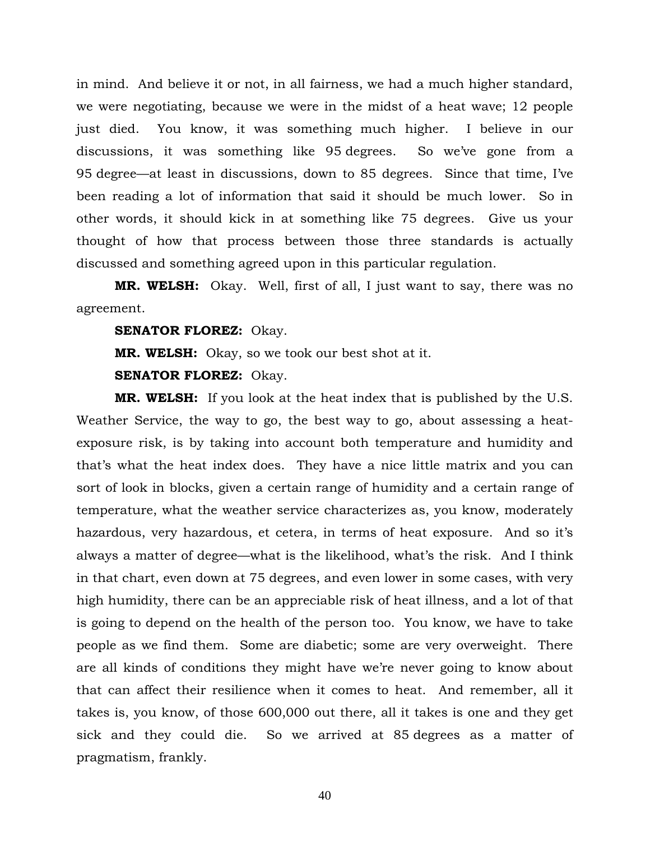in mind. And believe it or not, in all fairness, we had a much higher standard, we were negotiating, because we were in the midst of a heat wave; 12 people just died. You know, it was something much higher. I believe in our discussions, it was something like 95 degrees. So we've gone from a 95 degree—at least in discussions, down to 85 degrees. Since that time, I've been reading a lot of information that said it should be much lower. So in other words, it should kick in at something like 75 degrees. Give us your thought of how that process between those three standards is actually discussed and something agreed upon in this particular regulation.

**MR. WELSH:** Okay. Well, first of all, I just want to say, there was no agreement.

**SENATOR FLOREZ:** Okay.

**MR. WELSH:** Okay, so we took our best shot at it.

**SENATOR FLOREZ:** Okay.

**MR. WELSH:** If you look at the heat index that is published by the U.S. Weather Service, the way to go, the best way to go, about assessing a heatexposure risk, is by taking into account both temperature and humidity and that's what the heat index does. They have a nice little matrix and you can sort of look in blocks, given a certain range of humidity and a certain range of temperature, what the weather service characterizes as, you know, moderately hazardous, very hazardous, et cetera, in terms of heat exposure. And so it's always a matter of degree—what is the likelihood, what's the risk. And I think in that chart, even down at 75 degrees, and even lower in some cases, with very high humidity, there can be an appreciable risk of heat illness, and a lot of that is going to depend on the health of the person too. You know, we have to take people as we find them. Some are diabetic; some are very overweight. There are all kinds of conditions they might have we're never going to know about that can affect their resilience when it comes to heat. And remember, all it takes is, you know, of those 600,000 out there, all it takes is one and they get sick and they could die. So we arrived at 85 degrees as a matter of pragmatism, frankly.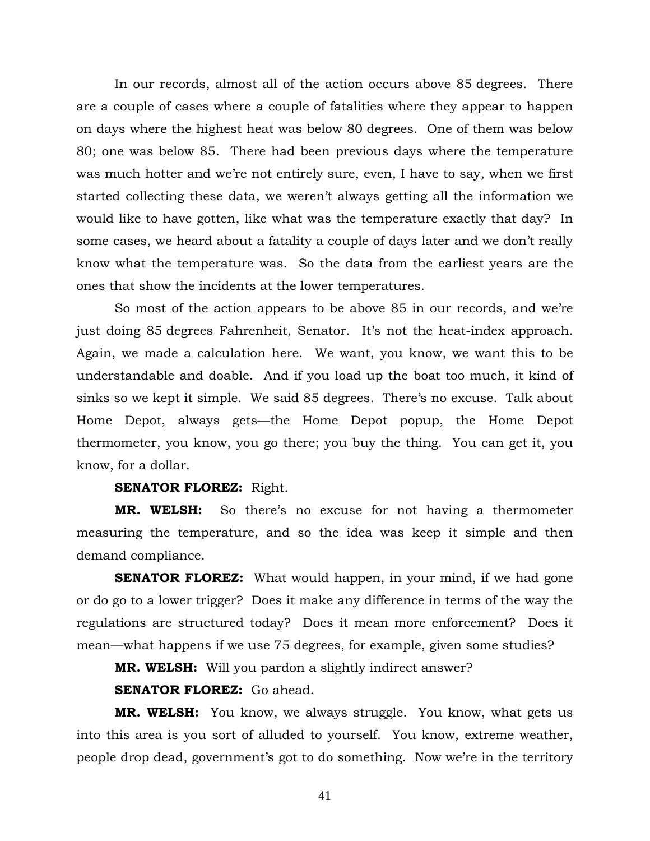In our records, almost all of the action occurs above 85 degrees. There are a couple of cases where a couple of fatalities where they appear to happen on days where the highest heat was below 80 degrees. One of them was below 80; one was below 85. There had been previous days where the temperature was much hotter and we're not entirely sure, even, I have to say, when we first started collecting these data, we weren't always getting all the information we would like to have gotten, like what was the temperature exactly that day? In some cases, we heard about a fatality a couple of days later and we don't really know what the temperature was. So the data from the earliest years are the ones that show the incidents at the lower temperatures.

 So most of the action appears to be above 85 in our records, and we're just doing 85 degrees Fahrenheit, Senator. It's not the heat-index approach. Again, we made a calculation here. We want, you know, we want this to be understandable and doable. And if you load up the boat too much, it kind of sinks so we kept it simple. We said 85 degrees. There's no excuse. Talk about Home Depot, always gets—the Home Depot popup, the Home Depot thermometer, you know, you go there; you buy the thing. You can get it, you know, for a dollar.

## **SENATOR FLOREZ:** Right.

**MR. WELSH:** So there's no excuse for not having a thermometer measuring the temperature, and so the idea was keep it simple and then demand compliance.

**SENATOR FLOREZ:** What would happen, in your mind, if we had gone or do go to a lower trigger? Does it make any difference in terms of the way the regulations are structured today? Does it mean more enforcement? Does it mean—what happens if we use 75 degrees, for example, given some studies?

**MR. WELSH:** Will you pardon a slightly indirect answer?

**SENATOR FLOREZ:** Go ahead.

**MR. WELSH:** You know, we always struggle. You know, what gets us into this area is you sort of alluded to yourself. You know, extreme weather, people drop dead, government's got to do something. Now we're in the territory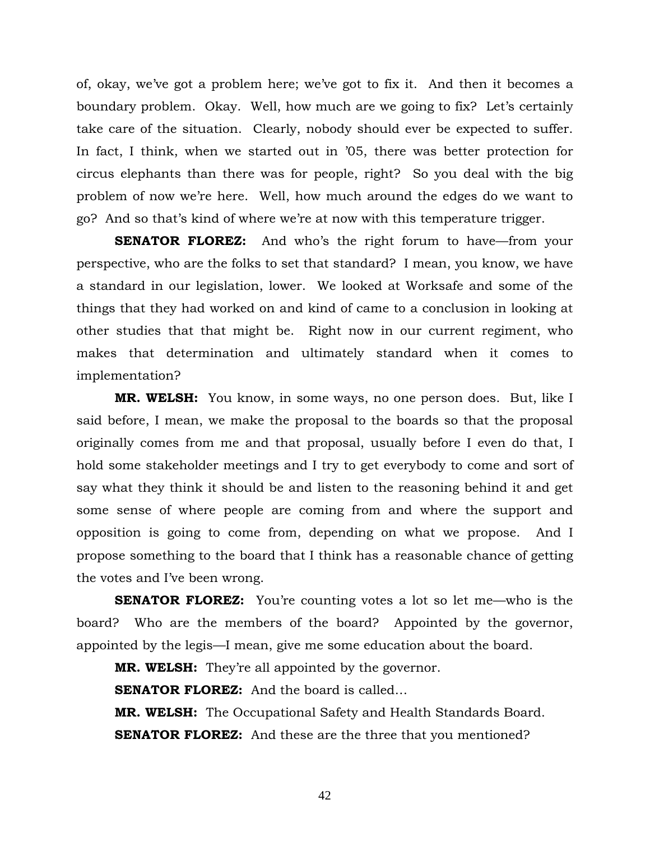of, okay, we've got a problem here; we've got to fix it. And then it becomes a boundary problem. Okay. Well, how much are we going to fix? Let's certainly take care of the situation. Clearly, nobody should ever be expected to suffer. In fact, I think, when we started out in '05, there was better protection for circus elephants than there was for people, right? So you deal with the big problem of now we're here. Well, how much around the edges do we want to go? And so that's kind of where we're at now with this temperature trigger.

**SENATOR FLOREZ:** And who's the right forum to have—from your perspective, who are the folks to set that standard? I mean, you know, we have a standard in our legislation, lower. We looked at Worksafe and some of the things that they had worked on and kind of came to a conclusion in looking at other studies that that might be. Right now in our current regiment, who makes that determination and ultimately standard when it comes to implementation?

**MR. WELSH:** You know, in some ways, no one person does. But, like I said before, I mean, we make the proposal to the boards so that the proposal originally comes from me and that proposal, usually before I even do that, I hold some stakeholder meetings and I try to get everybody to come and sort of say what they think it should be and listen to the reasoning behind it and get some sense of where people are coming from and where the support and opposition is going to come from, depending on what we propose. And I propose something to the board that I think has a reasonable chance of getting the votes and I've been wrong.

**SENATOR FLOREZ:** You're counting votes a lot so let me—who is the board? Who are the members of the board? Appointed by the governor, appointed by the legis—I mean, give me some education about the board.

**MR. WELSH:** They're all appointed by the governor.

**SENATOR FLOREZ:** And the board is called…

**MR. WELSH:** The Occupational Safety and Health Standards Board. **SENATOR FLOREZ:** And these are the three that you mentioned?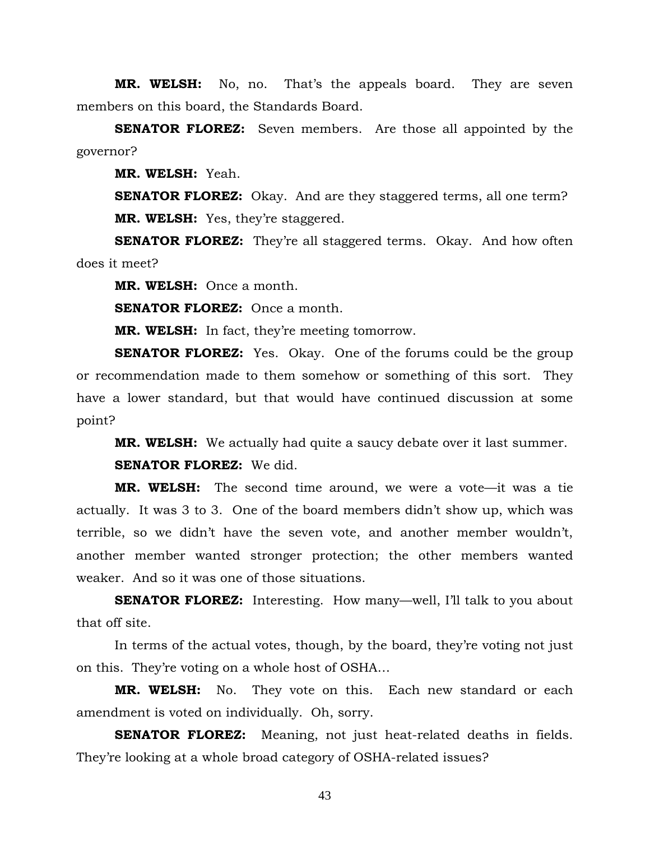**MR. WELSH:** No, no. That's the appeals board. They are seven members on this board, the Standards Board.

**SENATOR FLOREZ:** Seven members. Are those all appointed by the governor?

**MR. WELSH:** Yeah.

**SENATOR FLOREZ:** Okay. And are they staggered terms, all one term? **MR. WELSH:** Yes, they're staggered.

**SENATOR FLOREZ:** They're all staggered terms. Okay. And how often does it meet?

**MR. WELSH:** Once a month.

**SENATOR FLOREZ:** Once a month.

**MR. WELSH:** In fact, they're meeting tomorrow.

**SENATOR FLOREZ:** Yes. Okay. One of the forums could be the group or recommendation made to them somehow or something of this sort. They have a lower standard, but that would have continued discussion at some point?

**MR. WELSH:** We actually had quite a saucy debate over it last summer.

**SENATOR FLOREZ:** We did.

**MR. WELSH:** The second time around, we were a vote—it was a tie actually. It was 3 to 3. One of the board members didn't show up, which was terrible, so we didn't have the seven vote, and another member wouldn't, another member wanted stronger protection; the other members wanted weaker. And so it was one of those situations.

**SENATOR FLOREZ:** Interesting. How many—well, I'll talk to you about that off site.

 In terms of the actual votes, though, by the board, they're voting not just on this. They're voting on a whole host of OSHA…

**MR. WELSH:** No. They vote on this. Each new standard or each amendment is voted on individually. Oh, sorry.

**SENATOR FLOREZ:** Meaning, not just heat-related deaths in fields. They're looking at a whole broad category of OSHA-related issues?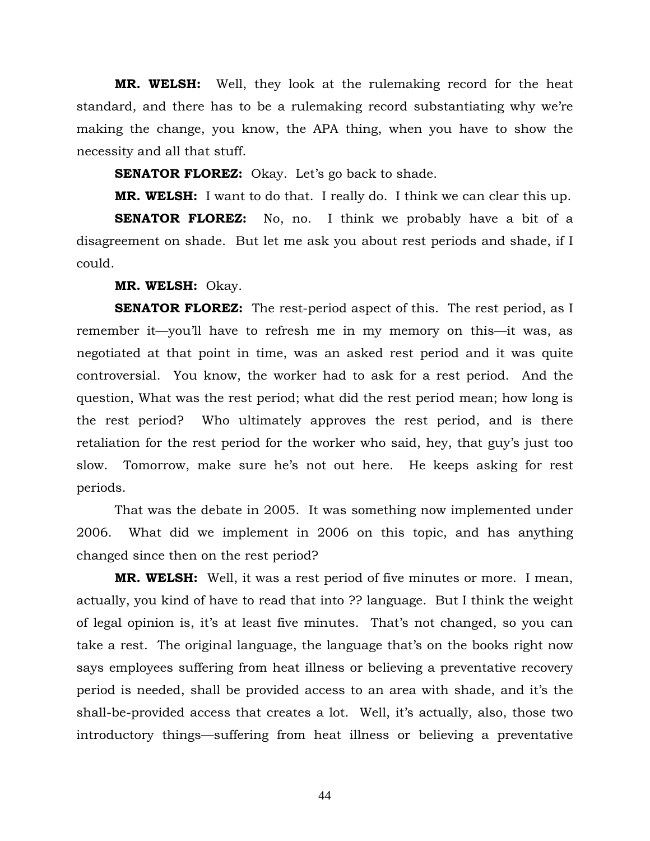**MR. WELSH:** Well, they look at the rulemaking record for the heat standard, and there has to be a rulemaking record substantiating why we're making the change, you know, the APA thing, when you have to show the necessity and all that stuff.

**SENATOR FLOREZ:** Okay. Let's go back to shade.

**MR. WELSH:** I want to do that. I really do. I think we can clear this up.

**SENATOR FLOREZ:** No, no. I think we probably have a bit of a disagreement on shade. But let me ask you about rest periods and shade, if I could.

**MR. WELSH:** Okay.

**SENATOR FLOREZ:** The rest-period aspect of this. The rest period, as I remember it—you'll have to refresh me in my memory on this—it was, as negotiated at that point in time, was an asked rest period and it was quite controversial. You know, the worker had to ask for a rest period. And the question, What was the rest period; what did the rest period mean; how long is the rest period? Who ultimately approves the rest period, and is there retaliation for the rest period for the worker who said, hey, that guy's just too slow. Tomorrow, make sure he's not out here. He keeps asking for rest periods.

 That was the debate in 2005. It was something now implemented under 2006. What did we implement in 2006 on this topic, and has anything changed since then on the rest period?

**MR. WELSH:** Well, it was a rest period of five minutes or more. I mean, actually, you kind of have to read that into ?? language. But I think the weight of legal opinion is, it's at least five minutes. That's not changed, so you can take a rest. The original language, the language that's on the books right now says employees suffering from heat illness or believing a preventative recovery period is needed, shall be provided access to an area with shade, and it's the shall-be-provided access that creates a lot. Well, it's actually, also, those two introductory things—suffering from heat illness or believing a preventative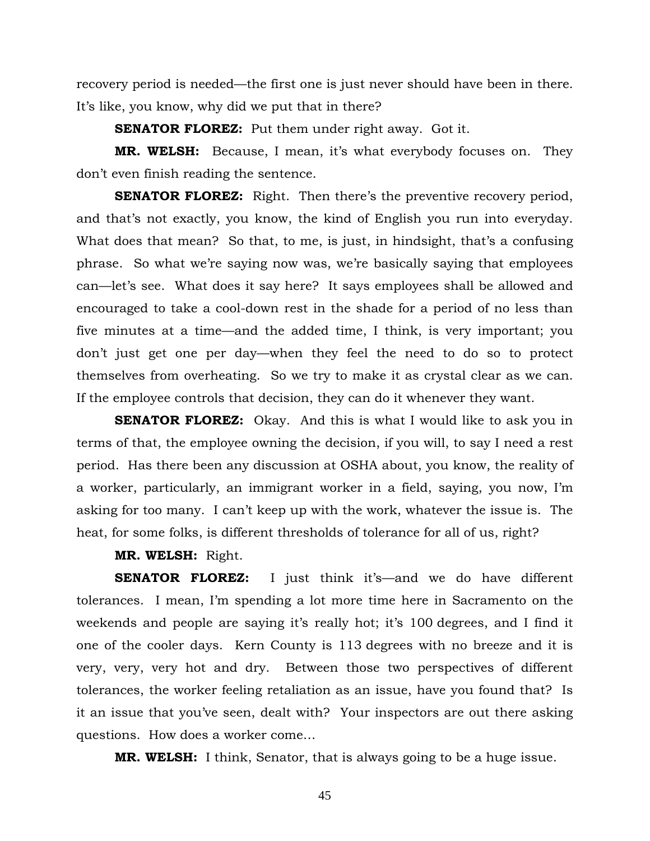recovery period is needed—the first one is just never should have been in there. It's like, you know, why did we put that in there?

**SENATOR FLOREZ:** Put them under right away. Got it.

**MR. WELSH:** Because, I mean, it's what everybody focuses on. They don't even finish reading the sentence.

**SENATOR FLOREZ:** Right. Then there's the preventive recovery period, and that's not exactly, you know, the kind of English you run into everyday. What does that mean? So that, to me, is just, in hindsight, that's a confusing phrase. So what we're saying now was, we're basically saying that employees can—let's see. What does it say here? It says employees shall be allowed and encouraged to take a cool-down rest in the shade for a period of no less than five minutes at a time—and the added time, I think, is very important; you don't just get one per day—when they feel the need to do so to protect themselves from overheating. So we try to make it as crystal clear as we can. If the employee controls that decision, they can do it whenever they want.

**SENATOR FLOREZ:** Okay. And this is what I would like to ask you in terms of that, the employee owning the decision, if you will, to say I need a rest period. Has there been any discussion at OSHA about, you know, the reality of a worker, particularly, an immigrant worker in a field, saying, you now, I'm asking for too many. I can't keep up with the work, whatever the issue is. The heat, for some folks, is different thresholds of tolerance for all of us, right?

## **MR. WELSH:** Right.

**SENATOR FLOREZ:** I just think it's—and we do have different tolerances. I mean, I'm spending a lot more time here in Sacramento on the weekends and people are saying it's really hot; it's 100 degrees, and I find it one of the cooler days. Kern County is 113 degrees with no breeze and it is very, very, very hot and dry. Between those two perspectives of different tolerances, the worker feeling retaliation as an issue, have you found that? Is it an issue that you've seen, dealt with? Your inspectors are out there asking questions. How does a worker come…

**MR. WELSH:** I think, Senator, that is always going to be a huge issue.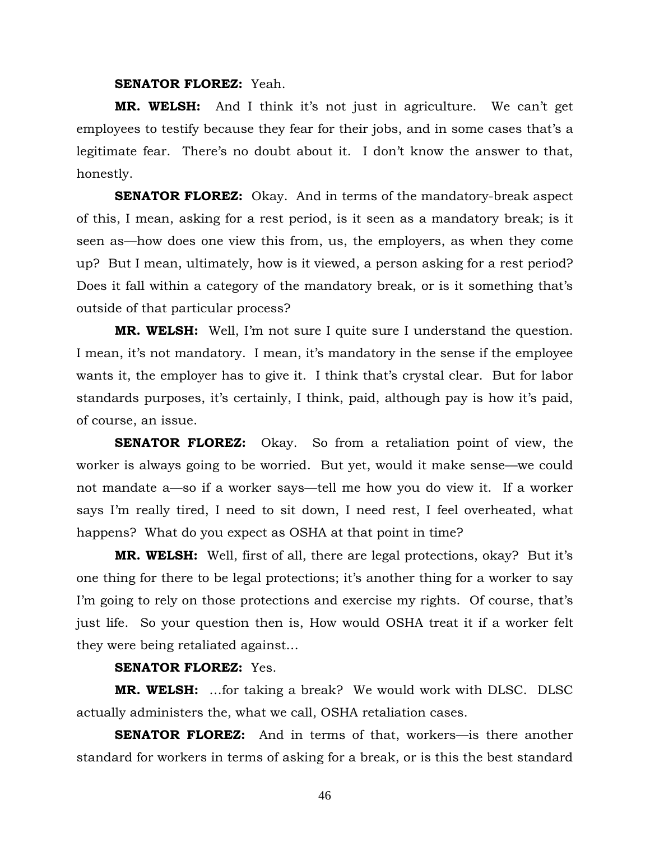### **SENATOR FLOREZ:** Yeah.

**MR. WELSH:** And I think it's not just in agriculture. We can't get employees to testify because they fear for their jobs, and in some cases that's a legitimate fear. There's no doubt about it. I don't know the answer to that, honestly.

**SENATOR FLOREZ:** Okay. And in terms of the mandatory-break aspect of this, I mean, asking for a rest period, is it seen as a mandatory break; is it seen as—how does one view this from, us, the employers, as when they come up? But I mean, ultimately, how is it viewed, a person asking for a rest period? Does it fall within a category of the mandatory break, or is it something that's outside of that particular process?

**MR. WELSH:** Well, I'm not sure I quite sure I understand the question. I mean, it's not mandatory. I mean, it's mandatory in the sense if the employee wants it, the employer has to give it. I think that's crystal clear. But for labor standards purposes, it's certainly, I think, paid, although pay is how it's paid, of course, an issue.

**SENATOR FLOREZ:** Okay. So from a retaliation point of view, the worker is always going to be worried. But yet, would it make sense—we could not mandate a—so if a worker says—tell me how you do view it. If a worker says I'm really tired, I need to sit down, I need rest, I feel overheated, what happens? What do you expect as OSHA at that point in time?

**MR. WELSH:** Well, first of all, there are legal protections, okay? But it's one thing for there to be legal protections; it's another thing for a worker to say I'm going to rely on those protections and exercise my rights. Of course, that's just life. So your question then is, How would OSHA treat it if a worker felt they were being retaliated against…

# **SENATOR FLOREZ:** Yes.

**MR. WELSH:** …for taking a break? We would work with DLSC. DLSC actually administers the, what we call, OSHA retaliation cases.

**SENATOR FLOREZ:** And in terms of that, workers—is there another standard for workers in terms of asking for a break, or is this the best standard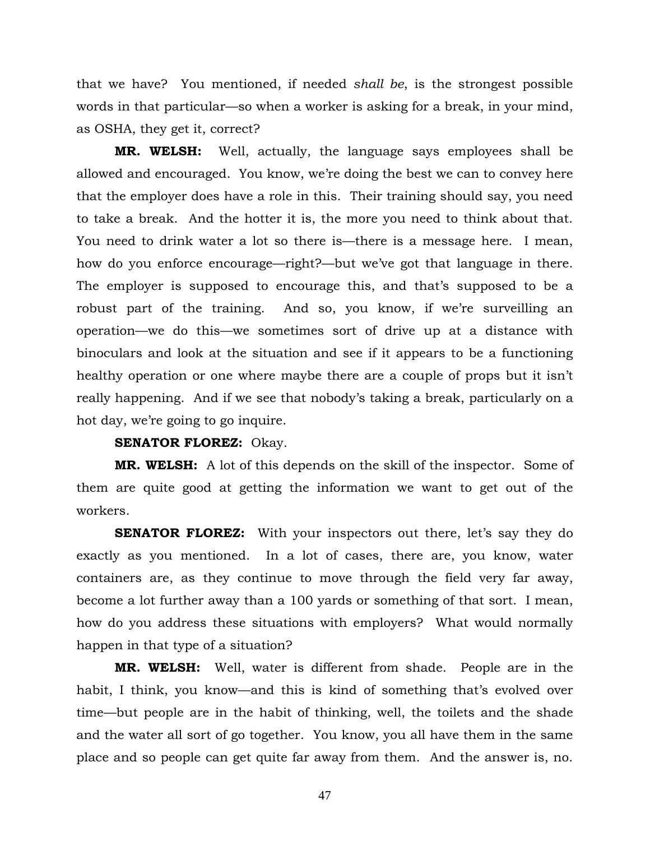that we have? You mentioned, if needed *shall be*, is the strongest possible words in that particular—so when a worker is asking for a break, in your mind, as OSHA, they get it, correct?

**MR. WELSH:** Well, actually, the language says employees shall be allowed and encouraged. You know, we're doing the best we can to convey here that the employer does have a role in this. Their training should say, you need to take a break. And the hotter it is, the more you need to think about that. You need to drink water a lot so there is—there is a message here. I mean, how do you enforce encourage—right?—but we've got that language in there. The employer is supposed to encourage this, and that's supposed to be a robust part of the training. And so, you know, if we're surveilling an operation—we do this—we sometimes sort of drive up at a distance with binoculars and look at the situation and see if it appears to be a functioning healthy operation or one where maybe there are a couple of props but it isn't really happening. And if we see that nobody's taking a break, particularly on a hot day, we're going to go inquire.

# **SENATOR FLOREZ:** Okay.

**MR. WELSH:** A lot of this depends on the skill of the inspector. Some of them are quite good at getting the information we want to get out of the workers.

**SENATOR FLOREZ:** With your inspectors out there, let's say they do exactly as you mentioned. In a lot of cases, there are, you know, water containers are, as they continue to move through the field very far away, become a lot further away than a 100 yards or something of that sort. I mean, how do you address these situations with employers? What would normally happen in that type of a situation?

**MR. WELSH:** Well, water is different from shade. People are in the habit, I think, you know—and this is kind of something that's evolved over time—but people are in the habit of thinking, well, the toilets and the shade and the water all sort of go together. You know, you all have them in the same place and so people can get quite far away from them. And the answer is, no.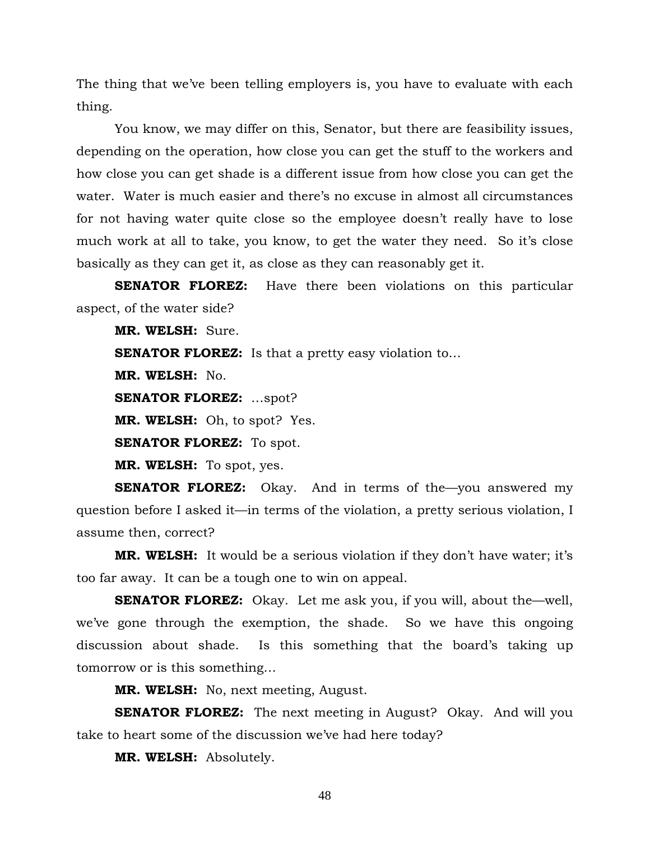The thing that we've been telling employers is, you have to evaluate with each thing.

You know, we may differ on this, Senator, but there are feasibility issues, depending on the operation, how close you can get the stuff to the workers and how close you can get shade is a different issue from how close you can get the water. Water is much easier and there's no excuse in almost all circumstances for not having water quite close so the employee doesn't really have to lose much work at all to take, you know, to get the water they need. So it's close basically as they can get it, as close as they can reasonably get it.

**SENATOR FLOREZ:** Have there been violations on this particular aspect, of the water side?

**MR. WELSH:** Sure.

**SENATOR FLOREZ:** Is that a pretty easy violation to...

**MR. WELSH:** No.

**SENATOR FLOREZ:** …spot?

**MR. WELSH:** Oh, to spot? Yes.

**SENATOR FLOREZ:** To spot.

**MR. WELSH:** To spot, yes.

**SENATOR FLOREZ:** Okay. And in terms of the you answered my question before I asked it—in terms of the violation, a pretty serious violation, I assume then, correct?

**MR. WELSH:** It would be a serious violation if they don't have water; it's too far away. It can be a tough one to win on appeal.

**SENATOR FLOREZ:** Okay. Let me ask you, if you will, about the—well, we've gone through the exemption, the shade. So we have this ongoing discussion about shade. Is this something that the board's taking up tomorrow or is this something…

**MR. WELSH:** No, next meeting, August.

**SENATOR FLOREZ:** The next meeting in August? Okay. And will you take to heart some of the discussion we've had here today?

**MR. WELSH:** Absolutely.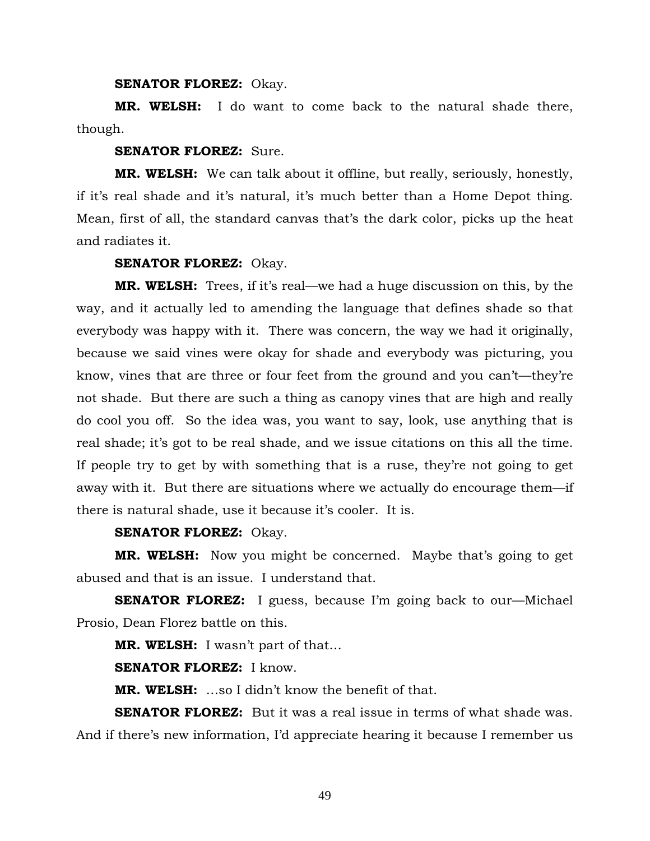**SENATOR FLOREZ:** Okay.

**MR. WELSH:** I do want to come back to the natural shade there, though.

### **SENATOR FLOREZ:** Sure.

**MR. WELSH:** We can talk about it offline, but really, seriously, honestly, if it's real shade and it's natural, it's much better than a Home Depot thing. Mean, first of all, the standard canvas that's the dark color, picks up the heat and radiates it.

## **SENATOR FLOREZ:** Okay.

**MR. WELSH:** Trees, if it's real—we had a huge discussion on this, by the way, and it actually led to amending the language that defines shade so that everybody was happy with it. There was concern, the way we had it originally, because we said vines were okay for shade and everybody was picturing, you know, vines that are three or four feet from the ground and you can't—they're not shade. But there are such a thing as canopy vines that are high and really do cool you off. So the idea was, you want to say, look, use anything that is real shade; it's got to be real shade, and we issue citations on this all the time. If people try to get by with something that is a ruse, they're not going to get away with it. But there are situations where we actually do encourage them—if there is natural shade, use it because it's cooler. It is.

# **SENATOR FLOREZ:** Okay.

**MR. WELSH:** Now you might be concerned. Maybe that's going to get abused and that is an issue. I understand that.

**SENATOR FLOREZ:** I guess, because I'm going back to our—Michael Prosio, Dean Florez battle on this.

**MR. WELSH:** I wasn't part of that…

**SENATOR FLOREZ:** I know.

**MR. WELSH:** …so I didn't know the benefit of that.

**SENATOR FLOREZ:** But it was a real issue in terms of what shade was. And if there's new information, I'd appreciate hearing it because I remember us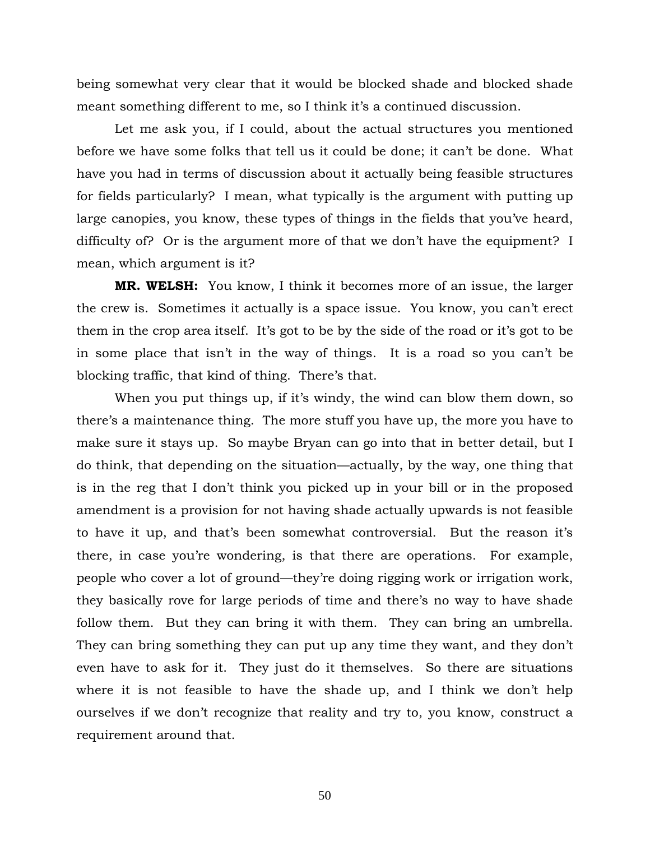being somewhat very clear that it would be blocked shade and blocked shade meant something different to me, so I think it's a continued discussion.

Let me ask you, if I could, about the actual structures you mentioned before we have some folks that tell us it could be done; it can't be done. What have you had in terms of discussion about it actually being feasible structures for fields particularly? I mean, what typically is the argument with putting up large canopies, you know, these types of things in the fields that you've heard, difficulty of? Or is the argument more of that we don't have the equipment? I mean, which argument is it?

**MR. WELSH:** You know, I think it becomes more of an issue, the larger the crew is. Sometimes it actually is a space issue. You know, you can't erect them in the crop area itself. It's got to be by the side of the road or it's got to be in some place that isn't in the way of things. It is a road so you can't be blocking traffic, that kind of thing. There's that.

When you put things up, if it's windy, the wind can blow them down, so there's a maintenance thing. The more stuff you have up, the more you have to make sure it stays up. So maybe Bryan can go into that in better detail, but I do think, that depending on the situation—actually, by the way, one thing that is in the reg that I don't think you picked up in your bill or in the proposed amendment is a provision for not having shade actually upwards is not feasible to have it up, and that's been somewhat controversial. But the reason it's there, in case you're wondering, is that there are operations. For example, people who cover a lot of ground—they're doing rigging work or irrigation work, they basically rove for large periods of time and there's no way to have shade follow them. But they can bring it with them. They can bring an umbrella. They can bring something they can put up any time they want, and they don't even have to ask for it. They just do it themselves. So there are situations where it is not feasible to have the shade up, and I think we don't help ourselves if we don't recognize that reality and try to, you know, construct a requirement around that.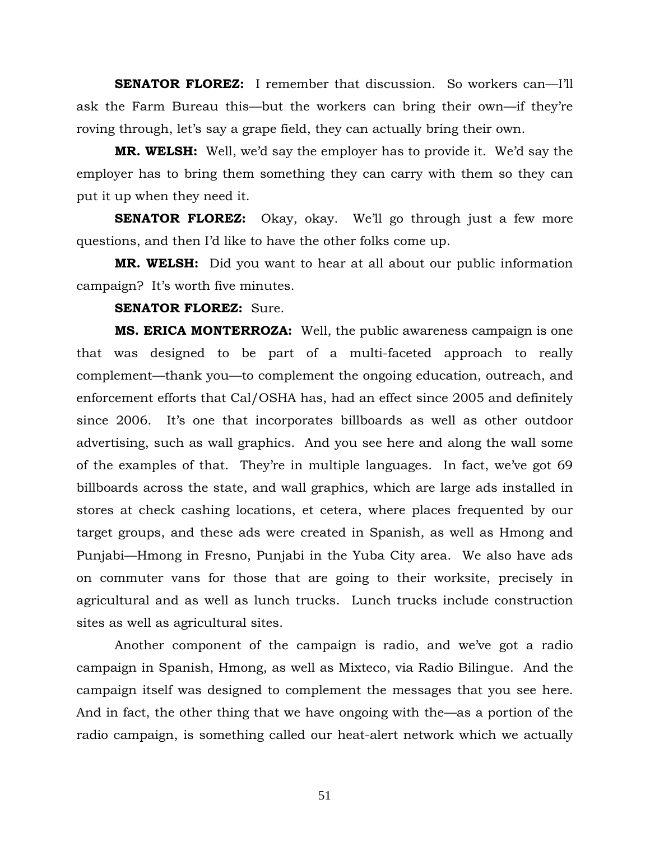**SENATOR FLOREZ:** I remember that discussion. So workers can—I'll ask the Farm Bureau this—but the workers can bring their own—if they're roving through, let's say a grape field, they can actually bring their own.

**MR. WELSH:** Well, we'd say the employer has to provide it. We'd say the employer has to bring them something they can carry with them so they can put it up when they need it.

**SENATOR FLOREZ:** Okay, okay. We'll go through just a few more questions, and then I'd like to have the other folks come up.

**MR. WELSH:** Did you want to hear at all about our public information campaign? It's worth five minutes.

#### **SENATOR FLOREZ:** Sure.

**MS. ERICA MONTERROZA:** Well, the public awareness campaign is one that was designed to be part of a multi-faceted approach to really complement—thank you—to complement the ongoing education, outreach, and enforcement efforts that Cal/OSHA has, had an effect since 2005 and definitely since 2006. It's one that incorporates billboards as well as other outdoor advertising, such as wall graphics. And you see here and along the wall some of the examples of that. They're in multiple languages. In fact, we've got 69 billboards across the state, and wall graphics, which are large ads installed in stores at check cashing locations, et cetera, where places frequented by our target groups, and these ads were created in Spanish, as well as Hmong and Punjabi—Hmong in Fresno, Punjabi in the Yuba City area. We also have ads on commuter vans for those that are going to their worksite, precisely in agricultural and as well as lunch trucks. Lunch trucks include construction sites as well as agricultural sites.

Another component of the campaign is radio, and we've got a radio campaign in Spanish, Hmong, as well as Mixteco, via Radio Bilingue. And the campaign itself was designed to complement the messages that you see here. And in fact, the other thing that we have ongoing with the—as a portion of the radio campaign, is something called our heat-alert network which we actually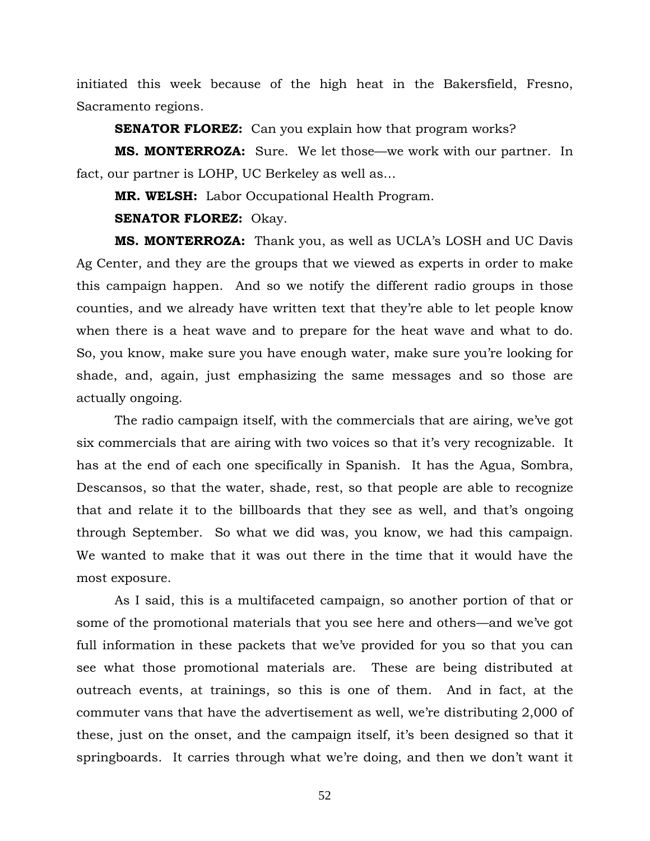initiated this week because of the high heat in the Bakersfield, Fresno, Sacramento regions.

**SENATOR FLOREZ:** Can you explain how that program works?

**MS. MONTERROZA:** Sure. We let those—we work with our partner. In fact, our partner is LOHP, UC Berkeley as well as…

**MR. WELSH:** Labor Occupational Health Program.

**SENATOR FLOREZ:** Okay.

**MS. MONTERROZA:** Thank you, as well as UCLA's LOSH and UC Davis Ag Center, and they are the groups that we viewed as experts in order to make this campaign happen. And so we notify the different radio groups in those counties, and we already have written text that they're able to let people know when there is a heat wave and to prepare for the heat wave and what to do. So, you know, make sure you have enough water, make sure you're looking for shade, and, again, just emphasizing the same messages and so those are actually ongoing.

The radio campaign itself, with the commercials that are airing, we've got six commercials that are airing with two voices so that it's very recognizable. It has at the end of each one specifically in Spanish. It has the Agua, Sombra, Descansos, so that the water, shade, rest, so that people are able to recognize that and relate it to the billboards that they see as well, and that's ongoing through September. So what we did was, you know, we had this campaign. We wanted to make that it was out there in the time that it would have the most exposure.

As I said, this is a multifaceted campaign, so another portion of that or some of the promotional materials that you see here and others—and we've got full information in these packets that we've provided for you so that you can see what those promotional materials are. These are being distributed at outreach events, at trainings, so this is one of them. And in fact, at the commuter vans that have the advertisement as well, we're distributing 2,000 of these, just on the onset, and the campaign itself, it's been designed so that it springboards. It carries through what we're doing, and then we don't want it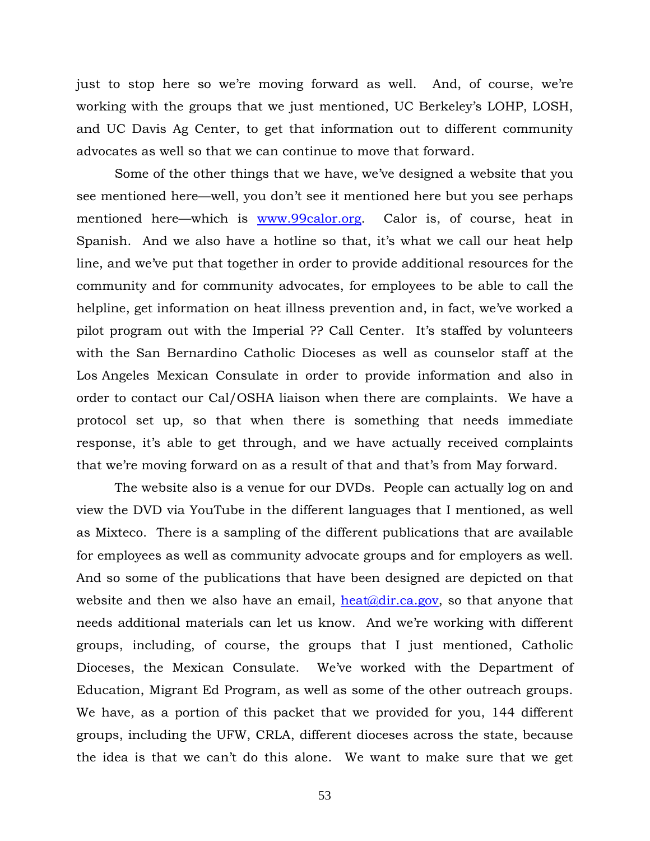just to stop here so we're moving forward as well. And, of course, we're working with the groups that we just mentioned, UC Berkeley's LOHP, LOSH, and UC Davis Ag Center, to get that information out to different community advocates as well so that we can continue to move that forward.

Some of the other things that we have, we've designed a website that you see mentioned here—well, you don't see it mentioned here but you see perhaps mentioned here—which is www.99calor.org. Calor is, of course, heat in Spanish. And we also have a hotline so that, it's what we call our heat help line, and we've put that together in order to provide additional resources for the community and for community advocates, for employees to be able to call the helpline, get information on heat illness prevention and, in fact, we've worked a pilot program out with the Imperial ?? Call Center. It's staffed by volunteers with the San Bernardino Catholic Dioceses as well as counselor staff at the Los Angeles Mexican Consulate in order to provide information and also in order to contact our Cal/OSHA liaison when there are complaints. We have a protocol set up, so that when there is something that needs immediate response, it's able to get through, and we have actually received complaints that we're moving forward on as a result of that and that's from May forward.

The website also is a venue for our DVDs. People can actually log on and view the DVD via YouTube in the different languages that I mentioned, as well as Mixteco. There is a sampling of the different publications that are available for employees as well as community advocate groups and for employers as well. And so some of the publications that have been designed are depicted on that website and then we also have an email, heat  $\partial$ dir.ca.gov, so that anyone that needs additional materials can let us know. And we're working with different groups, including, of course, the groups that I just mentioned, Catholic Dioceses, the Mexican Consulate. We've worked with the Department of Education, Migrant Ed Program, as well as some of the other outreach groups. We have, as a portion of this packet that we provided for you, 144 different groups, including the UFW, CRLA, different dioceses across the state, because the idea is that we can't do this alone. We want to make sure that we get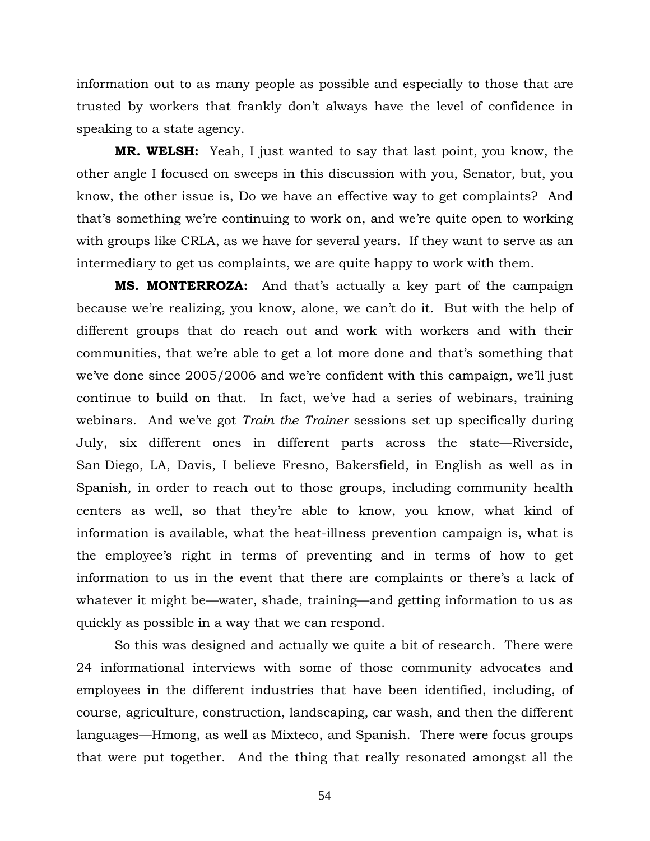information out to as many people as possible and especially to those that are trusted by workers that frankly don't always have the level of confidence in speaking to a state agency.

**MR. WELSH:** Yeah, I just wanted to say that last point, you know, the other angle I focused on sweeps in this discussion with you, Senator, but, you know, the other issue is, Do we have an effective way to get complaints? And that's something we're continuing to work on, and we're quite open to working with groups like CRLA, as we have for several years. If they want to serve as an intermediary to get us complaints, we are quite happy to work with them.

**MS. MONTERROZA:** And that's actually a key part of the campaign because we're realizing, you know, alone, we can't do it. But with the help of different groups that do reach out and work with workers and with their communities, that we're able to get a lot more done and that's something that we've done since 2005/2006 and we're confident with this campaign, we'll just continue to build on that. In fact, we've had a series of webinars, training webinars. And we've got *Train the Trainer* sessions set up specifically during July, six different ones in different parts across the state—Riverside, San Diego, LA, Davis, I believe Fresno, Bakersfield, in English as well as in Spanish, in order to reach out to those groups, including community health centers as well, so that they're able to know, you know, what kind of information is available, what the heat-illness prevention campaign is, what is the employee's right in terms of preventing and in terms of how to get information to us in the event that there are complaints or there's a lack of whatever it might be—water, shade, training—and getting information to us as quickly as possible in a way that we can respond.

So this was designed and actually we quite a bit of research. There were 24 informational interviews with some of those community advocates and employees in the different industries that have been identified, including, of course, agriculture, construction, landscaping, car wash, and then the different languages—Hmong, as well as Mixteco, and Spanish. There were focus groups that were put together. And the thing that really resonated amongst all the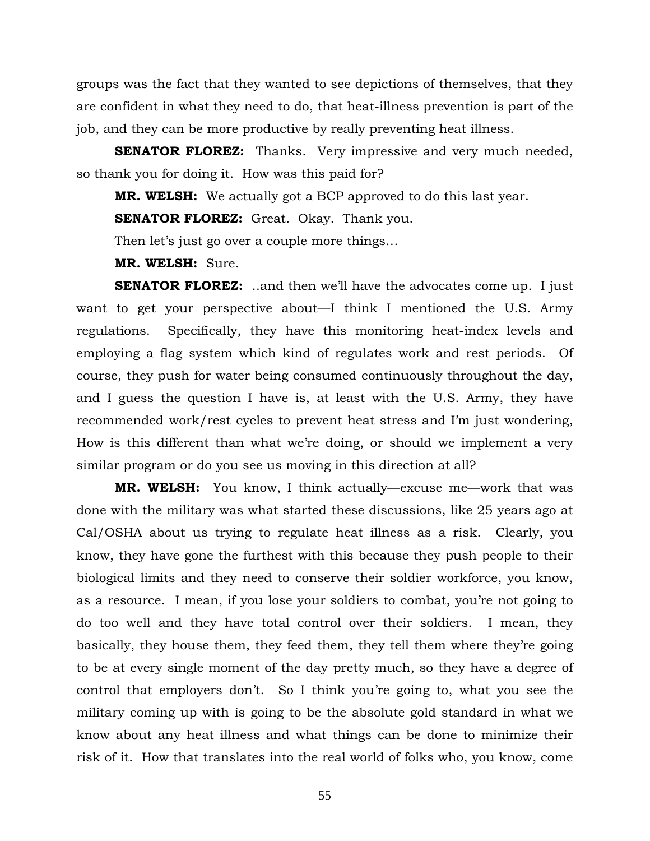groups was the fact that they wanted to see depictions of themselves, that they are confident in what they need to do, that heat-illness prevention is part of the job, and they can be more productive by really preventing heat illness.

**SENATOR FLOREZ:** Thanks. Very impressive and very much needed, so thank you for doing it. How was this paid for?

**MR. WELSH:** We actually got a BCP approved to do this last year.

**SENATOR FLOREZ:** Great. Okay. Thank you.

Then let's just go over a couple more things…

**MR. WELSH:** Sure.

**SENATOR FLOREZ:** ..and then we'll have the advocates come up. I just want to get your perspective about—I think I mentioned the U.S. Army regulations. Specifically, they have this monitoring heat-index levels and employing a flag system which kind of regulates work and rest periods. Of course, they push for water being consumed continuously throughout the day, and I guess the question I have is, at least with the U.S. Army, they have recommended work/rest cycles to prevent heat stress and I'm just wondering, How is this different than what we're doing, or should we implement a very similar program or do you see us moving in this direction at all?

**MR. WELSH:** You know, I think actually—excuse me—work that was done with the military was what started these discussions, like 25 years ago at Cal/OSHA about us trying to regulate heat illness as a risk. Clearly, you know, they have gone the furthest with this because they push people to their biological limits and they need to conserve their soldier workforce, you know, as a resource. I mean, if you lose your soldiers to combat, you're not going to do too well and they have total control over their soldiers. I mean, they basically, they house them, they feed them, they tell them where they're going to be at every single moment of the day pretty much, so they have a degree of control that employers don't. So I think you're going to, what you see the military coming up with is going to be the absolute gold standard in what we know about any heat illness and what things can be done to minimize their risk of it. How that translates into the real world of folks who, you know, come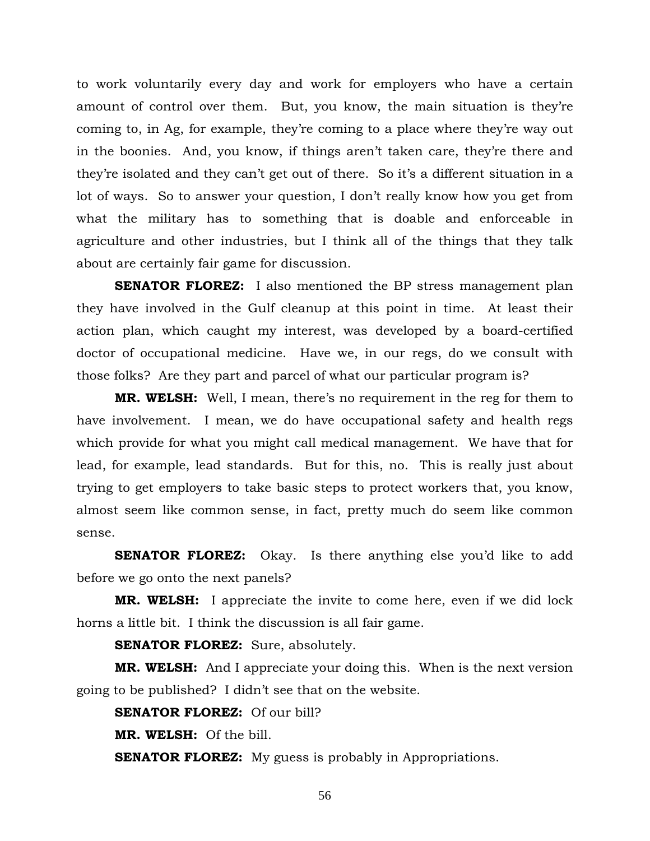to work voluntarily every day and work for employers who have a certain amount of control over them. But, you know, the main situation is they're coming to, in Ag, for example, they're coming to a place where they're way out in the boonies. And, you know, if things aren't taken care, they're there and they're isolated and they can't get out of there. So it's a different situation in a lot of ways. So to answer your question, I don't really know how you get from what the military has to something that is doable and enforceable in agriculture and other industries, but I think all of the things that they talk about are certainly fair game for discussion.

**SENATOR FLOREZ:** I also mentioned the BP stress management plan they have involved in the Gulf cleanup at this point in time. At least their action plan, which caught my interest, was developed by a board-certified doctor of occupational medicine. Have we, in our regs, do we consult with those folks? Are they part and parcel of what our particular program is?

**MR. WELSH:** Well, I mean, there's no requirement in the reg for them to have involvement. I mean, we do have occupational safety and health regs which provide for what you might call medical management. We have that for lead, for example, lead standards. But for this, no. This is really just about trying to get employers to take basic steps to protect workers that, you know, almost seem like common sense, in fact, pretty much do seem like common sense.

**SENATOR FLOREZ:** Okay. Is there anything else you'd like to add before we go onto the next panels?

**MR. WELSH:** I appreciate the invite to come here, even if we did lock horns a little bit. I think the discussion is all fair game.

**SENATOR FLOREZ:** Sure, absolutely.

**MR. WELSH:** And I appreciate your doing this. When is the next version going to be published? I didn't see that on the website.

**SENATOR FLOREZ:** Of our bill?

**MR. WELSH:** Of the bill.

**SENATOR FLOREZ:** My guess is probably in Appropriations.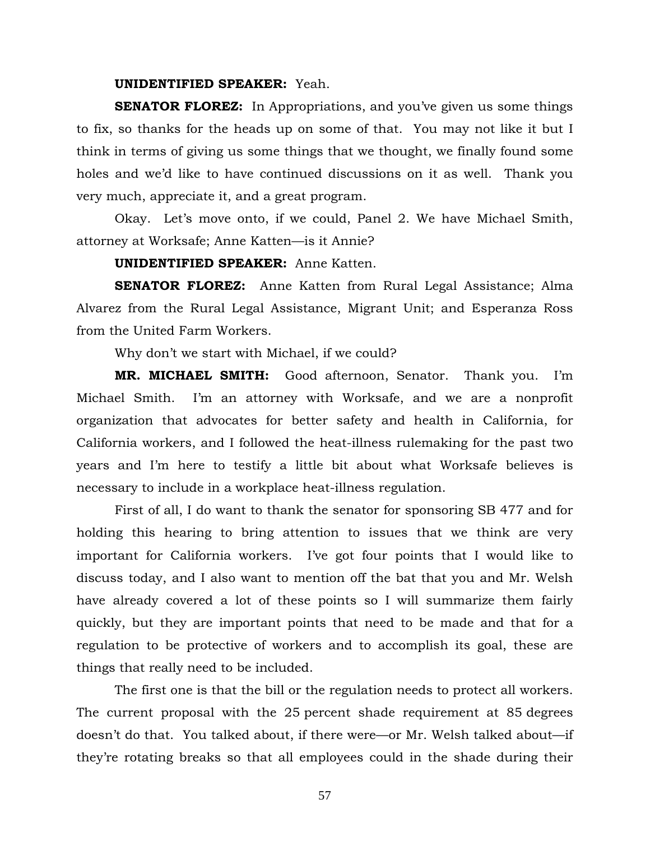### **UNIDENTIFIED SPEAKER:** Yeah.

**SENATOR FLOREZ:** In Appropriations, and you've given us some things to fix, so thanks for the heads up on some of that. You may not like it but I think in terms of giving us some things that we thought, we finally found some holes and we'd like to have continued discussions on it as well. Thank you very much, appreciate it, and a great program.

Okay. Let's move onto, if we could, Panel 2. We have Michael Smith, attorney at Worksafe; Anne Katten—is it Annie?

**UNIDENTIFIED SPEAKER:** Anne Katten.

**SENATOR FLOREZ:** Anne Katten from Rural Legal Assistance; Alma Alvarez from the Rural Legal Assistance, Migrant Unit; and Esperanza Ross from the United Farm Workers.

Why don't we start with Michael, if we could?

**MR. MICHAEL SMITH:** Good afternoon, Senator. Thank you. I'm Michael Smith. I'm an attorney with Worksafe, and we are a nonprofit organization that advocates for better safety and health in California, for California workers, and I followed the heat-illness rulemaking for the past two years and I'm here to testify a little bit about what Worksafe believes is necessary to include in a workplace heat-illness regulation.

 First of all, I do want to thank the senator for sponsoring SB 477 and for holding this hearing to bring attention to issues that we think are very important for California workers. I've got four points that I would like to discuss today, and I also want to mention off the bat that you and Mr. Welsh have already covered a lot of these points so I will summarize them fairly quickly, but they are important points that need to be made and that for a regulation to be protective of workers and to accomplish its goal, these are things that really need to be included.

 The first one is that the bill or the regulation needs to protect all workers. The current proposal with the 25 percent shade requirement at 85 degrees doesn't do that. You talked about, if there were—or Mr. Welsh talked about—if they're rotating breaks so that all employees could in the shade during their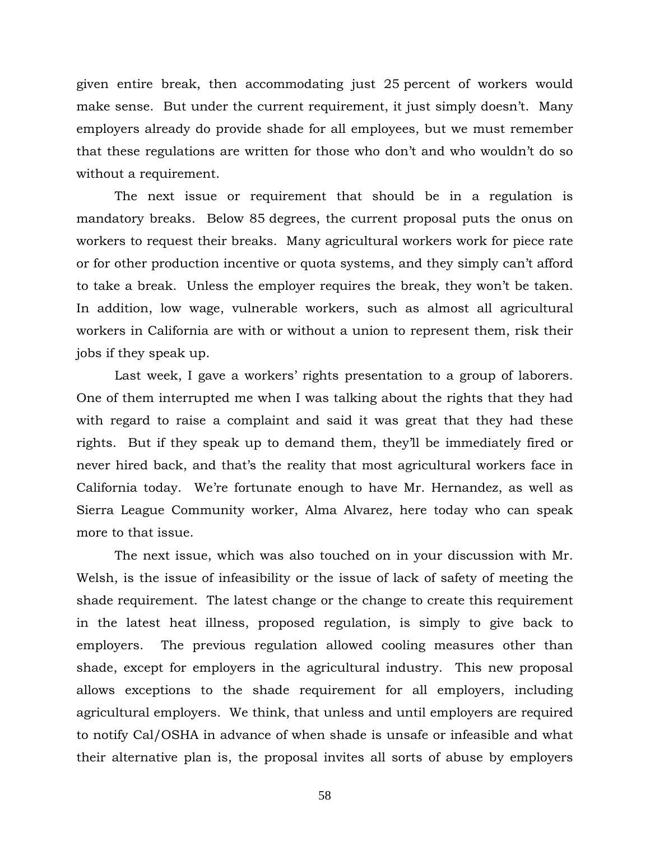given entire break, then accommodating just 25 percent of workers would make sense. But under the current requirement, it just simply doesn't. Many employers already do provide shade for all employees, but we must remember that these regulations are written for those who don't and who wouldn't do so without a requirement.

 The next issue or requirement that should be in a regulation is mandatory breaks. Below 85 degrees, the current proposal puts the onus on workers to request their breaks. Many agricultural workers work for piece rate or for other production incentive or quota systems, and they simply can't afford to take a break. Unless the employer requires the break, they won't be taken. In addition, low wage, vulnerable workers, such as almost all agricultural workers in California are with or without a union to represent them, risk their jobs if they speak up.

 Last week, I gave a workers' rights presentation to a group of laborers. One of them interrupted me when I was talking about the rights that they had with regard to raise a complaint and said it was great that they had these rights. But if they speak up to demand them, they'll be immediately fired or never hired back, and that's the reality that most agricultural workers face in California today. We're fortunate enough to have Mr. Hernandez, as well as Sierra League Community worker, Alma Alvarez, here today who can speak more to that issue.

 The next issue, which was also touched on in your discussion with Mr. Welsh, is the issue of infeasibility or the issue of lack of safety of meeting the shade requirement. The latest change or the change to create this requirement in the latest heat illness, proposed regulation, is simply to give back to employers. The previous regulation allowed cooling measures other than shade, except for employers in the agricultural industry. This new proposal allows exceptions to the shade requirement for all employers, including agricultural employers. We think, that unless and until employers are required to notify Cal/OSHA in advance of when shade is unsafe or infeasible and what their alternative plan is, the proposal invites all sorts of abuse by employers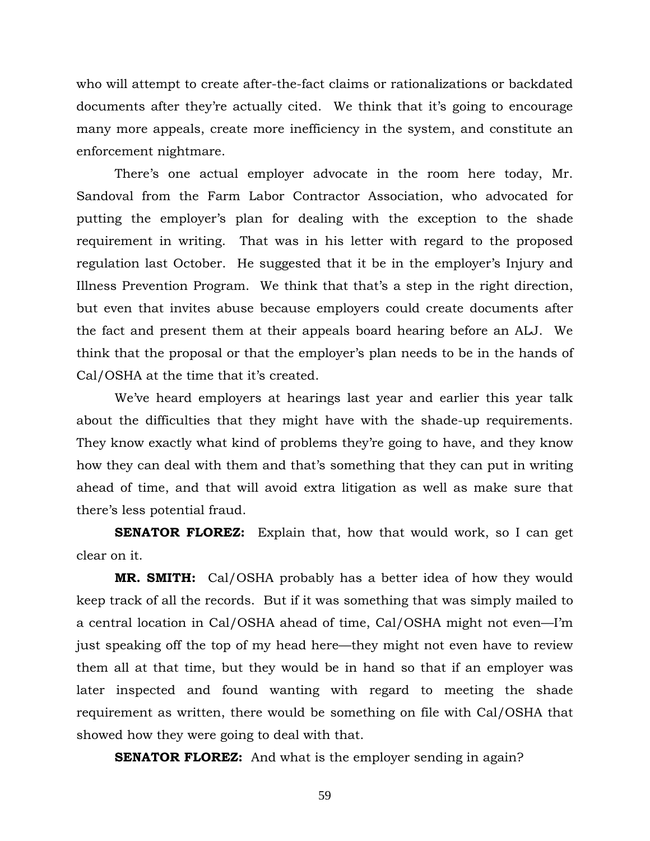who will attempt to create after-the-fact claims or rationalizations or backdated documents after they're actually cited. We think that it's going to encourage many more appeals, create more inefficiency in the system, and constitute an enforcement nightmare.

 There's one actual employer advocate in the room here today, Mr. Sandoval from the Farm Labor Contractor Association, who advocated for putting the employer's plan for dealing with the exception to the shade requirement in writing. That was in his letter with regard to the proposed regulation last October. He suggested that it be in the employer's Injury and Illness Prevention Program. We think that that's a step in the right direction, but even that invites abuse because employers could create documents after the fact and present them at their appeals board hearing before an ALJ. We think that the proposal or that the employer's plan needs to be in the hands of Cal/OSHA at the time that it's created.

 We've heard employers at hearings last year and earlier this year talk about the difficulties that they might have with the shade-up requirements. They know exactly what kind of problems they're going to have, and they know how they can deal with them and that's something that they can put in writing ahead of time, and that will avoid extra litigation as well as make sure that there's less potential fraud.

**SENATOR FLOREZ:** Explain that, how that would work, so I can get clear on it.

**MR. SMITH:** Cal/OSHA probably has a better idea of how they would keep track of all the records. But if it was something that was simply mailed to a central location in Cal/OSHA ahead of time, Cal/OSHA might not even—I'm just speaking off the top of my head here—they might not even have to review them all at that time, but they would be in hand so that if an employer was later inspected and found wanting with regard to meeting the shade requirement as written, there would be something on file with Cal/OSHA that showed how they were going to deal with that.

**SENATOR FLOREZ:** And what is the employer sending in again?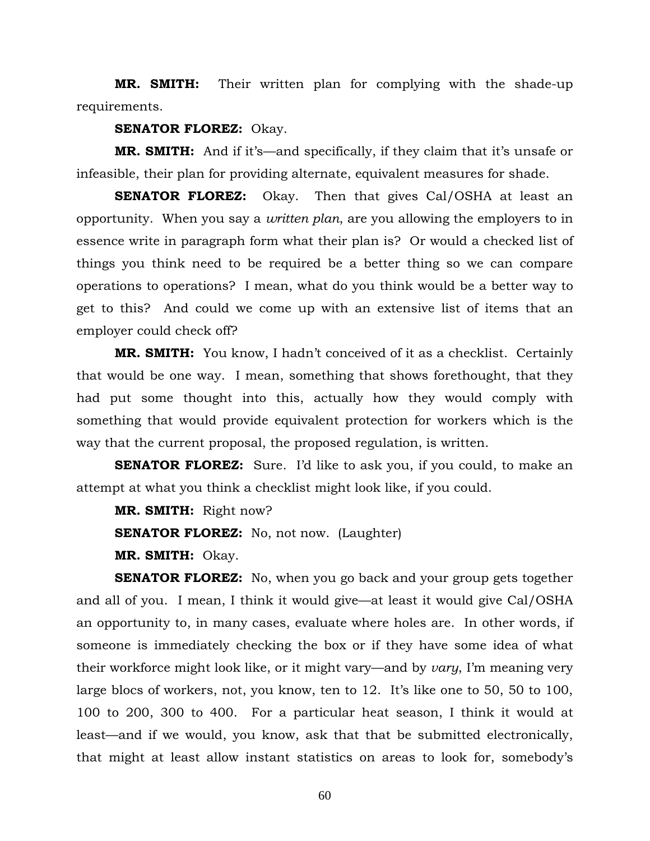**MR. SMITH:** Their written plan for complying with the shade-up requirements.

## **SENATOR FLOREZ:** Okay.

**MR. SMITH:** And if it's—and specifically, if they claim that it's unsafe or infeasible, their plan for providing alternate, equivalent measures for shade.

**SENATOR FLOREZ:** Okay. Then that gives Cal/OSHA at least an opportunity. When you say a *written plan*, are you allowing the employers to in essence write in paragraph form what their plan is? Or would a checked list of things you think need to be required be a better thing so we can compare operations to operations? I mean, what do you think would be a better way to get to this? And could we come up with an extensive list of items that an employer could check off?

**MR. SMITH:** You know, I hadn't conceived of it as a checklist. Certainly that would be one way. I mean, something that shows forethought, that they had put some thought into this, actually how they would comply with something that would provide equivalent protection for workers which is the way that the current proposal, the proposed regulation, is written.

**SENATOR FLOREZ:** Sure. I'd like to ask you, if you could, to make an attempt at what you think a checklist might look like, if you could.

**MR. SMITH:** Right now?

**SENATOR FLOREZ:** No, not now. (Laughter)

**MR. SMITH:** Okay.

**SENATOR FLOREZ:** No, when you go back and your group gets together and all of you. I mean, I think it would give—at least it would give Cal/OSHA an opportunity to, in many cases, evaluate where holes are. In other words, if someone is immediately checking the box or if they have some idea of what their workforce might look like, or it might vary—and by *vary*, I'm meaning very large blocs of workers, not, you know, ten to 12. It's like one to 50, 50 to 100, 100 to 200, 300 to 400. For a particular heat season, I think it would at least—and if we would, you know, ask that that be submitted electronically, that might at least allow instant statistics on areas to look for, somebody's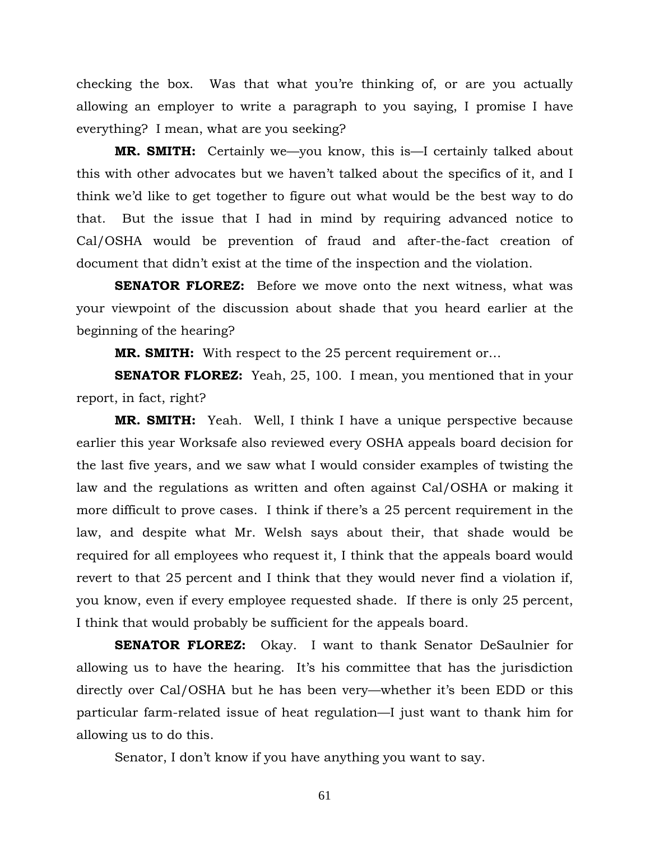checking the box. Was that what you're thinking of, or are you actually allowing an employer to write a paragraph to you saying, I promise I have everything? I mean, what are you seeking?

**MR. SMITH:** Certainly we—you know, this is—I certainly talked about this with other advocates but we haven't talked about the specifics of it, and I think we'd like to get together to figure out what would be the best way to do that. But the issue that I had in mind by requiring advanced notice to Cal/OSHA would be prevention of fraud and after-the-fact creation of document that didn't exist at the time of the inspection and the violation.

**SENATOR FLOREZ:** Before we move onto the next witness, what was your viewpoint of the discussion about shade that you heard earlier at the beginning of the hearing?

**MR. SMITH:** With respect to the 25 percent requirement or…

**SENATOR FLOREZ:** Yeah, 25, 100. I mean, you mentioned that in your report, in fact, right?

**MR. SMITH:** Yeah. Well, I think I have a unique perspective because earlier this year Worksafe also reviewed every OSHA appeals board decision for the last five years, and we saw what I would consider examples of twisting the law and the regulations as written and often against Cal/OSHA or making it more difficult to prove cases. I think if there's a 25 percent requirement in the law, and despite what Mr. Welsh says about their, that shade would be required for all employees who request it, I think that the appeals board would revert to that 25 percent and I think that they would never find a violation if, you know, even if every employee requested shade. If there is only 25 percent, I think that would probably be sufficient for the appeals board.

**SENATOR FLOREZ:** Okay. I want to thank Senator DeSaulnier for allowing us to have the hearing. It's his committee that has the jurisdiction directly over Cal/OSHA but he has been very—whether it's been EDD or this particular farm-related issue of heat regulation—I just want to thank him for allowing us to do this.

Senator, I don't know if you have anything you want to say.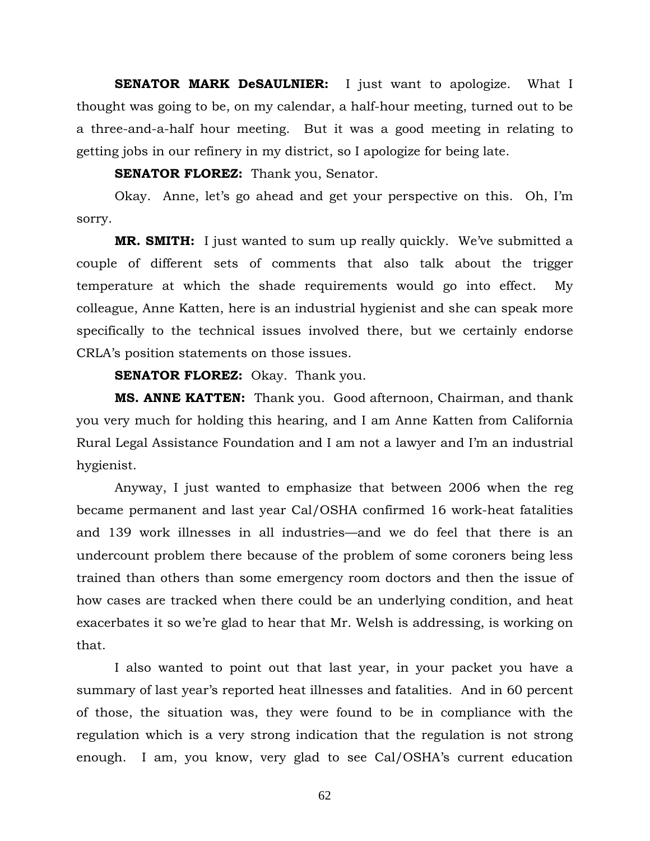**SENATOR MARK DeSAULNIER:** I just want to apologize. What I thought was going to be, on my calendar, a half-hour meeting, turned out to be a three-and-a-half hour meeting. But it was a good meeting in relating to getting jobs in our refinery in my district, so I apologize for being late.

**SENATOR FLOREZ:** Thank you, Senator.

 Okay. Anne, let's go ahead and get your perspective on this. Oh, I'm sorry.

**MR. SMITH:** I just wanted to sum up really quickly. We've submitted a couple of different sets of comments that also talk about the trigger temperature at which the shade requirements would go into effect. My colleague, Anne Katten, here is an industrial hygienist and she can speak more specifically to the technical issues involved there, but we certainly endorse CRLA's position statements on those issues.

**SENATOR FLOREZ:** Okay. Thank you.

**MS. ANNE KATTEN:** Thank you. Good afternoon, Chairman, and thank you very much for holding this hearing, and I am Anne Katten from California Rural Legal Assistance Foundation and I am not a lawyer and I'm an industrial hygienist.

 Anyway, I just wanted to emphasize that between 2006 when the reg became permanent and last year Cal/OSHA confirmed 16 work-heat fatalities and 139 work illnesses in all industries—and we do feel that there is an undercount problem there because of the problem of some coroners being less trained than others than some emergency room doctors and then the issue of how cases are tracked when there could be an underlying condition, and heat exacerbates it so we're glad to hear that Mr. Welsh is addressing, is working on that.

 I also wanted to point out that last year, in your packet you have a summary of last year's reported heat illnesses and fatalities. And in 60 percent of those, the situation was, they were found to be in compliance with the regulation which is a very strong indication that the regulation is not strong enough. I am, you know, very glad to see Cal/OSHA's current education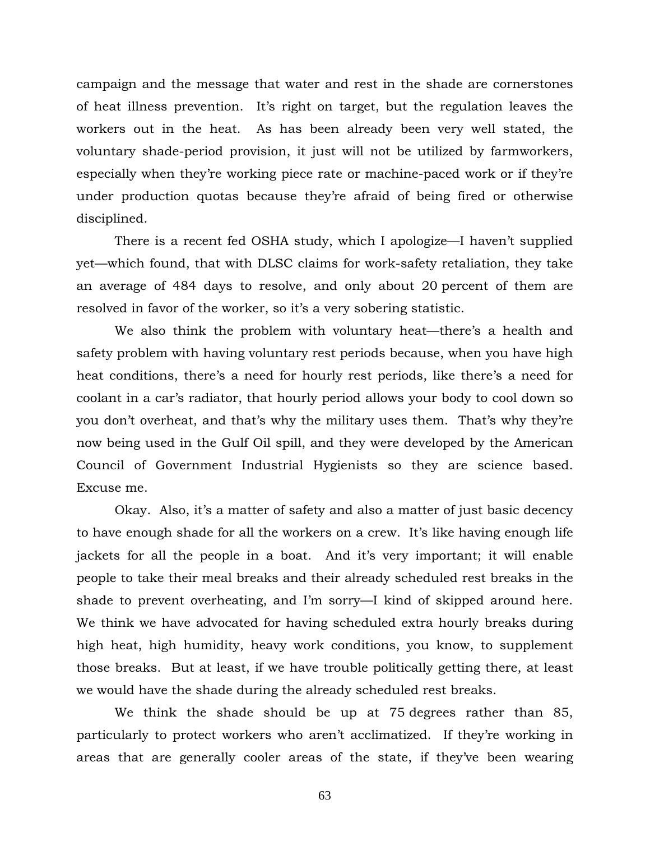campaign and the message that water and rest in the shade are cornerstones of heat illness prevention. It's right on target, but the regulation leaves the workers out in the heat. As has been already been very well stated, the voluntary shade-period provision, it just will not be utilized by farmworkers, especially when they're working piece rate or machine-paced work or if they're under production quotas because they're afraid of being fired or otherwise disciplined.

 There is a recent fed OSHA study, which I apologize—I haven't supplied yet—which found, that with DLSC claims for work-safety retaliation, they take an average of 484 days to resolve, and only about 20 percent of them are resolved in favor of the worker, so it's a very sobering statistic.

 We also think the problem with voluntary heat—there's a health and safety problem with having voluntary rest periods because, when you have high heat conditions, there's a need for hourly rest periods, like there's a need for coolant in a car's radiator, that hourly period allows your body to cool down so you don't overheat, and that's why the military uses them. That's why they're now being used in the Gulf Oil spill, and they were developed by the American Council of Government Industrial Hygienists so they are science based. Excuse me.

 Okay. Also, it's a matter of safety and also a matter of just basic decency to have enough shade for all the workers on a crew. It's like having enough life jackets for all the people in a boat. And it's very important; it will enable people to take their meal breaks and their already scheduled rest breaks in the shade to prevent overheating, and I'm sorry—I kind of skipped around here. We think we have advocated for having scheduled extra hourly breaks during high heat, high humidity, heavy work conditions, you know, to supplement those breaks. But at least, if we have trouble politically getting there, at least we would have the shade during the already scheduled rest breaks.

 We think the shade should be up at 75 degrees rather than 85, particularly to protect workers who aren't acclimatized. If they're working in areas that are generally cooler areas of the state, if they've been wearing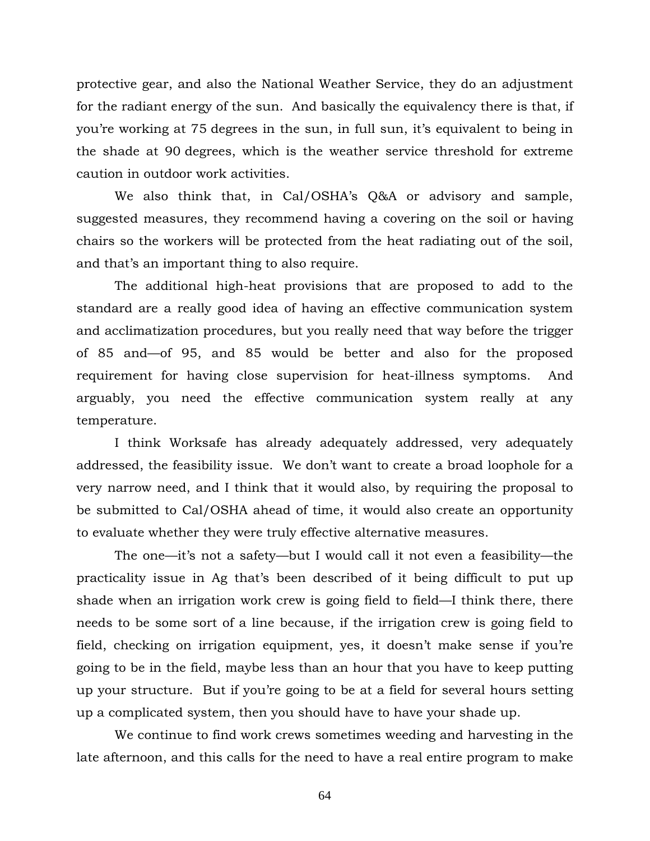protective gear, and also the National Weather Service, they do an adjustment for the radiant energy of the sun. And basically the equivalency there is that, if you're working at 75 degrees in the sun, in full sun, it's equivalent to being in the shade at 90 degrees, which is the weather service threshold for extreme caution in outdoor work activities.

 We also think that, in Cal/OSHA's Q&A or advisory and sample, suggested measures, they recommend having a covering on the soil or having chairs so the workers will be protected from the heat radiating out of the soil, and that's an important thing to also require.

 The additional high-heat provisions that are proposed to add to the standard are a really good idea of having an effective communication system and acclimatization procedures, but you really need that way before the trigger of 85 and—of 95, and 85 would be better and also for the proposed requirement for having close supervision for heat-illness symptoms. And arguably, you need the effective communication system really at any temperature.

 I think Worksafe has already adequately addressed, very adequately addressed, the feasibility issue. We don't want to create a broad loophole for a very narrow need, and I think that it would also, by requiring the proposal to be submitted to Cal/OSHA ahead of time, it would also create an opportunity to evaluate whether they were truly effective alternative measures.

 The one—it's not a safety—but I would call it not even a feasibility—the practicality issue in Ag that's been described of it being difficult to put up shade when an irrigation work crew is going field to field—I think there, there needs to be some sort of a line because, if the irrigation crew is going field to field, checking on irrigation equipment, yes, it doesn't make sense if you're going to be in the field, maybe less than an hour that you have to keep putting up your structure. But if you're going to be at a field for several hours setting up a complicated system, then you should have to have your shade up.

 We continue to find work crews sometimes weeding and harvesting in the late afternoon, and this calls for the need to have a real entire program to make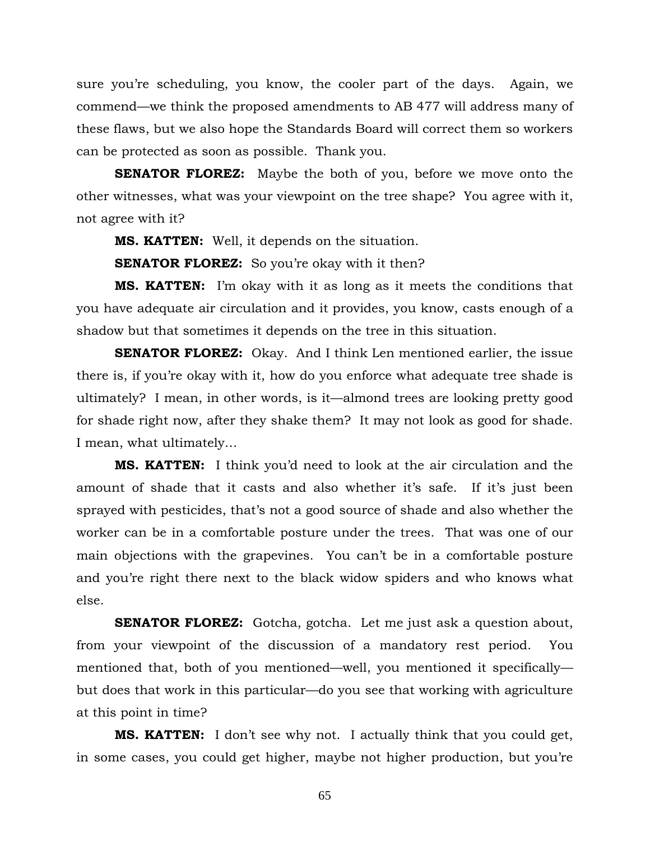sure you're scheduling, you know, the cooler part of the days. Again, we commend—we think the proposed amendments to AB 477 will address many of these flaws, but we also hope the Standards Board will correct them so workers can be protected as soon as possible. Thank you.

**SENATOR FLOREZ:** Maybe the both of you, before we move onto the other witnesses, what was your viewpoint on the tree shape? You agree with it, not agree with it?

**MS. KATTEN:** Well, it depends on the situation.

**SENATOR FLOREZ:** So you're okay with it then?

**MS. KATTEN:** I'm okay with it as long as it meets the conditions that you have adequate air circulation and it provides, you know, casts enough of a shadow but that sometimes it depends on the tree in this situation.

**SENATOR FLOREZ:** Okay. And I think Len mentioned earlier, the issue there is, if you're okay with it, how do you enforce what adequate tree shade is ultimately? I mean, in other words, is it—almond trees are looking pretty good for shade right now, after they shake them? It may not look as good for shade. I mean, what ultimately…

**MS. KATTEN:** I think you'd need to look at the air circulation and the amount of shade that it casts and also whether it's safe. If it's just been sprayed with pesticides, that's not a good source of shade and also whether the worker can be in a comfortable posture under the trees. That was one of our main objections with the grapevines. You can't be in a comfortable posture and you're right there next to the black widow spiders and who knows what else.

**SENATOR FLOREZ:** Gotcha, gotcha. Let me just ask a question about, from your viewpoint of the discussion of a mandatory rest period. You mentioned that, both of you mentioned—well, you mentioned it specifically but does that work in this particular—do you see that working with agriculture at this point in time?

**MS. KATTEN:** I don't see why not. I actually think that you could get, in some cases, you could get higher, maybe not higher production, but you're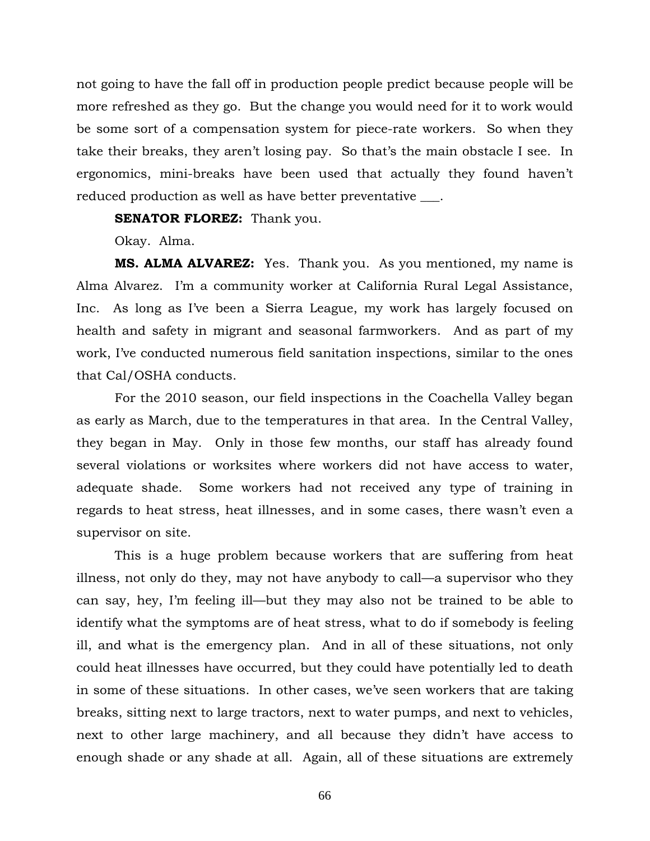not going to have the fall off in production people predict because people will be more refreshed as they go. But the change you would need for it to work would be some sort of a compensation system for piece-rate workers. So when they take their breaks, they aren't losing pay. So that's the main obstacle I see. In ergonomics, mini-breaks have been used that actually they found haven't reduced production as well as have better preventative \_\_\_.

**SENATOR FLOREZ:** Thank you.

Okay. Alma.

**MS. ALMA ALVAREZ:** Yes. Thank you. As you mentioned, my name is Alma Alvarez. I'm a community worker at California Rural Legal Assistance, Inc. As long as I've been a Sierra League, my work has largely focused on health and safety in migrant and seasonal farmworkers. And as part of my work, I've conducted numerous field sanitation inspections, similar to the ones that Cal/OSHA conducts.

 For the 2010 season, our field inspections in the Coachella Valley began as early as March, due to the temperatures in that area. In the Central Valley, they began in May. Only in those few months, our staff has already found several violations or worksites where workers did not have access to water, adequate shade. Some workers had not received any type of training in regards to heat stress, heat illnesses, and in some cases, there wasn't even a supervisor on site.

 This is a huge problem because workers that are suffering from heat illness, not only do they, may not have anybody to call—a supervisor who they can say, hey, I'm feeling ill—but they may also not be trained to be able to identify what the symptoms are of heat stress, what to do if somebody is feeling ill, and what is the emergency plan. And in all of these situations, not only could heat illnesses have occurred, but they could have potentially led to death in some of these situations. In other cases, we've seen workers that are taking breaks, sitting next to large tractors, next to water pumps, and next to vehicles, next to other large machinery, and all because they didn't have access to enough shade or any shade at all. Again, all of these situations are extremely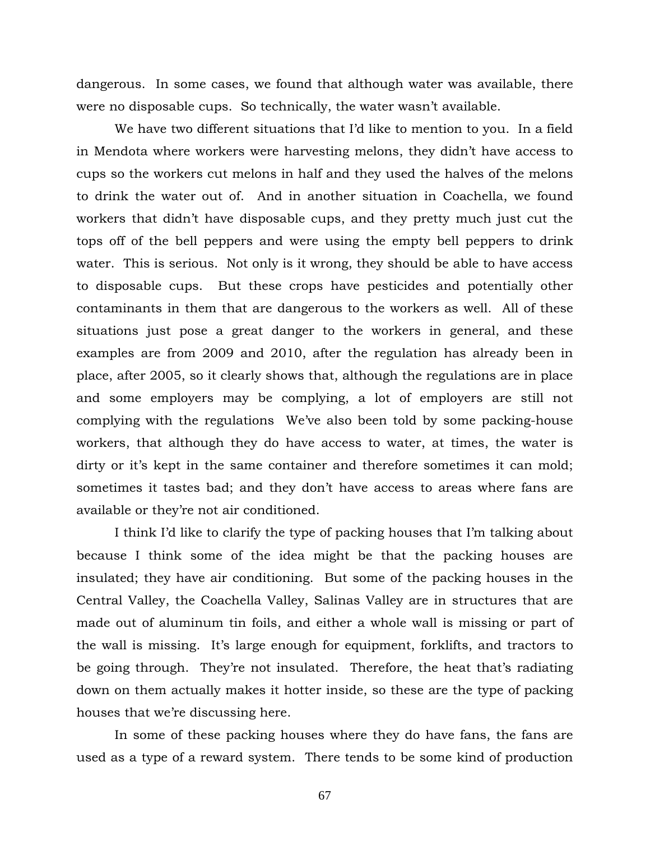dangerous. In some cases, we found that although water was available, there were no disposable cups. So technically, the water wasn't available.

 We have two different situations that I'd like to mention to you. In a field in Mendota where workers were harvesting melons, they didn't have access to cups so the workers cut melons in half and they used the halves of the melons to drink the water out of. And in another situation in Coachella, we found workers that didn't have disposable cups, and they pretty much just cut the tops off of the bell peppers and were using the empty bell peppers to drink water. This is serious. Not only is it wrong, they should be able to have access to disposable cups. But these crops have pesticides and potentially other contaminants in them that are dangerous to the workers as well. All of these situations just pose a great danger to the workers in general, and these examples are from 2009 and 2010, after the regulation has already been in place, after 2005, so it clearly shows that, although the regulations are in place and some employers may be complying, a lot of employers are still not complying with the regulations We've also been told by some packing-house workers, that although they do have access to water, at times, the water is dirty or it's kept in the same container and therefore sometimes it can mold; sometimes it tastes bad; and they don't have access to areas where fans are available or they're not air conditioned.

 I think I'd like to clarify the type of packing houses that I'm talking about because I think some of the idea might be that the packing houses are insulated; they have air conditioning. But some of the packing houses in the Central Valley, the Coachella Valley, Salinas Valley are in structures that are made out of aluminum tin foils, and either a whole wall is missing or part of the wall is missing. It's large enough for equipment, forklifts, and tractors to be going through. They're not insulated. Therefore, the heat that's radiating down on them actually makes it hotter inside, so these are the type of packing houses that we're discussing here.

In some of these packing houses where they do have fans, the fans are used as a type of a reward system. There tends to be some kind of production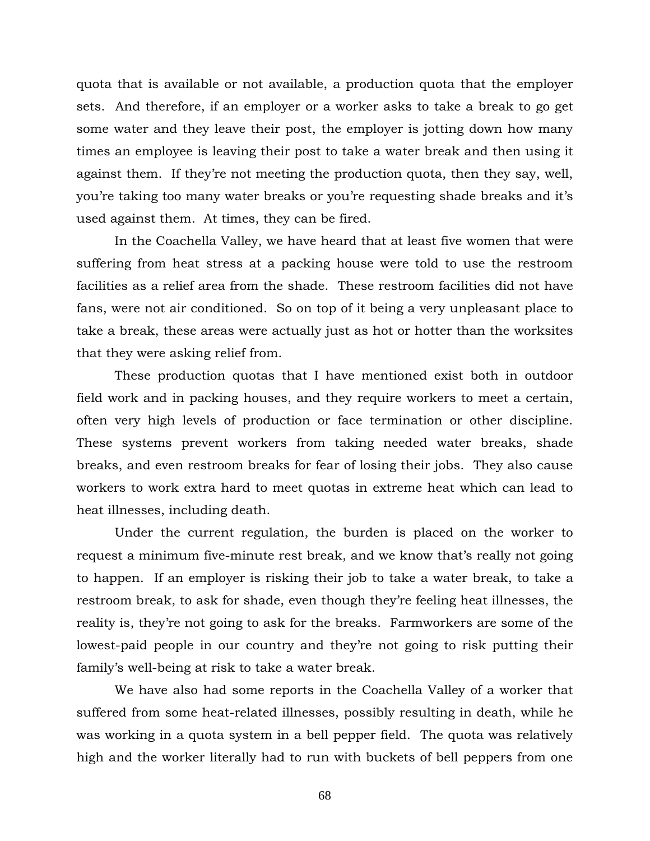quota that is available or not available, a production quota that the employer sets. And therefore, if an employer or a worker asks to take a break to go get some water and they leave their post, the employer is jotting down how many times an employee is leaving their post to take a water break and then using it against them. If they're not meeting the production quota, then they say, well, you're taking too many water breaks or you're requesting shade breaks and it's used against them. At times, they can be fired.

In the Coachella Valley, we have heard that at least five women that were suffering from heat stress at a packing house were told to use the restroom facilities as a relief area from the shade. These restroom facilities did not have fans, were not air conditioned. So on top of it being a very unpleasant place to take a break, these areas were actually just as hot or hotter than the worksites that they were asking relief from.

These production quotas that I have mentioned exist both in outdoor field work and in packing houses, and they require workers to meet a certain, often very high levels of production or face termination or other discipline. These systems prevent workers from taking needed water breaks, shade breaks, and even restroom breaks for fear of losing their jobs. They also cause workers to work extra hard to meet quotas in extreme heat which can lead to heat illnesses, including death.

Under the current regulation, the burden is placed on the worker to request a minimum five-minute rest break, and we know that's really not going to happen. If an employer is risking their job to take a water break, to take a restroom break, to ask for shade, even though they're feeling heat illnesses, the reality is, they're not going to ask for the breaks. Farmworkers are some of the lowest-paid people in our country and they're not going to risk putting their family's well-being at risk to take a water break.

We have also had some reports in the Coachella Valley of a worker that suffered from some heat-related illnesses, possibly resulting in death, while he was working in a quota system in a bell pepper field. The quota was relatively high and the worker literally had to run with buckets of bell peppers from one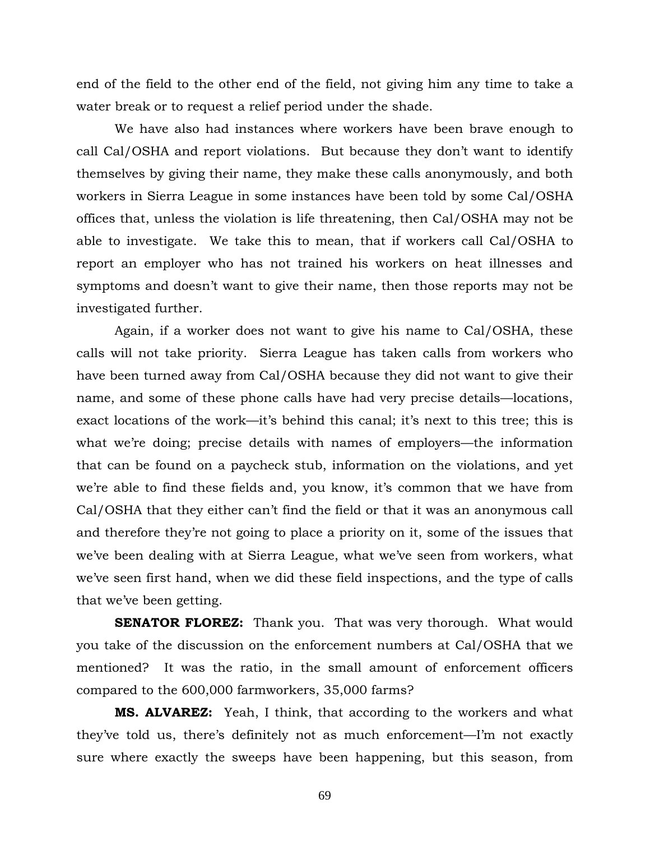end of the field to the other end of the field, not giving him any time to take a water break or to request a relief period under the shade.

We have also had instances where workers have been brave enough to call Cal/OSHA and report violations. But because they don't want to identify themselves by giving their name, they make these calls anonymously, and both workers in Sierra League in some instances have been told by some Cal/OSHA offices that, unless the violation is life threatening, then Cal/OSHA may not be able to investigate. We take this to mean, that if workers call Cal/OSHA to report an employer who has not trained his workers on heat illnesses and symptoms and doesn't want to give their name, then those reports may not be investigated further.

Again, if a worker does not want to give his name to Cal/OSHA, these calls will not take priority. Sierra League has taken calls from workers who have been turned away from Cal/OSHA because they did not want to give their name, and some of these phone calls have had very precise details—locations, exact locations of the work—it's behind this canal; it's next to this tree; this is what we're doing; precise details with names of employers—the information that can be found on a paycheck stub, information on the violations, and yet we're able to find these fields and, you know, it's common that we have from Cal/OSHA that they either can't find the field or that it was an anonymous call and therefore they're not going to place a priority on it, some of the issues that we've been dealing with at Sierra League, what we've seen from workers, what we've seen first hand, when we did these field inspections, and the type of calls that we've been getting.

**SENATOR FLOREZ:** Thank you. That was very thorough. What would you take of the discussion on the enforcement numbers at Cal/OSHA that we mentioned? It was the ratio, in the small amount of enforcement officers compared to the 600,000 farmworkers, 35,000 farms?

**MS. ALVAREZ:** Yeah, I think, that according to the workers and what they've told us, there's definitely not as much enforcement—I'm not exactly sure where exactly the sweeps have been happening, but this season, from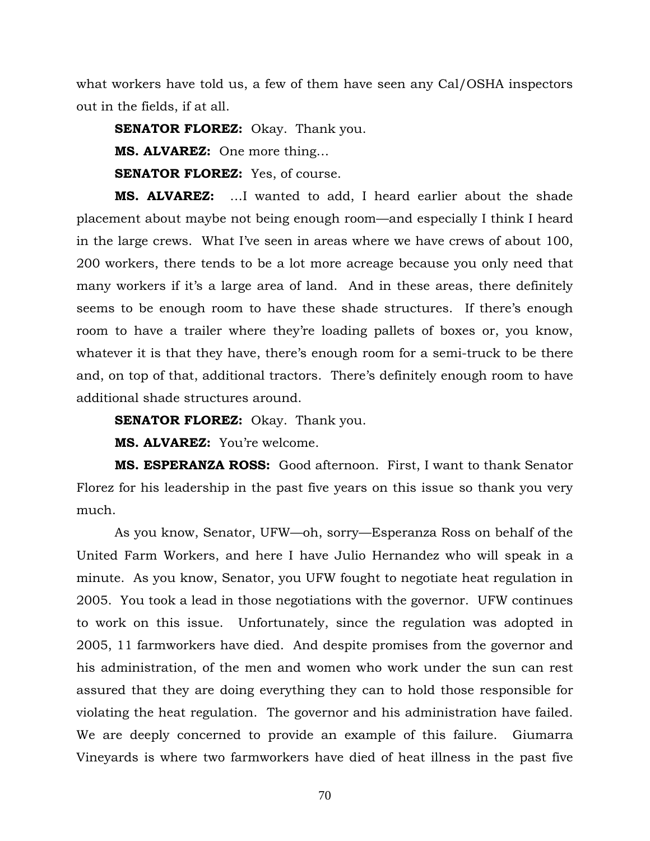what workers have told us, a few of them have seen any Cal/OSHA inspectors out in the fields, if at all.

**SENATOR FLOREZ:** Okay. Thank you.

**MS. ALVAREZ:** One more thing…

**SENATOR FLOREZ:** Yes, of course.

**MS. ALVAREZ:** …I wanted to add, I heard earlier about the shade placement about maybe not being enough room—and especially I think I heard in the large crews. What I've seen in areas where we have crews of about 100, 200 workers, there tends to be a lot more acreage because you only need that many workers if it's a large area of land. And in these areas, there definitely seems to be enough room to have these shade structures. If there's enough room to have a trailer where they're loading pallets of boxes or, you know, whatever it is that they have, there's enough room for a semi-truck to be there and, on top of that, additional tractors. There's definitely enough room to have additional shade structures around.

**SENATOR FLOREZ:** Okay. Thank you.

**MS. ALVAREZ:** You're welcome.

**MS. ESPERANZA ROSS:** Good afternoon. First, I want to thank Senator Florez for his leadership in the past five years on this issue so thank you very much.

As you know, Senator, UFW—oh, sorry—Esperanza Ross on behalf of the United Farm Workers, and here I have Julio Hernandez who will speak in a minute. As you know, Senator, you UFW fought to negotiate heat regulation in 2005. You took a lead in those negotiations with the governor. UFW continues to work on this issue. Unfortunately, since the regulation was adopted in 2005, 11 farmworkers have died. And despite promises from the governor and his administration, of the men and women who work under the sun can rest assured that they are doing everything they can to hold those responsible for violating the heat regulation. The governor and his administration have failed. We are deeply concerned to provide an example of this failure. Giumarra Vineyards is where two farmworkers have died of heat illness in the past five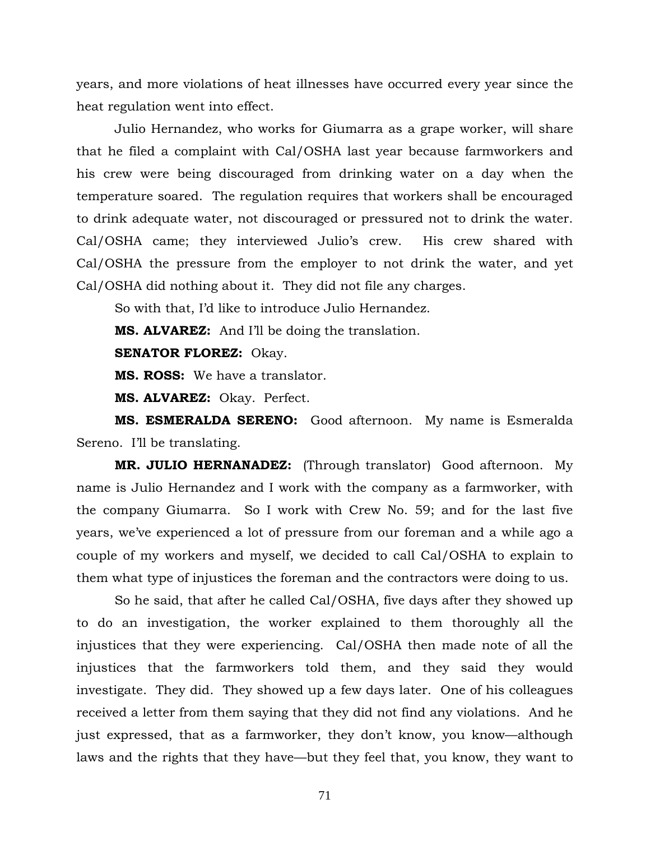years, and more violations of heat illnesses have occurred every year since the heat regulation went into effect.

Julio Hernandez, who works for Giumarra as a grape worker, will share that he filed a complaint with Cal/OSHA last year because farmworkers and his crew were being discouraged from drinking water on a day when the temperature soared. The regulation requires that workers shall be encouraged to drink adequate water, not discouraged or pressured not to drink the water. Cal/OSHA came; they interviewed Julio's crew. His crew shared with Cal/OSHA the pressure from the employer to not drink the water, and yet Cal/OSHA did nothing about it. They did not file any charges.

So with that, I'd like to introduce Julio Hernandez.

**MS. ALVAREZ:** And I'll be doing the translation.

**SENATOR FLOREZ:** Okay.

**MS. ROSS:** We have a translator.

**MS. ALVAREZ:** Okay. Perfect.

**MS. ESMERALDA SERENO:** Good afternoon. My name is Esmeralda Sereno. I'll be translating.

**MR. JULIO HERNANADEZ:** (Through translator) Good afternoon. My name is Julio Hernandez and I work with the company as a farmworker, with the company Giumarra. So I work with Crew No. 59; and for the last five years, we've experienced a lot of pressure from our foreman and a while ago a couple of my workers and myself, we decided to call Cal/OSHA to explain to them what type of injustices the foreman and the contractors were doing to us.

So he said, that after he called Cal/OSHA, five days after they showed up to do an investigation, the worker explained to them thoroughly all the injustices that they were experiencing. Cal/OSHA then made note of all the injustices that the farmworkers told them, and they said they would investigate. They did. They showed up a few days later. One of his colleagues received a letter from them saying that they did not find any violations. And he just expressed, that as a farmworker, they don't know, you know—although laws and the rights that they have—but they feel that, you know, they want to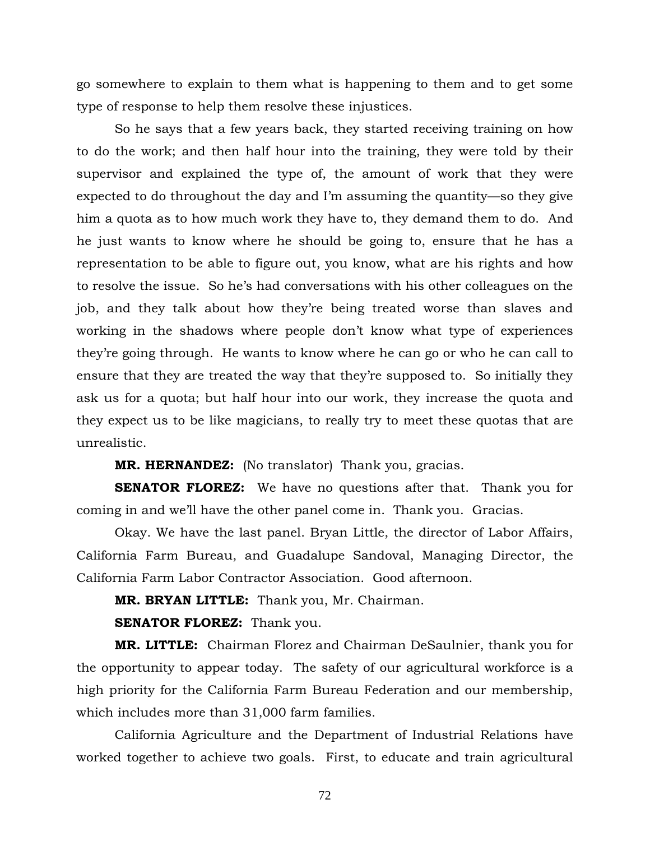go somewhere to explain to them what is happening to them and to get some type of response to help them resolve these injustices.

So he says that a few years back, they started receiving training on how to do the work; and then half hour into the training, they were told by their supervisor and explained the type of, the amount of work that they were expected to do throughout the day and I'm assuming the quantity—so they give him a quota as to how much work they have to, they demand them to do. And he just wants to know where he should be going to, ensure that he has a representation to be able to figure out, you know, what are his rights and how to resolve the issue. So he's had conversations with his other colleagues on the job, and they talk about how they're being treated worse than slaves and working in the shadows where people don't know what type of experiences they're going through. He wants to know where he can go or who he can call to ensure that they are treated the way that they're supposed to. So initially they ask us for a quota; but half hour into our work, they increase the quota and they expect us to be like magicians, to really try to meet these quotas that are unrealistic.

**MR. HERNANDEZ:** (No translator) Thank you, gracias.

**SENATOR FLOREZ:** We have no questions after that. Thank you for coming in and we'll have the other panel come in. Thank you. Gracias.

 Okay. We have the last panel. Bryan Little, the director of Labor Affairs, California Farm Bureau, and Guadalupe Sandoval, Managing Director, the California Farm Labor Contractor Association. Good afternoon.

**MR. BRYAN LITTLE:** Thank you, Mr. Chairman.

**SENATOR FLOREZ:** Thank you.

**MR. LITTLE:** Chairman Florez and Chairman DeSaulnier, thank you for the opportunity to appear today. The safety of our agricultural workforce is a high priority for the California Farm Bureau Federation and our membership, which includes more than 31,000 farm families.

 California Agriculture and the Department of Industrial Relations have worked together to achieve two goals. First, to educate and train agricultural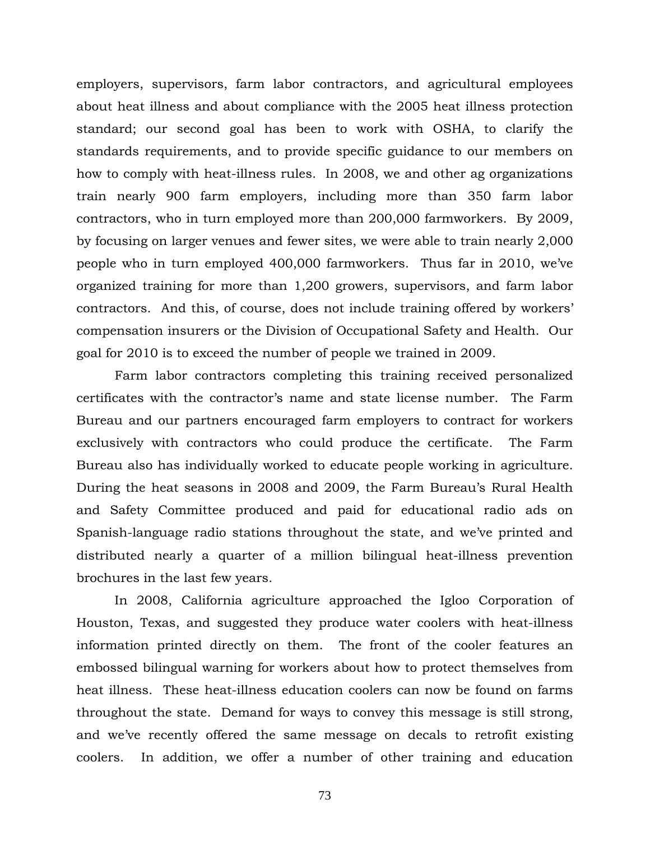employers, supervisors, farm labor contractors, and agricultural employees about heat illness and about compliance with the 2005 heat illness protection standard; our second goal has been to work with OSHA, to clarify the standards requirements, and to provide specific guidance to our members on how to comply with heat-illness rules. In 2008, we and other ag organizations train nearly 900 farm employers, including more than 350 farm labor contractors, who in turn employed more than 200,000 farmworkers. By 2009, by focusing on larger venues and fewer sites, we were able to train nearly 2,000 people who in turn employed 400,000 farmworkers. Thus far in 2010, we've organized training for more than 1,200 growers, supervisors, and farm labor contractors. And this, of course, does not include training offered by workers' compensation insurers or the Division of Occupational Safety and Health. Our goal for 2010 is to exceed the number of people we trained in 2009.

 Farm labor contractors completing this training received personalized certificates with the contractor's name and state license number. The Farm Bureau and our partners encouraged farm employers to contract for workers exclusively with contractors who could produce the certificate. The Farm Bureau also has individually worked to educate people working in agriculture. During the heat seasons in 2008 and 2009, the Farm Bureau's Rural Health and Safety Committee produced and paid for educational radio ads on Spanish-language radio stations throughout the state, and we've printed and distributed nearly a quarter of a million bilingual heat-illness prevention brochures in the last few years.

 In 2008, California agriculture approached the Igloo Corporation of Houston, Texas, and suggested they produce water coolers with heat-illness information printed directly on them. The front of the cooler features an embossed bilingual warning for workers about how to protect themselves from heat illness. These heat-illness education coolers can now be found on farms throughout the state. Demand for ways to convey this message is still strong, and we've recently offered the same message on decals to retrofit existing coolers. In addition, we offer a number of other training and education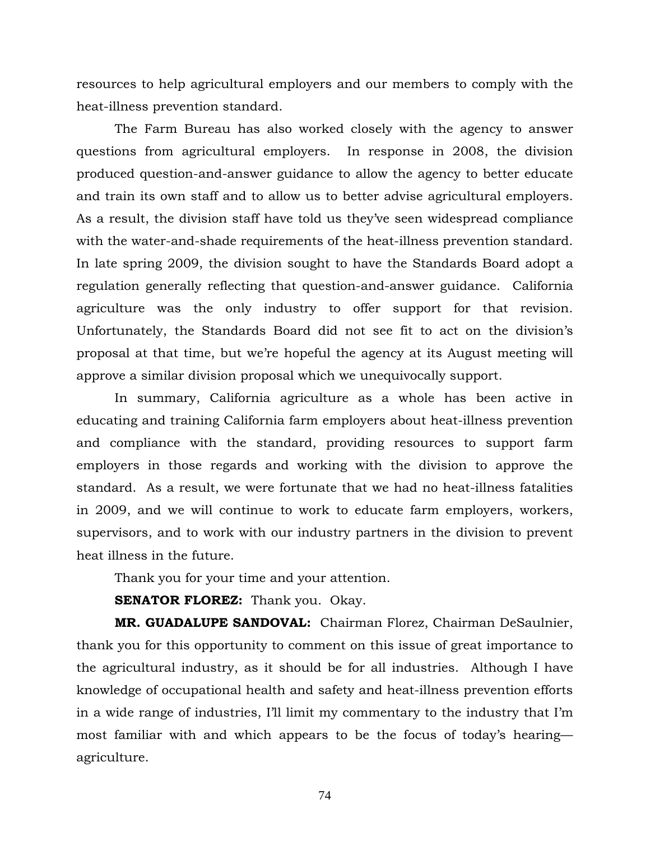resources to help agricultural employers and our members to comply with the heat-illness prevention standard.

 The Farm Bureau has also worked closely with the agency to answer questions from agricultural employers. In response in 2008, the division produced question-and-answer guidance to allow the agency to better educate and train its own staff and to allow us to better advise agricultural employers. As a result, the division staff have told us they've seen widespread compliance with the water-and-shade requirements of the heat-illness prevention standard. In late spring 2009, the division sought to have the Standards Board adopt a regulation generally reflecting that question-and-answer guidance. California agriculture was the only industry to offer support for that revision. Unfortunately, the Standards Board did not see fit to act on the division's proposal at that time, but we're hopeful the agency at its August meeting will approve a similar division proposal which we unequivocally support.

 In summary, California agriculture as a whole has been active in educating and training California farm employers about heat-illness prevention and compliance with the standard, providing resources to support farm employers in those regards and working with the division to approve the standard. As a result, we were fortunate that we had no heat-illness fatalities in 2009, and we will continue to work to educate farm employers, workers, supervisors, and to work with our industry partners in the division to prevent heat illness in the future.

Thank you for your time and your attention.

**SENATOR FLOREZ:** Thank you. Okay.

**MR. GUADALUPE SANDOVAL:** Chairman Florez, Chairman DeSaulnier, thank you for this opportunity to comment on this issue of great importance to the agricultural industry, as it should be for all industries. Although I have knowledge of occupational health and safety and heat-illness prevention efforts in a wide range of industries, I'll limit my commentary to the industry that I'm most familiar with and which appears to be the focus of today's hearing agriculture.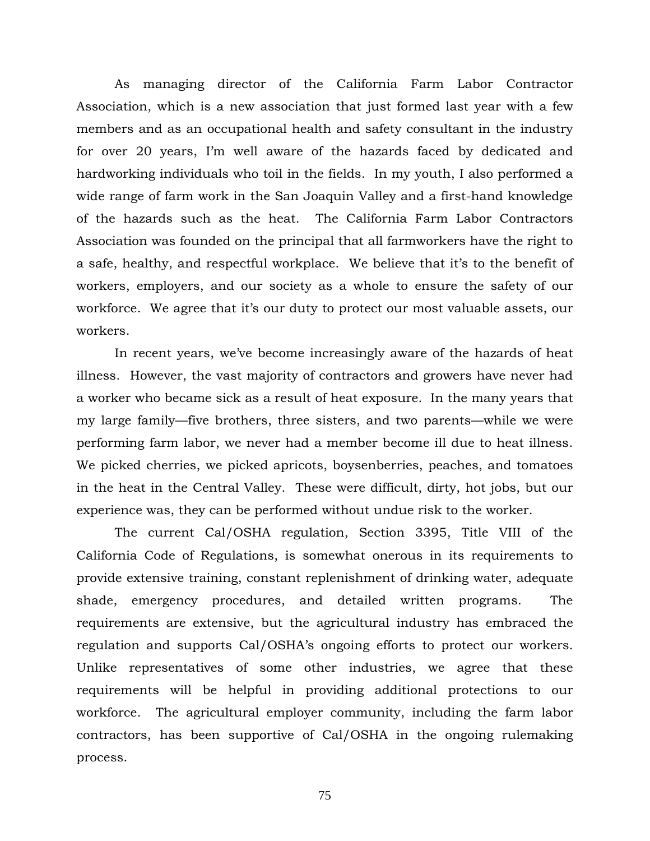As managing director of the California Farm Labor Contractor Association, which is a new association that just formed last year with a few members and as an occupational health and safety consultant in the industry for over 20 years, I'm well aware of the hazards faced by dedicated and hardworking individuals who toil in the fields. In my youth, I also performed a wide range of farm work in the San Joaquin Valley and a first-hand knowledge of the hazards such as the heat. The California Farm Labor Contractors Association was founded on the principal that all farmworkers have the right to a safe, healthy, and respectful workplace. We believe that it's to the benefit of workers, employers, and our society as a whole to ensure the safety of our workforce. We agree that it's our duty to protect our most valuable assets, our workers.

 In recent years, we've become increasingly aware of the hazards of heat illness. However, the vast majority of contractors and growers have never had a worker who became sick as a result of heat exposure. In the many years that my large family—five brothers, three sisters, and two parents—while we were performing farm labor, we never had a member become ill due to heat illness. We picked cherries, we picked apricots, boysenberries, peaches, and tomatoes in the heat in the Central Valley. These were difficult, dirty, hot jobs, but our experience was, they can be performed without undue risk to the worker.

 The current Cal/OSHA regulation, Section 3395, Title VIII of the California Code of Regulations, is somewhat onerous in its requirements to provide extensive training, constant replenishment of drinking water, adequate shade, emergency procedures, and detailed written programs. The requirements are extensive, but the agricultural industry has embraced the regulation and supports Cal/OSHA's ongoing efforts to protect our workers. Unlike representatives of some other industries, we agree that these requirements will be helpful in providing additional protections to our workforce. The agricultural employer community, including the farm labor contractors, has been supportive of Cal/OSHA in the ongoing rulemaking process.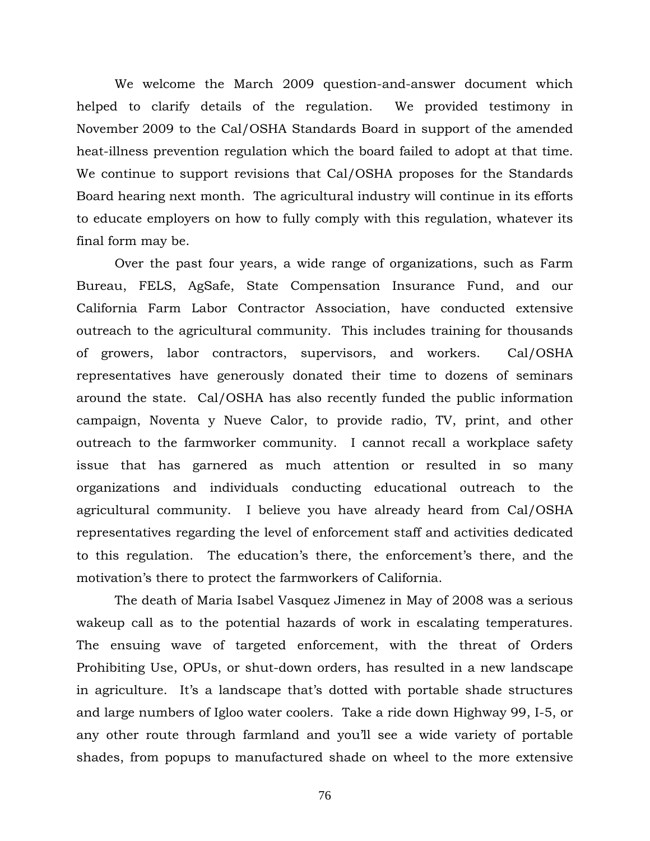We welcome the March 2009 question-and-answer document which helped to clarify details of the regulation. We provided testimony in November 2009 to the Cal/OSHA Standards Board in support of the amended heat-illness prevention regulation which the board failed to adopt at that time. We continue to support revisions that Cal/OSHA proposes for the Standards Board hearing next month. The agricultural industry will continue in its efforts to educate employers on how to fully comply with this regulation, whatever its final form may be.

 Over the past four years, a wide range of organizations, such as Farm Bureau, FELS, AgSafe, State Compensation Insurance Fund, and our California Farm Labor Contractor Association, have conducted extensive outreach to the agricultural community. This includes training for thousands of growers, labor contractors, supervisors, and workers. Cal/OSHA representatives have generously donated their time to dozens of seminars around the state. Cal/OSHA has also recently funded the public information campaign, Noventa y Nueve Calor, to provide radio, TV, print, and other outreach to the farmworker community. I cannot recall a workplace safety issue that has garnered as much attention or resulted in so many organizations and individuals conducting educational outreach to the agricultural community. I believe you have already heard from Cal/OSHA representatives regarding the level of enforcement staff and activities dedicated to this regulation. The education's there, the enforcement's there, and the motivation's there to protect the farmworkers of California.

 The death of Maria Isabel Vasquez Jimenez in May of 2008 was a serious wakeup call as to the potential hazards of work in escalating temperatures. The ensuing wave of targeted enforcement, with the threat of Orders Prohibiting Use, OPUs, or shut-down orders, has resulted in a new landscape in agriculture. It's a landscape that's dotted with portable shade structures and large numbers of Igloo water coolers. Take a ride down Highway 99, I-5, or any other route through farmland and you'll see a wide variety of portable shades, from popups to manufactured shade on wheel to the more extensive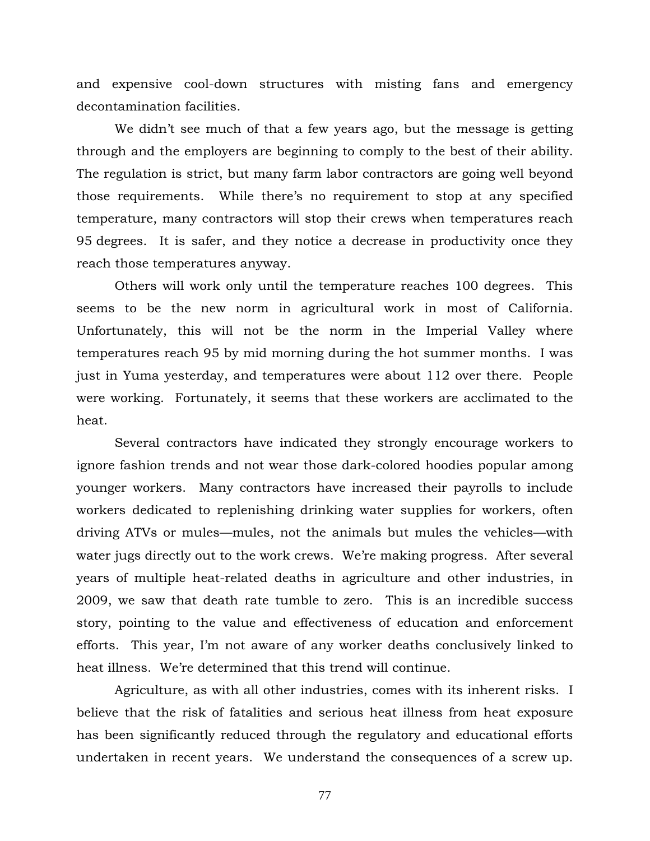and expensive cool-down structures with misting fans and emergency decontamination facilities.

 We didn't see much of that a few years ago, but the message is getting through and the employers are beginning to comply to the best of their ability. The regulation is strict, but many farm labor contractors are going well beyond those requirements. While there's no requirement to stop at any specified temperature, many contractors will stop their crews when temperatures reach 95 degrees. It is safer, and they notice a decrease in productivity once they reach those temperatures anyway.

 Others will work only until the temperature reaches 100 degrees. This seems to be the new norm in agricultural work in most of California. Unfortunately, this will not be the norm in the Imperial Valley where temperatures reach 95 by mid morning during the hot summer months. I was just in Yuma yesterday, and temperatures were about 112 over there. People were working. Fortunately, it seems that these workers are acclimated to the heat.

 Several contractors have indicated they strongly encourage workers to ignore fashion trends and not wear those dark-colored hoodies popular among younger workers. Many contractors have increased their payrolls to include workers dedicated to replenishing drinking water supplies for workers, often driving ATVs or mules—mules, not the animals but mules the vehicles—with water jugs directly out to the work crews. We're making progress. After several years of multiple heat-related deaths in agriculture and other industries, in 2009, we saw that death rate tumble to zero. This is an incredible success story, pointing to the value and effectiveness of education and enforcement efforts. This year, I'm not aware of any worker deaths conclusively linked to heat illness. We're determined that this trend will continue.

 Agriculture, as with all other industries, comes with its inherent risks. I believe that the risk of fatalities and serious heat illness from heat exposure has been significantly reduced through the regulatory and educational efforts undertaken in recent years. We understand the consequences of a screw up.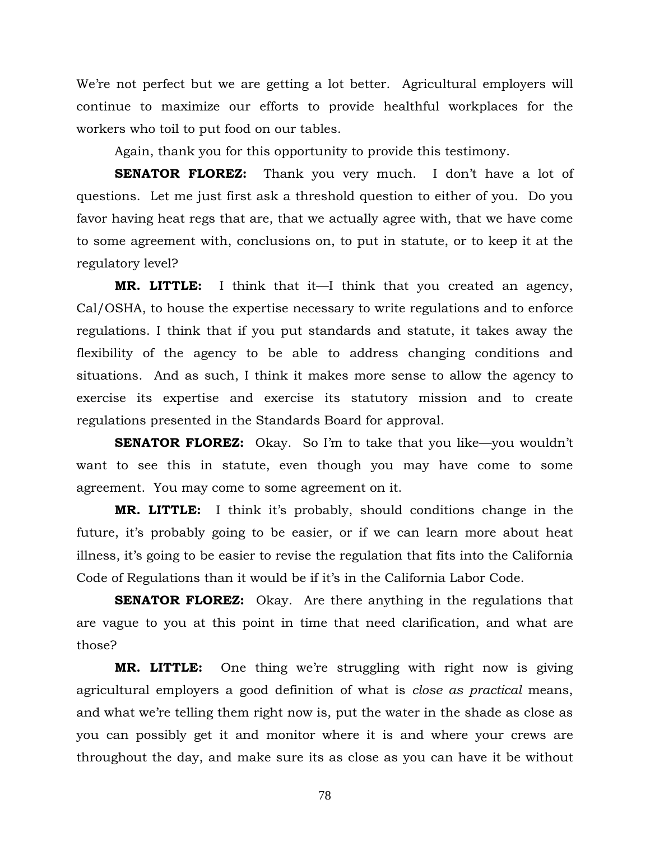We're not perfect but we are getting a lot better. Agricultural employers will continue to maximize our efforts to provide healthful workplaces for the workers who toil to put food on our tables.

Again, thank you for this opportunity to provide this testimony.

**SENATOR FLOREZ:** Thank you very much. I don't have a lot of questions. Let me just first ask a threshold question to either of you. Do you favor having heat regs that are, that we actually agree with, that we have come to some agreement with, conclusions on, to put in statute, or to keep it at the regulatory level?

**MR. LITTLE:** I think that it—I think that you created an agency, Cal/OSHA, to house the expertise necessary to write regulations and to enforce regulations. I think that if you put standards and statute, it takes away the flexibility of the agency to be able to address changing conditions and situations. And as such, I think it makes more sense to allow the agency to exercise its expertise and exercise its statutory mission and to create regulations presented in the Standards Board for approval.

**SENATOR FLOREZ:** Okay. So I'm to take that you like—you wouldn't want to see this in statute, even though you may have come to some agreement. You may come to some agreement on it.

**MR. LITTLE:** I think it's probably, should conditions change in the future, it's probably going to be easier, or if we can learn more about heat illness, it's going to be easier to revise the regulation that fits into the California Code of Regulations than it would be if it's in the California Labor Code.

**SENATOR FLOREZ:** Okay. Are there anything in the regulations that are vague to you at this point in time that need clarification, and what are those?

**MR. LITTLE:** One thing we're struggling with right now is giving agricultural employers a good definition of what is *close as practical* means, and what we're telling them right now is, put the water in the shade as close as you can possibly get it and monitor where it is and where your crews are throughout the day, and make sure its as close as you can have it be without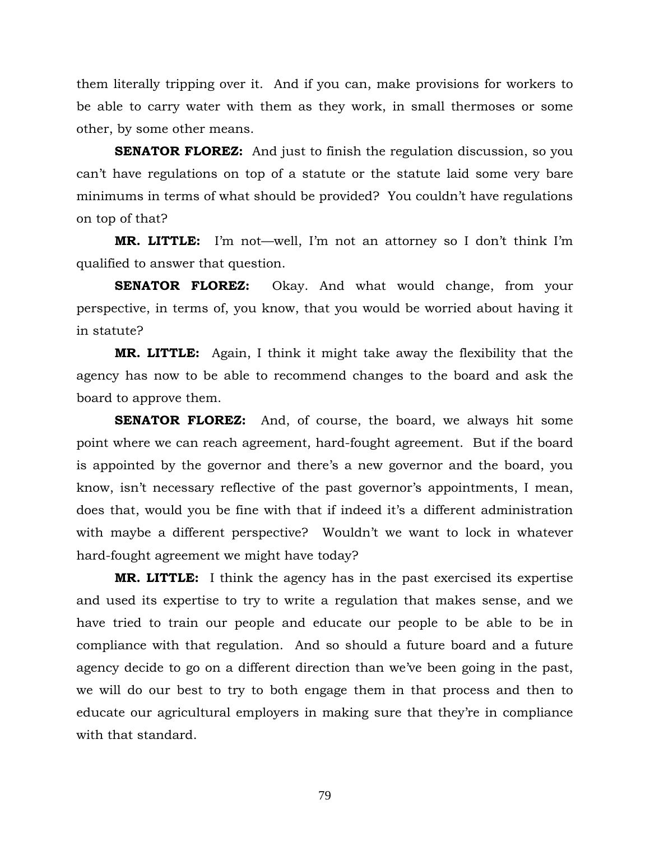them literally tripping over it. And if you can, make provisions for workers to be able to carry water with them as they work, in small thermoses or some other, by some other means.

**SENATOR FLOREZ:** And just to finish the regulation discussion, so you can't have regulations on top of a statute or the statute laid some very bare minimums in terms of what should be provided? You couldn't have regulations on top of that?

**MR. LITTLE:** I'm not—well, I'm not an attorney so I don't think I'm qualified to answer that question.

**SENATOR FLOREZ:** Okay. And what would change, from your perspective, in terms of, you know, that you would be worried about having it in statute?

**MR. LITTLE:** Again, I think it might take away the flexibility that the agency has now to be able to recommend changes to the board and ask the board to approve them.

**SENATOR FLOREZ:** And, of course, the board, we always hit some point where we can reach agreement, hard-fought agreement. But if the board is appointed by the governor and there's a new governor and the board, you know, isn't necessary reflective of the past governor's appointments, I mean, does that, would you be fine with that if indeed it's a different administration with maybe a different perspective? Wouldn't we want to lock in whatever hard-fought agreement we might have today?

**MR. LITTLE:** I think the agency has in the past exercised its expertise and used its expertise to try to write a regulation that makes sense, and we have tried to train our people and educate our people to be able to be in compliance with that regulation. And so should a future board and a future agency decide to go on a different direction than we've been going in the past, we will do our best to try to both engage them in that process and then to educate our agricultural employers in making sure that they're in compliance with that standard.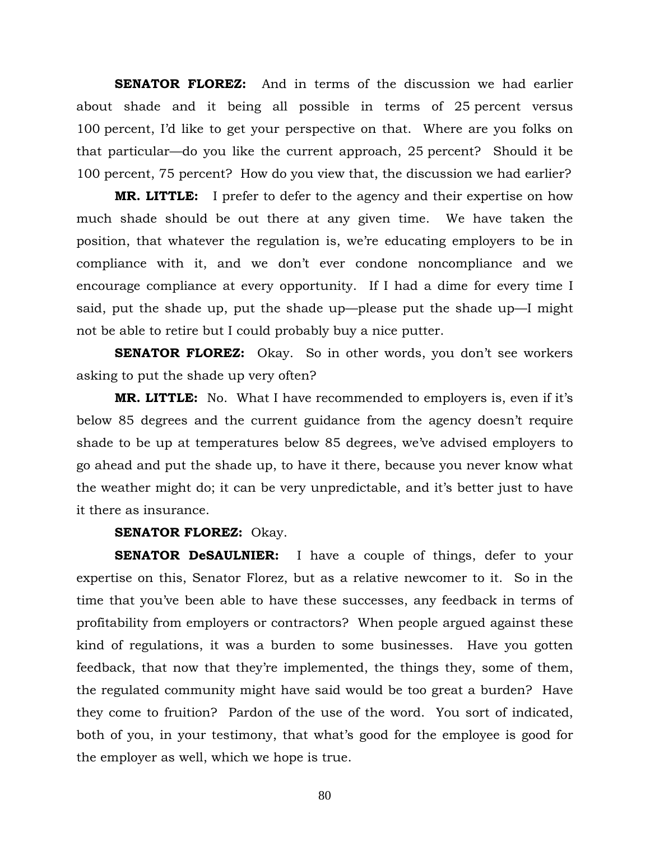**SENATOR FLOREZ:** And in terms of the discussion we had earlier about shade and it being all possible in terms of 25 percent versus 100 percent, I'd like to get your perspective on that. Where are you folks on that particular—do you like the current approach, 25 percent? Should it be 100 percent, 75 percent? How do you view that, the discussion we had earlier?

**MR. LITTLE:** I prefer to defer to the agency and their expertise on how much shade should be out there at any given time. We have taken the position, that whatever the regulation is, we're educating employers to be in compliance with it, and we don't ever condone noncompliance and we encourage compliance at every opportunity. If I had a dime for every time I said, put the shade up, put the shade up—please put the shade up—I might not be able to retire but I could probably buy a nice putter.

**SENATOR FLOREZ:** Okay. So in other words, you don't see workers asking to put the shade up very often?

**MR. LITTLE:** No. What I have recommended to employers is, even if it's below 85 degrees and the current guidance from the agency doesn't require shade to be up at temperatures below 85 degrees, we've advised employers to go ahead and put the shade up, to have it there, because you never know what the weather might do; it can be very unpredictable, and it's better just to have it there as insurance.

## **SENATOR FLOREZ:** Okay.

**SENATOR DeSAULNIER:** I have a couple of things, defer to your expertise on this, Senator Florez, but as a relative newcomer to it. So in the time that you've been able to have these successes, any feedback in terms of profitability from employers or contractors? When people argued against these kind of regulations, it was a burden to some businesses. Have you gotten feedback, that now that they're implemented, the things they, some of them, the regulated community might have said would be too great a burden? Have they come to fruition? Pardon of the use of the word. You sort of indicated, both of you, in your testimony, that what's good for the employee is good for the employer as well, which we hope is true.